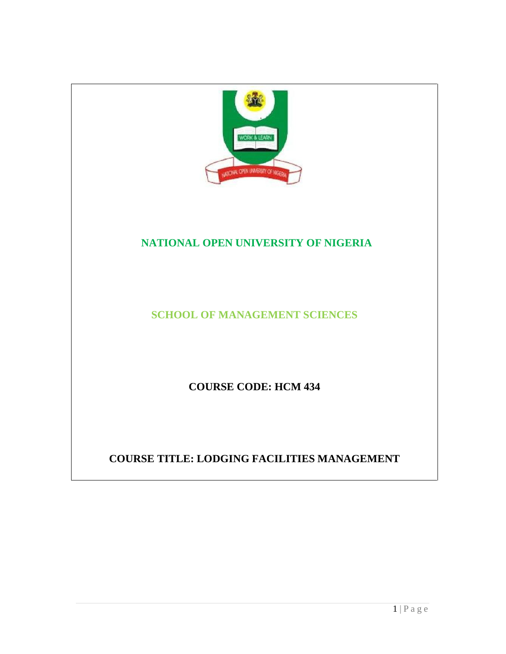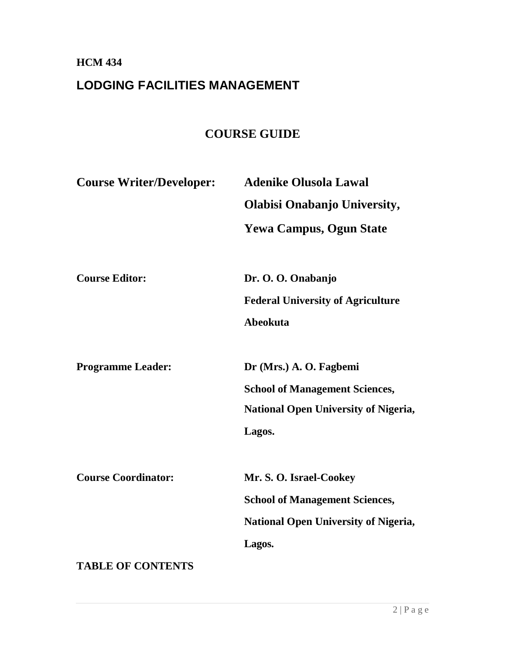# **HCM 434 LODGING FACILITIES MANAGEMENT**

# **COURSE GUIDE**

| <b>Course Writer/Developer:</b> | <b>Adenike Olusola Lawal</b>                |  |
|---------------------------------|---------------------------------------------|--|
|                                 | <b>Olabisi Onabanjo University,</b>         |  |
|                                 | <b>Yewa Campus, Ogun State</b>              |  |
| <b>Course Editor:</b>           | Dr. O. O. Onabanjo                          |  |
|                                 | <b>Federal University of Agriculture</b>    |  |
|                                 | <b>Abeokuta</b>                             |  |
|                                 |                                             |  |
| <b>Programme Leader:</b>        | Dr (Mrs.) A. O. Fagbemi                     |  |
|                                 | <b>School of Management Sciences,</b>       |  |
|                                 | National Open University of Nigeria,        |  |
|                                 | Lagos.                                      |  |
|                                 |                                             |  |
| <b>Course Coordinator:</b>      | Mr. S. O. Israel-Cookey                     |  |
|                                 | <b>School of Management Sciences,</b>       |  |
|                                 | <b>National Open University of Nigeria,</b> |  |
|                                 | Lagos.                                      |  |
| <b>TABLE OF CONTENTS</b>        |                                             |  |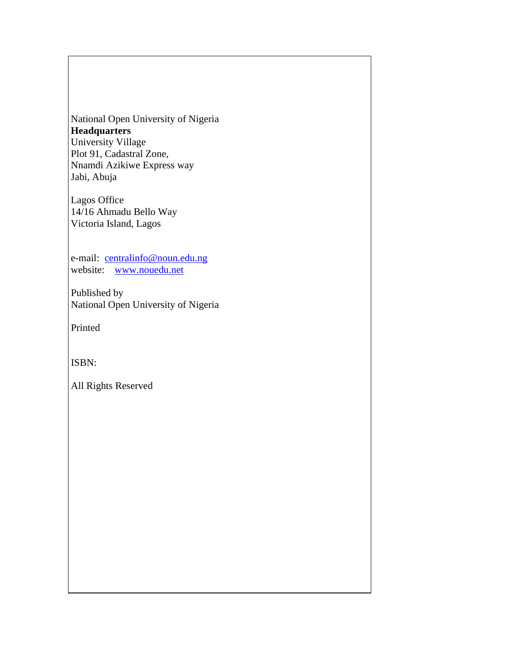National Open University of Nigeria **Headquarters**  University Village Plot 91, Cadastral Zone, Nnamdi Azikiwe Express way Jabi, Abuja

Lagos Office 14/16 Ahmadu Bello Way Victoria Island, Lagos

e-mail: centralinfo@noun.edu.ng website: www.nouedu.net

Published by National Open University of Nigeria

Printed

ISBN:

All Rights Reserved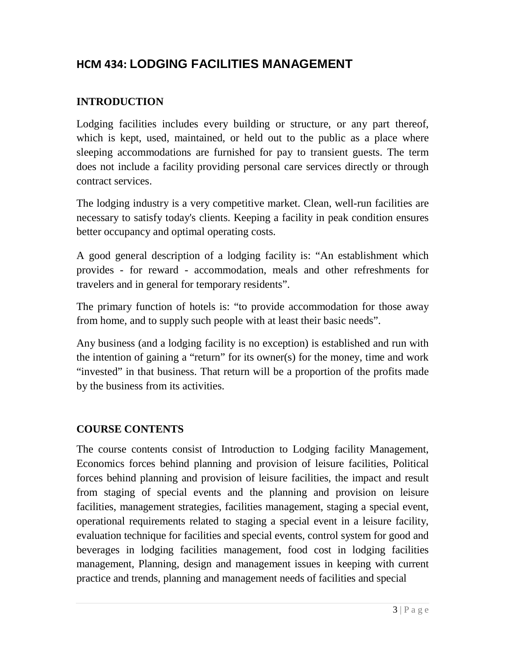# HCM 434: **LODGING FACILITIES MANAGEMENT**

# **INTRODUCTION**

Lodging facilities includes every building or structure, or any part thereof, which is kept, used, maintained, or held out to the public as a place where sleeping accommodations are furnished for pay to transient guests. The term does not include a facility providing personal care services directly or through contract services.

The lodging industry is a very competitive market. Clean, well-run facilities are necessary to satisfy today's clients. Keeping a facility in peak condition ensures better occupancy and optimal operating costs.

A good general description of a lodging facility is: "An establishment which provides - for reward - accommodation, meals and other refreshments for travelers and in general for temporary residents".

The primary function of hotels is: "to provide accommodation for those away from home, and to supply such people with at least their basic needs".

Any business (and a lodging facility is no exception) is established and run with the intention of gaining a "return" for its owner(s) for the money, time and work "invested" in that business. That return will be a proportion of the profits made by the business from its activities.

# **COURSE CONTENTS**

The course contents consist of Introduction to Lodging facility Management, Economics forces behind planning and provision of leisure facilities, Political forces behind planning and provision of leisure facilities, the impact and result from staging of special events and the planning and provision on leisure facilities, management strategies, facilities management, staging a special event, operational requirements related to staging a special event in a leisure facility, evaluation technique for facilities and special events, control system for good and beverages in lodging facilities management, food cost in lodging facilities management, Planning, design and management issues in keeping with current practice and trends, planning and management needs of facilities and special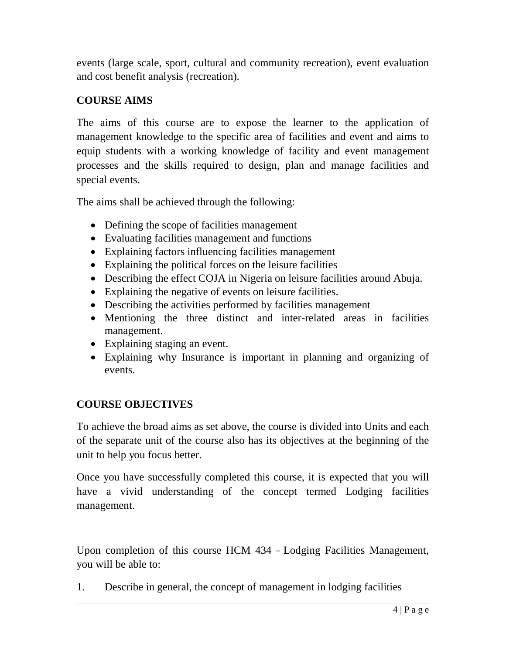events (large scale, sport, cultural and community recreation), event evaluation and cost benefit analysis (recreation).

# **COURSE AIMS**

The aims of this course are to expose the learner to the application of management knowledge to the specific area of facilities and event and aims to equip students with a working knowledge of facility and event management processes and the skills required to design, plan and manage facilities and special events.

The aims shall be achieved through the following:

- Defining the scope of facilities management
- Evaluating facilities management and functions
- Explaining factors influencing facilities management
- Explaining the political forces on the leisure facilities
- Describing the effect COJA in Nigeria on leisure facilities around Abuja.
- Explaining the negative of events on leisure facilities.
- Describing the activities performed by facilities management
- Mentioning the three distinct and inter-related areas in facilities management.
- Explaining staging an event.
- Explaining why Insurance is important in planning and organizing of events.

# **COURSE OBJECTIVES**

To achieve the broad aims as set above, the course is divided into Units and each of the separate unit of the course also has its objectives at the beginning of the unit to help you focus better.

Once you have successfully completed this course, it is expected that you will have a vivid understanding of the concept termed Lodging facilities management.

Upon completion of this course HCM 434 – Lodging Facilities Management, you will be able to:

1. Describe in general, the concept of management in lodging facilities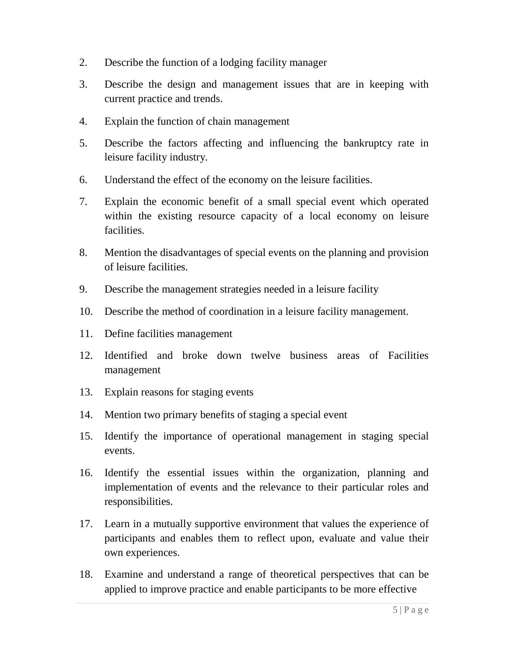- 2. Describe the function of a lodging facility manager
- 3. Describe the design and management issues that are in keeping with current practice and trends.
- 4. Explain the function of chain management
- 5. Describe the factors affecting and influencing the bankruptcy rate in leisure facility industry.
- 6. Understand the effect of the economy on the leisure facilities.
- 7. Explain the economic benefit of a small special event which operated within the existing resource capacity of a local economy on leisure facilities.
- 8. Mention the disadvantages of special events on the planning and provision of leisure facilities.
- 9. Describe the management strategies needed in a leisure facility
- 10. Describe the method of coordination in a leisure facility management.
- 11. Define facilities management
- 12. Identified and broke down twelve business areas of Facilities management
- 13. Explain reasons for staging events
- 14. Mention two primary benefits of staging a special event
- 15. Identify the importance of operational management in staging special events.
- 16. Identify the essential issues within the organization, planning and implementation of events and the relevance to their particular roles and responsibilities.
- 17. Learn in a mutually supportive environment that values the experience of participants and enables them to reflect upon, evaluate and value their own experiences.
- 18. Examine and understand a range of theoretical perspectives that can be applied to improve practice and enable participants to be more effective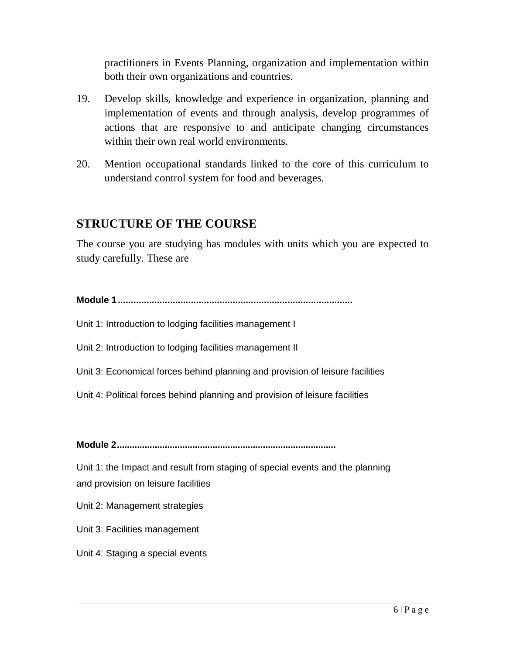practitioners in Events Planning, organization and implementation within both their own organizations and countries.

- 19. Develop skills, knowledge and experience in organization, planning and implementation of events and through analysis, develop programmes of actions that are responsive to and anticipate changing circumstances within their own real world environments.
- 20. Mention occupational standards linked to the core of this curriculum to understand control system for food and beverages.

# **STRUCTURE OF THE COURSE**

The course you are studying has modules with units which you are expected to study carefully. These are

**Module 1 ..........................................................................................** 

Unit 1: Introduction to lodging facilities management I

Unit 2: Introduction to lodging facilities management II

Unit 3: Economical forces behind planning and provision of leisure facilities

Unit 4: Political forces behind planning and provision of leisure facilities

**Module 2 .......................................................................................** 

Unit 1: the Impact and result from staging of special events and the planning and provision on leisure facilities

- Unit 2: Management strategies
- Unit 3: Facilities management
- Unit 4: Staging a special events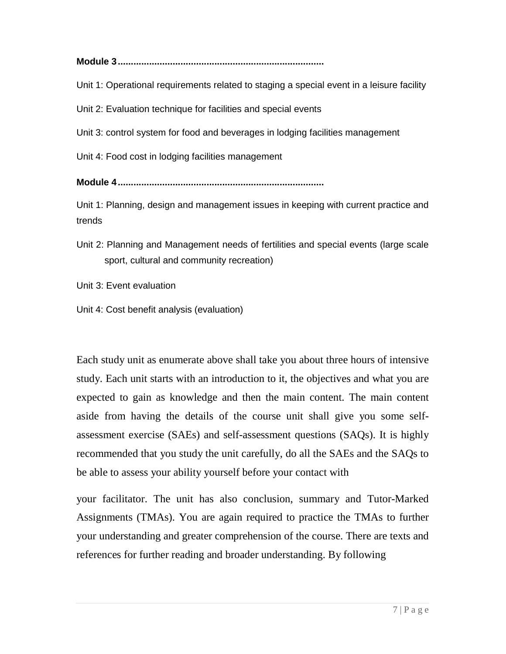**Module 3 ...............................................................................** 

Unit 1: Operational requirements related to staging a special event in a leisure facility

Unit 2: Evaluation technique for facilities and special events

Unit 3: control system for food and beverages in lodging facilities management

Unit 4: Food cost in lodging facilities management

**Module 4 ...............................................................................** 

Unit 1: Planning, design and management issues in keeping with current practice and trends

Unit 2: Planning and Management needs of fertilities and special events (large scale sport, cultural and community recreation)

Unit 3: Event evaluation

Unit 4: Cost benefit analysis (evaluation)

Each study unit as enumerate above shall take you about three hours of intensive study. Each unit starts with an introduction to it, the objectives and what you are expected to gain as knowledge and then the main content. The main content aside from having the details of the course unit shall give you some selfassessment exercise (SAEs) and self-assessment questions (SAQs). It is highly recommended that you study the unit carefully, do all the SAEs and the SAQs to be able to assess your ability yourself before your contact with

your facilitator. The unit has also conclusion, summary and Tutor-Marked Assignments (TMAs). You are again required to practice the TMAs to further your understanding and greater comprehension of the course. There are texts and references for further reading and broader understanding. By following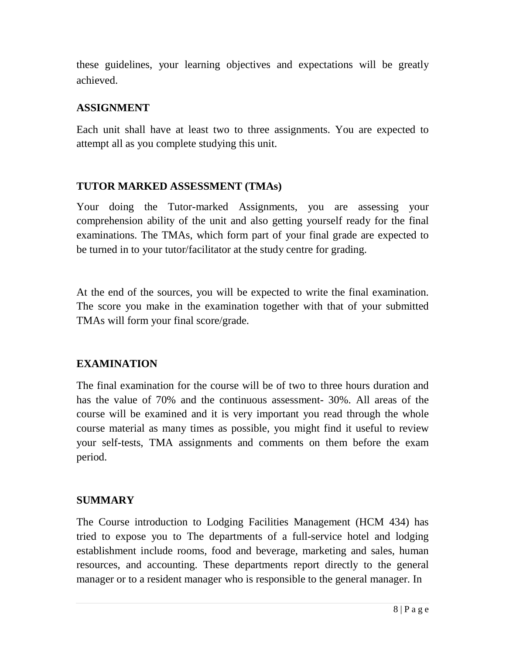these guidelines, your learning objectives and expectations will be greatly achieved.

# **ASSIGNMENT**

Each unit shall have at least two to three assignments. You are expected to attempt all as you complete studying this unit.

# **TUTOR MARKED ASSESSMENT (TMAs)**

Your doing the Tutor-marked Assignments, you are assessing your comprehension ability of the unit and also getting yourself ready for the final examinations. The TMAs, which form part of your final grade are expected to be turned in to your tutor/facilitator at the study centre for grading.

At the end of the sources, you will be expected to write the final examination. The score you make in the examination together with that of your submitted TMAs will form your final score/grade.

# **EXAMINATION**

The final examination for the course will be of two to three hours duration and has the value of 70% and the continuous assessment- 30%. All areas of the course will be examined and it is very important you read through the whole course material as many times as possible, you might find it useful to review your self-tests, TMA assignments and comments on them before the exam period.

# **SUMMARY**

The Course introduction to Lodging Facilities Management (HCM 434) has tried to expose you to The departments of a full-service hotel and lodging establishment include rooms, food and beverage, marketing and sales, human resources, and accounting. These departments report directly to the general manager or to a resident manager who is responsible to the general manager. In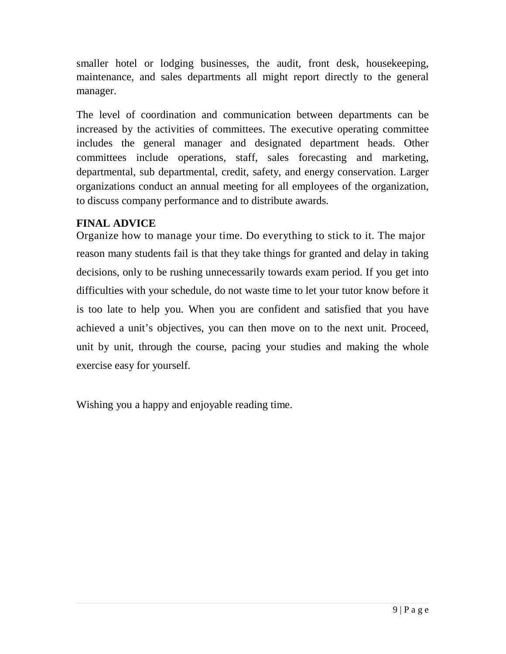smaller hotel or lodging businesses, the audit, front desk, housekeeping, maintenance, and sales departments all might report directly to the general manager.

The level of coordination and communication between departments can be increased by the activities of committees. The executive operating committee includes the general manager and designated department heads. Other committees include operations, staff, sales forecasting and marketing, departmental, sub departmental, credit, safety, and energy conservation. Larger organizations conduct an annual meeting for all employees of the organization, to discuss company performance and to distribute awards.

# **FINAL ADVICE**

Organize how to manage your time. Do everything to stick to it. The major reason many students fail is that they take things for granted and delay in taking decisions, only to be rushing unnecessarily towards exam period. If you get into difficulties with your schedule, do not waste time to let your tutor know before it is too late to help you. When you are confident and satisfied that you have achieved a unit's objectives, you can then move on to the next unit. Proceed, unit by unit, through the course, pacing your studies and making the whole exercise easy for yourself.

Wishing you a happy and enjoyable reading time.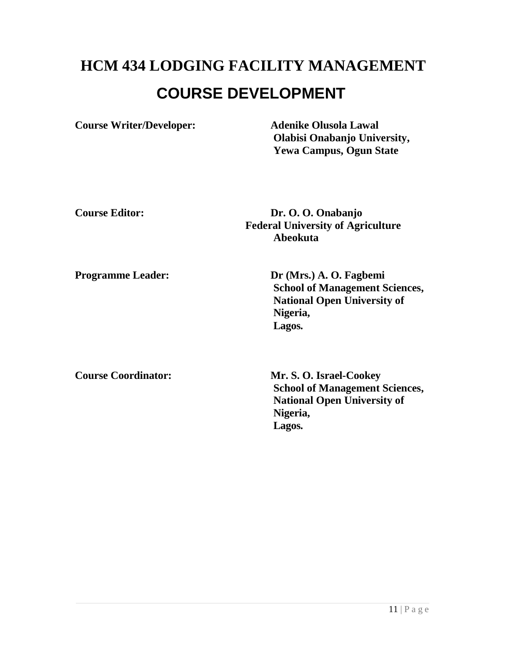# **HCM 434 LODGING FACILITY MANAGEMENT COURSE DEVELOPMENT**

# **Course Writer/Developer: Adenike Olusola Lawal**

**Olabisi Onabanjo University, Yewa Campus, Ogun State** 

**Course Editor: Dr. O. O. Onabanjo Federal University of Agriculture Abeokuta** 

**Programme Leader: Dr (Mrs.) A. O. Fagbemi School of Management Sciences, National Open University of Nigeria, Lagos.** 

**Course Coordinator: Mr. S. O. Israel-Cookey School of Management Sciences, National Open University of Nigeria, Lagos.**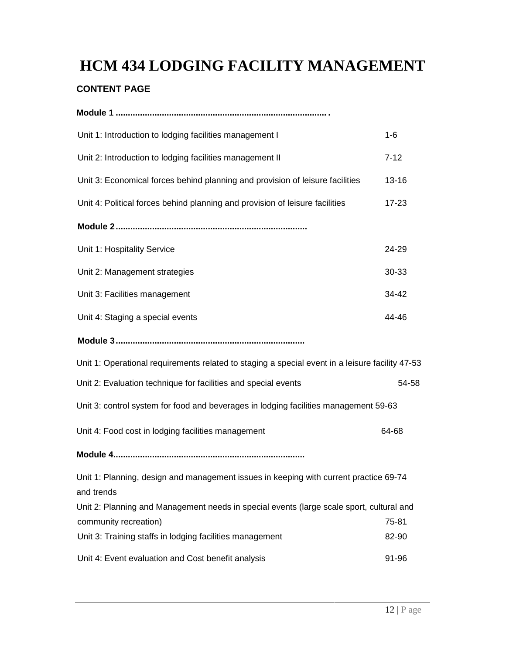# **HCM 434 LODGING FACILITY MANAGEMENT**

# **CONTENT PAGE**

| Unit 1: Introduction to lodging facilities management I                                             |       |  |
|-----------------------------------------------------------------------------------------------------|-------|--|
| Unit 2: Introduction to lodging facilities management II                                            |       |  |
| Unit 3: Economical forces behind planning and provision of leisure facilities                       |       |  |
| Unit 4: Political forces behind planning and provision of leisure facilities                        |       |  |
|                                                                                                     |       |  |
| Unit 1: Hospitality Service                                                                         |       |  |
| Unit 2: Management strategies                                                                       |       |  |
| Unit 3: Facilities management                                                                       |       |  |
| Unit 4: Staging a special events                                                                    |       |  |
|                                                                                                     |       |  |
| Unit 1: Operational requirements related to staging a special event in a leisure facility 47-53     |       |  |
| Unit 2: Evaluation technique for facilities and special events                                      | 54-58 |  |
| Unit 3: control system for food and beverages in lodging facilities management 59-63                |       |  |
| Unit 4: Food cost in lodging facilities management                                                  |       |  |
|                                                                                                     |       |  |
| Unit 1: Planning, design and management issues in keeping with current practice 69-74<br>and trends |       |  |
| Unit 2: Planning and Management needs in special events (large scale sport, cultural and            |       |  |
| community recreation)                                                                               |       |  |
| Unit 3: Training staffs in lodging facilities management                                            |       |  |
| Unit 4: Event evaluation and Cost benefit analysis                                                  |       |  |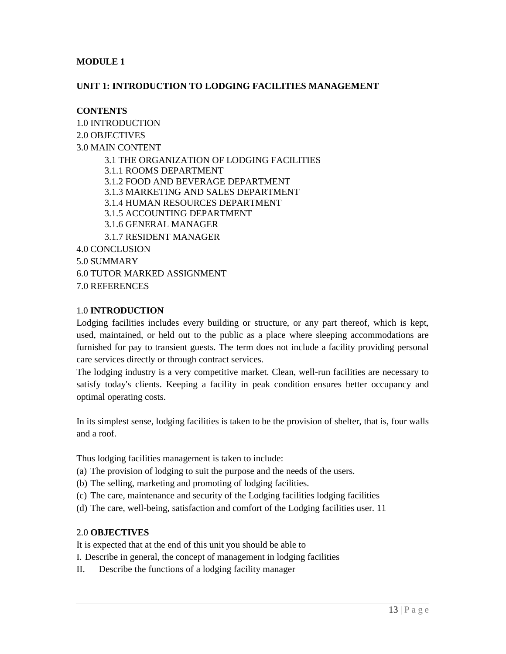# **MODULE 1**

## **UNIT 1: INTRODUCTION TO LODGING FACILITIES MANAGEMENT**

## **CONTENTS**

1.0 INTRODUCTION 2.0 OBJECTIVES 3.0 MAIN CONTENT 3.1 THE ORGANIZATION OF LODGING FACILITIES 3.1.1 ROOMS DEPARTMENT 3.1.2 FOOD AND BEVERAGE DEPARTMENT 3.1.3 MARKETING AND SALES DEPARTMENT 3.1.4 HUMAN RESOURCES DEPARTMENT 3.1.5 ACCOUNTING DEPARTMENT 3.1.6 GENERAL MANAGER 3.1.7 RESIDENT MANAGER 4.0 CONCLUSION 5.0 SUMMARY 6.0 TUTOR MARKED ASSIGNMENT 7.0 REFERENCES

#### 1.0 **INTRODUCTION**

Lodging facilities includes every building or structure, or any part thereof, which is kept, used, maintained, or held out to the public as a place where sleeping accommodations are furnished for pay to transient guests. The term does not include a facility providing personal care services directly or through contract services.

The lodging industry is a very competitive market. Clean, well-run facilities are necessary to satisfy today's clients. Keeping a facility in peak condition ensures better occupancy and optimal operating costs.

In its simplest sense, lodging facilities is taken to be the provision of shelter, that is, four walls and a roof.

Thus lodging facilities management is taken to include:

- (a) The provision of lodging to suit the purpose and the needs of the users.
- (b) The selling, marketing and promoting of lodging facilities.
- (c) The care, maintenance and security of the Lodging facilities lodging facilities
- (d) The care, well-being, satisfaction and comfort of the Lodging facilities user. 11

#### 2.0 **OBJECTIVES**

It is expected that at the end of this unit you should be able to

- I. Describe in general, the concept of management in lodging facilities
- II. Describe the functions of a lodging facility manager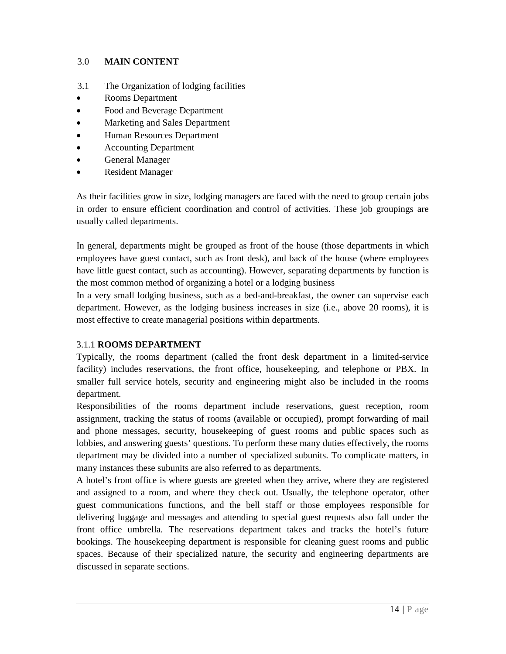# 3.0 **MAIN CONTENT**

- 3.1 The Organization of lodging facilities
- Rooms Department
- Food and Beverage Department
- Marketing and Sales Department
- Human Resources Department
- Accounting Department
- General Manager
- **Resident Manager**

As their facilities grow in size, lodging managers are faced with the need to group certain jobs in order to ensure efficient coordination and control of activities. These job groupings are usually called departments.

In general, departments might be grouped as front of the house (those departments in which employees have guest contact, such as front desk), and back of the house (where employees have little guest contact, such as accounting). However, separating departments by function is the most common method of organizing a hotel or a lodging business

In a very small lodging business, such as a bed-and-breakfast, the owner can supervise each department. However, as the lodging business increases in size (i.e., above 20 rooms), it is most effective to create managerial positions within departments.

#### 3.1.1 **ROOMS DEPARTMENT**

Typically, the rooms department (called the front desk department in a limited-service facility) includes reservations, the front office, housekeeping, and telephone or PBX. In smaller full service hotels, security and engineering might also be included in the rooms department.

Responsibilities of the rooms department include reservations, guest reception, room assignment, tracking the status of rooms (available or occupied), prompt forwarding of mail and phone messages, security, housekeeping of guest rooms and public spaces such as lobbies, and answering guests' questions. To perform these many duties effectively, the rooms department may be divided into a number of specialized subunits. To complicate matters, in many instances these subunits are also referred to as departments.

A hotel's front office is where guests are greeted when they arrive, where they are registered and assigned to a room, and where they check out. Usually, the telephone operator, other guest communications functions, and the bell staff or those employees responsible for delivering luggage and messages and attending to special guest requests also fall under the front office umbrella. The reservations department takes and tracks the hotel's future bookings. The housekeeping department is responsible for cleaning guest rooms and public spaces. Because of their specialized nature, the security and engineering departments are discussed in separate sections.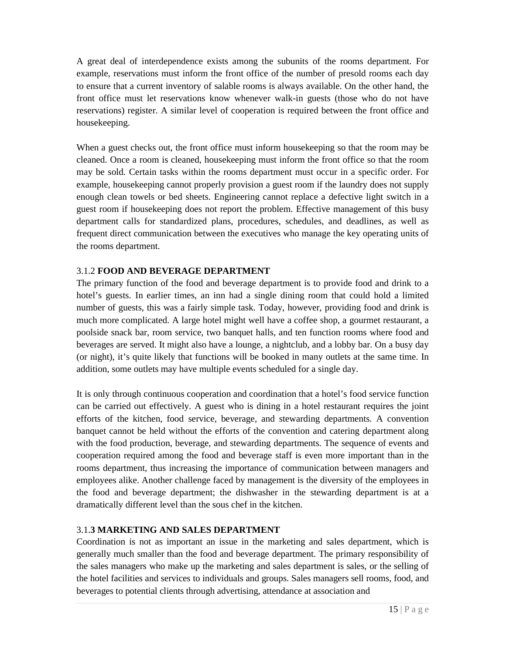A great deal of interdependence exists among the subunits of the rooms department. For example, reservations must inform the front office of the number of presold rooms each day to ensure that a current inventory of salable rooms is always available. On the other hand, the front office must let reservations know whenever walk-in guests (those who do not have reservations) register. A similar level of cooperation is required between the front office and housekeeping.

When a guest checks out, the front office must inform housekeeping so that the room may be cleaned. Once a room is cleaned, housekeeping must inform the front office so that the room may be sold. Certain tasks within the rooms department must occur in a specific order. For example, housekeeping cannot properly provision a guest room if the laundry does not supply enough clean towels or bed sheets. Engineering cannot replace a defective light switch in a guest room if housekeeping does not report the problem. Effective management of this busy department calls for standardized plans, procedures, schedules, and deadlines, as well as frequent direct communication between the executives who manage the key operating units of the rooms department.

## 3.1.2 **FOOD AND BEVERAGE DEPARTMENT**

The primary function of the food and beverage department is to provide food and drink to a hotel's guests. In earlier times, an inn had a single dining room that could hold a limited number of guests, this was a fairly simple task. Today, however, providing food and drink is much more complicated. A large hotel might well have a coffee shop, a gourmet restaurant, a poolside snack bar, room service, two banquet halls, and ten function rooms where food and beverages are served. It might also have a lounge, a nightclub, and a lobby bar. On a busy day (or night), it's quite likely that functions will be booked in many outlets at the same time. In addition, some outlets may have multiple events scheduled for a single day.

It is only through continuous cooperation and coordination that a hotel's food service function can be carried out effectively. A guest who is dining in a hotel restaurant requires the joint efforts of the kitchen, food service, beverage, and stewarding departments. A convention banquet cannot be held without the efforts of the convention and catering department along with the food production, beverage, and stewarding departments. The sequence of events and cooperation required among the food and beverage staff is even more important than in the rooms department, thus increasing the importance of communication between managers and employees alike. Another challenge faced by management is the diversity of the employees in the food and beverage department; the dishwasher in the stewarding department is at a dramatically different level than the sous chef in the kitchen.

# 3.1.**3 MARKETING AND SALES DEPARTMENT**

Coordination is not as important an issue in the marketing and sales department, which is generally much smaller than the food and beverage department. The primary responsibility of the sales managers who make up the marketing and sales department is sales, or the selling of the hotel facilities and services to individuals and groups. Sales managers sell rooms, food, and beverages to potential clients through advertising, attendance at association and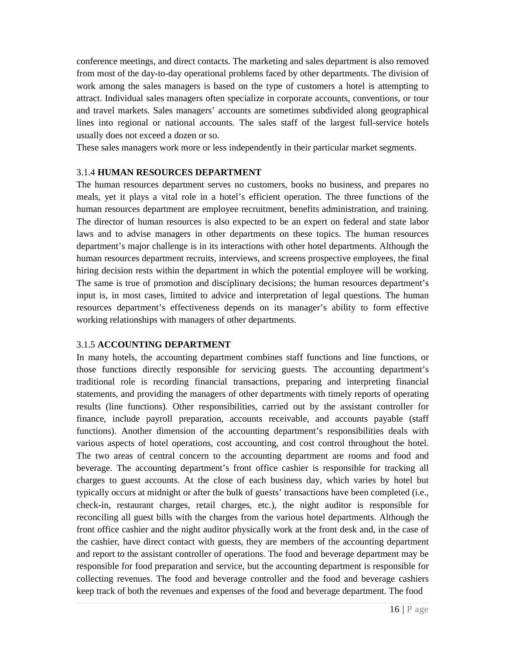conference meetings, and direct contacts. The marketing and sales department is also removed from most of the day-to-day operational problems faced by other departments. The division of work among the sales managers is based on the type of customers a hotel is attempting to attract. Individual sales managers often specialize in corporate accounts, conventions, or tour and travel markets. Sales managers' accounts are sometimes subdivided along geographical lines into regional or national accounts. The sales staff of the largest full-service hotels usually does not exceed a dozen or so.

These sales managers work more or less independently in their particular market segments.

#### 3.1.4 **HUMAN RESOURCES DEPARTMENT**

The human resources department serves no customers, books no business, and prepares no meals, yet it plays a vital role in a hotel's efficient operation. The three functions of the human resources department are employee recruitment, benefits administration, and training. The director of human resources is also expected to be an expert on federal and state labor laws and to advise managers in other departments on these topics. The human resources department's major challenge is in its interactions with other hotel departments. Although the human resources department recruits, interviews, and screens prospective employees, the final hiring decision rests within the department in which the potential employee will be working. The same is true of promotion and disciplinary decisions; the human resources department's input is, in most cases, limited to advice and interpretation of legal questions. The human resources department's effectiveness depends on its manager's ability to form effective working relationships with managers of other departments.

# 3.1.5 **ACCOUNTING DEPARTMENT**

In many hotels, the accounting department combines staff functions and line functions, or those functions directly responsible for servicing guests. The accounting department's traditional role is recording financial transactions, preparing and interpreting financial statements, and providing the managers of other departments with timely reports of operating results (line functions). Other responsibilities, carried out by the assistant controller for finance, include payroll preparation, accounts receivable, and accounts payable (staff functions). Another dimension of the accounting department's responsibilities deals with various aspects of hotel operations, cost accounting, and cost control throughout the hotel. The two areas of central concern to the accounting department are rooms and food and beverage. The accounting department's front office cashier is responsible for tracking all charges to guest accounts. At the close of each business day, which varies by hotel but typically occurs at midnight or after the bulk of guests' transactions have been completed (i.e., check-in, restaurant charges, retail charges, etc.), the night auditor is responsible for reconciling all guest bills with the charges from the various hotel departments. Although the front office cashier and the night auditor physically work at the front desk and, in the case of the cashier, have direct contact with guests, they are members of the accounting department and report to the assistant controller of operations. The food and beverage department may be responsible for food preparation and service, but the accounting department is responsible for collecting revenues. The food and beverage controller and the food and beverage cashiers keep track of both the revenues and expenses of the food and beverage department. The food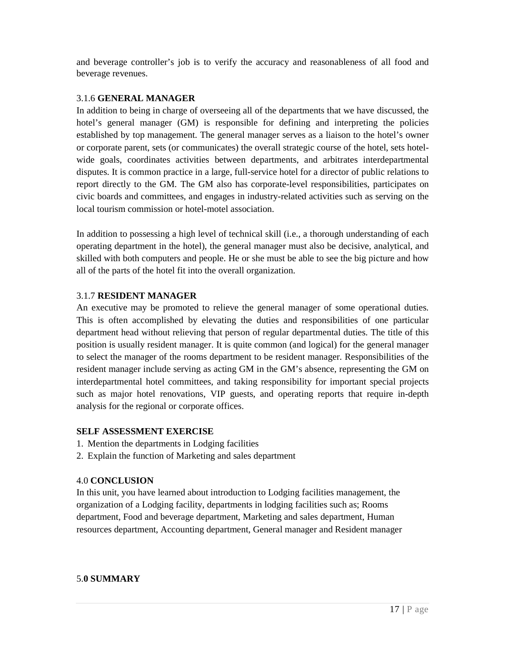and beverage controller's job is to verify the accuracy and reasonableness of all food and beverage revenues.

#### 3.1.6 **GENERAL MANAGER**

In addition to being in charge of overseeing all of the departments that we have discussed, the hotel's general manager (GM) is responsible for defining and interpreting the policies established by top management. The general manager serves as a liaison to the hotel's owner or corporate parent, sets (or communicates) the overall strategic course of the hotel, sets hotelwide goals, coordinates activities between departments, and arbitrates interdepartmental disputes. It is common practice in a large, full-service hotel for a director of public relations to report directly to the GM. The GM also has corporate-level responsibilities, participates on civic boards and committees, and engages in industry-related activities such as serving on the local tourism commission or hotel-motel association.

In addition to possessing a high level of technical skill (i.e., a thorough understanding of each operating department in the hotel), the general manager must also be decisive, analytical, and skilled with both computers and people. He or she must be able to see the big picture and how all of the parts of the hotel fit into the overall organization.

## 3.1.7 **RESIDENT MANAGER**

An executive may be promoted to relieve the general manager of some operational duties. This is often accomplished by elevating the duties and responsibilities of one particular department head without relieving that person of regular departmental duties. The title of this position is usually resident manager. It is quite common (and logical) for the general manager to select the manager of the rooms department to be resident manager. Responsibilities of the resident manager include serving as acting GM in the GM's absence, representing the GM on interdepartmental hotel committees, and taking responsibility for important special projects such as major hotel renovations, VIP guests, and operating reports that require in-depth analysis for the regional or corporate offices.

#### **SELF ASSESSMENT EXERCISE**

- 1. Mention the departments in Lodging facilities
- 2. Explain the function of Marketing and sales department

#### 4.0 **CONCLUSION**

In this unit, you have learned about introduction to Lodging facilities management, the organization of a Lodging facility, departments in lodging facilities such as; Rooms department, Food and beverage department, Marketing and sales department, Human resources department, Accounting department, General manager and Resident manager

#### 5.**0 SUMMARY**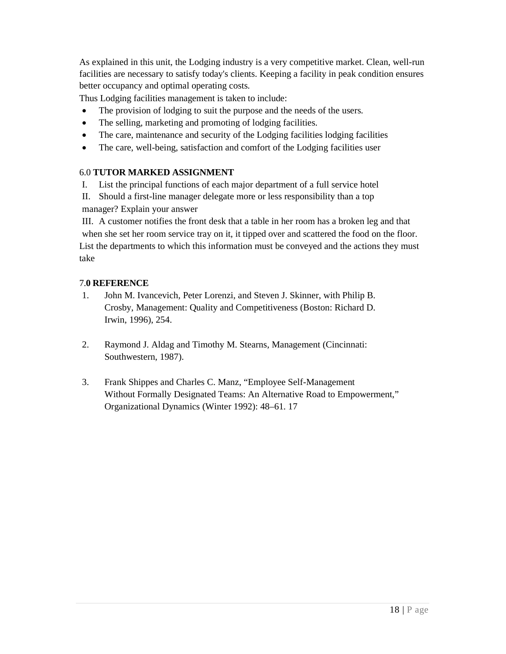As explained in this unit, the Lodging industry is a very competitive market. Clean, well-run facilities are necessary to satisfy today's clients. Keeping a facility in peak condition ensures better occupancy and optimal operating costs.

Thus Lodging facilities management is taken to include:

- The provision of lodging to suit the purpose and the needs of the users.
- The selling, marketing and promoting of lodging facilities.
- The care, maintenance and security of the Lodging facilities lodging facilities
- The care, well-being, satisfaction and comfort of the Lodging facilities user

## 6.0 **TUTOR MARKED ASSIGNMENT**

- I. List the principal functions of each major department of a full service hotel
- II. Should a first-line manager delegate more or less responsibility than a top manager? Explain your answer

III. A customer notifies the front desk that a table in her room has a broken leg and that when she set her room service tray on it, it tipped over and scattered the food on the floor. List the departments to which this information must be conveyed and the actions they must take

## 7.**0 REFERENCE**

- 1. John M. Ivancevich, Peter Lorenzi, and Steven J. Skinner, with Philip B. Crosby, Management: Quality and Competitiveness (Boston: Richard D. Irwin, 1996), 254.
- 2. Raymond J. Aldag and Timothy M. Stearns, Management (Cincinnati: Southwestern, 1987).
- 3. Frank Shippes and Charles C. Manz, "Employee Self-Management Without Formally Designated Teams: An Alternative Road to Empowerment," Organizational Dynamics (Winter 1992): 48–61. 17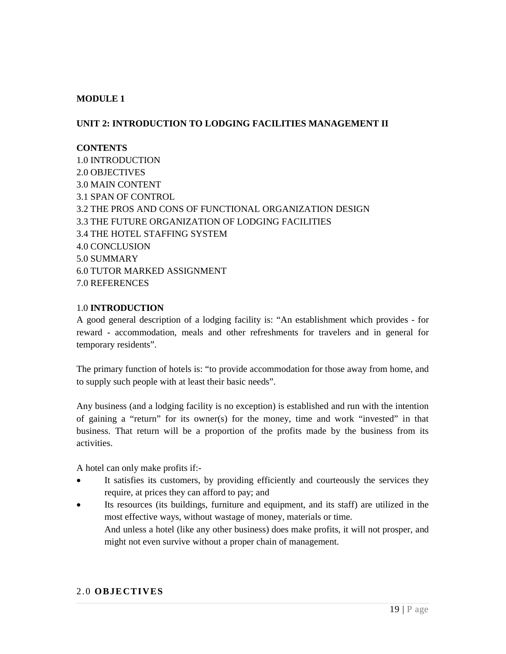#### **MODULE 1**

## **UNIT 2: INTRODUCTION TO LODGING FACILITIES MANAGEMENT II**

#### **CONTENTS**

1.0 INTRODUCTION 2.0 OBJECTIVES 3.0 MAIN CONTENT 3.1 SPAN OF CONTROL 3.2 THE PROS AND CONS OF FUNCTIONAL ORGANIZATION DESIGN 3.3 THE FUTURE ORGANIZATION OF LODGING FACILITIES 3.4 THE HOTEL STAFFING SYSTEM 4.0 CONCLUSION 5.0 SUMMARY 6.0 TUTOR MARKED ASSIGNMENT 7.0 REFERENCES

#### 1.0 **INTRODUCTION**

A good general description of a lodging facility is: "An establishment which provides - for reward - accommodation, meals and other refreshments for travelers and in general for temporary residents".

The primary function of hotels is: "to provide accommodation for those away from home, and to supply such people with at least their basic needs".

Any business (and a lodging facility is no exception) is established and run with the intention of gaining a "return" for its owner(s) for the money, time and work "invested" in that business. That return will be a proportion of the profits made by the business from its activities.

A hotel can only make profits if:-

- It satisfies its customers, by providing efficiently and courteously the services they require, at prices they can afford to pay; and
- Its resources (its buildings, furniture and equipment, and its staff) are utilized in the most effective ways, without wastage of money, materials or time. And unless a hotel (like any other business) does make profits, it will not prosper, and might not even survive without a proper chain of management.

#### 2.0 **OBJECTIVES**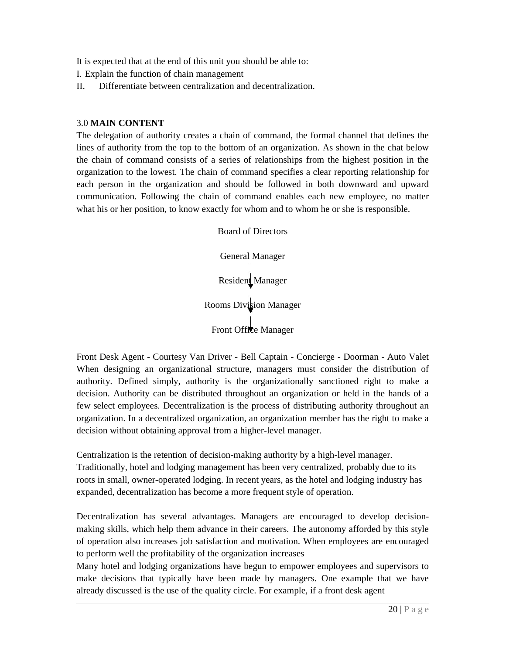It is expected that at the end of this unit you should be able to:

I. Explain the function of chain management

II. Differentiate between centralization and decentralization.

#### 3.0 **MAIN CONTENT**

The delegation of authority creates a chain of command, the formal channel that defines the lines of authority from the top to the bottom of an organization. As shown in the chat below the chain of command consists of a series of relationships from the highest position in the organization to the lowest. The chain of command specifies a clear reporting relationship for each person in the organization and should be followed in both downward and upward communication. Following the chain of command enables each new employee, no matter what his or her position, to know exactly for whom and to whom he or she is responsible.

| <b>Board of Directors</b> |
|---------------------------|
| <b>General Manager</b>    |
| Residen Manager           |
| Rooms Division Manager    |
| Front Office Manager      |

Front Desk Agent - Courtesy Van Driver - Bell Captain - Concierge - Doorman - Auto Valet When designing an organizational structure, managers must consider the distribution of authority. Defined simply, authority is the organizationally sanctioned right to make a decision. Authority can be distributed throughout an organization or held in the hands of a few select employees. Decentralization is the process of distributing authority throughout an organization. In a decentralized organization, an organization member has the right to make a decision without obtaining approval from a higher-level manager.

Centralization is the retention of decision-making authority by a high-level manager. Traditionally, hotel and lodging management has been very centralized, probably due to its roots in small, owner-operated lodging. In recent years, as the hotel and lodging industry has expanded, decentralization has become a more frequent style of operation.

Decentralization has several advantages. Managers are encouraged to develop decisionmaking skills, which help them advance in their careers. The autonomy afforded by this style of operation also increases job satisfaction and motivation. When employees are encouraged to perform well the profitability of the organization increases

Many hotel and lodging organizations have begun to empower employees and supervisors to make decisions that typically have been made by managers. One example that we have already discussed is the use of the quality circle. For example, if a front desk agent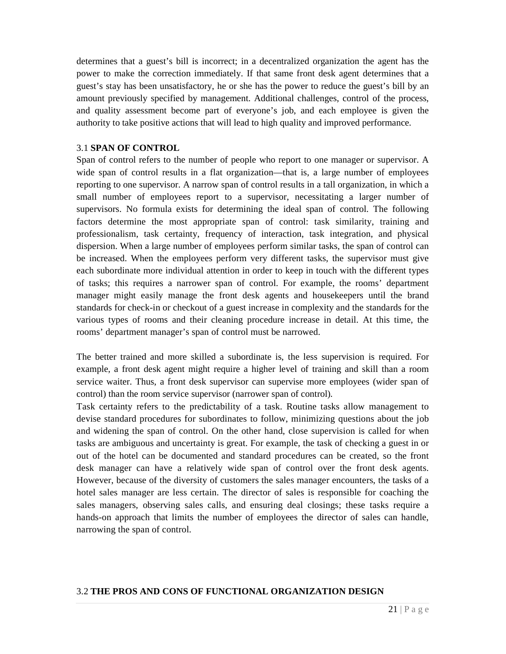determines that a guest's bill is incorrect; in a decentralized organization the agent has the power to make the correction immediately. If that same front desk agent determines that a guest's stay has been unsatisfactory, he or she has the power to reduce the guest's bill by an amount previously specified by management. Additional challenges, control of the process, and quality assessment become part of everyone's job, and each employee is given the authority to take positive actions that will lead to high quality and improved performance.

#### 3.1 **SPAN OF CONTROL**

Span of control refers to the number of people who report to one manager or supervisor. A wide span of control results in a flat organization—that is, a large number of employees reporting to one supervisor. A narrow span of control results in a tall organization, in which a small number of employees report to a supervisor, necessitating a larger number of supervisors. No formula exists for determining the ideal span of control. The following factors determine the most appropriate span of control: task similarity, training and professionalism, task certainty, frequency of interaction, task integration, and physical dispersion. When a large number of employees perform similar tasks, the span of control can be increased. When the employees perform very different tasks, the supervisor must give each subordinate more individual attention in order to keep in touch with the different types of tasks; this requires a narrower span of control. For example, the rooms' department manager might easily manage the front desk agents and housekeepers until the brand standards for check-in or checkout of a guest increase in complexity and the standards for the various types of rooms and their cleaning procedure increase in detail. At this time, the rooms' department manager's span of control must be narrowed.

The better trained and more skilled a subordinate is, the less supervision is required. For example, a front desk agent might require a higher level of training and skill than a room service waiter. Thus, a front desk supervisor can supervise more employees (wider span of control) than the room service supervisor (narrower span of control).

Task certainty refers to the predictability of a task. Routine tasks allow management to devise standard procedures for subordinates to follow, minimizing questions about the job and widening the span of control. On the other hand, close supervision is called for when tasks are ambiguous and uncertainty is great. For example, the task of checking a guest in or out of the hotel can be documented and standard procedures can be created, so the front desk manager can have a relatively wide span of control over the front desk agents. However, because of the diversity of customers the sales manager encounters, the tasks of a hotel sales manager are less certain. The director of sales is responsible for coaching the sales managers, observing sales calls, and ensuring deal closings; these tasks require a hands-on approach that limits the number of employees the director of sales can handle, narrowing the span of control.

#### 3.2 **THE PROS AND CONS OF FUNCTIONAL ORGANIZATION DESIGN**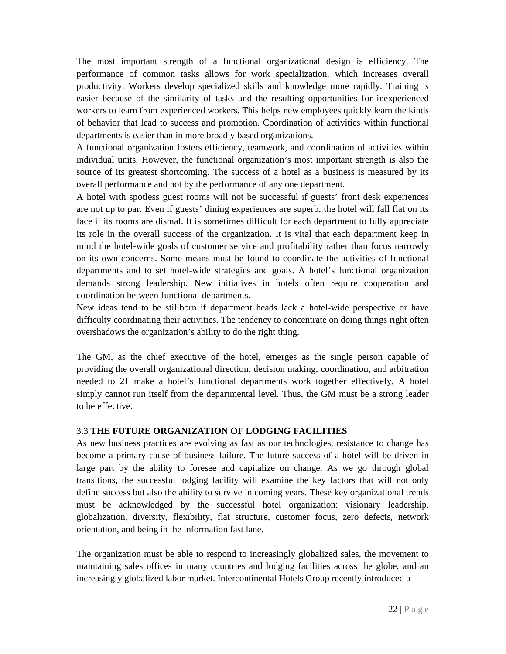The most important strength of a functional organizational design is efficiency. The performance of common tasks allows for work specialization, which increases overall productivity. Workers develop specialized skills and knowledge more rapidly. Training is easier because of the similarity of tasks and the resulting opportunities for inexperienced workers to learn from experienced workers. This helps new employees quickly learn the kinds of behavior that lead to success and promotion. Coordination of activities within functional departments is easier than in more broadly based organizations.

A functional organization fosters efficiency, teamwork, and coordination of activities within individual units. However, the functional organization's most important strength is also the source of its greatest shortcoming. The success of a hotel as a business is measured by its overall performance and not by the performance of any one department.

A hotel with spotless guest rooms will not be successful if guests' front desk experiences are not up to par. Even if guests' dining experiences are superb, the hotel will fall flat on its face if its rooms are dismal. It is sometimes difficult for each department to fully appreciate its role in the overall success of the organization. It is vital that each department keep in mind the hotel-wide goals of customer service and profitability rather than focus narrowly on its own concerns. Some means must be found to coordinate the activities of functional departments and to set hotel-wide strategies and goals. A hotel's functional organization demands strong leadership. New initiatives in hotels often require cooperation and coordination between functional departments.

New ideas tend to be stillborn if department heads lack a hotel-wide perspective or have difficulty coordinating their activities. The tendency to concentrate on doing things right often overshadows the organization's ability to do the right thing.

The GM, as the chief executive of the hotel, emerges as the single person capable of providing the overall organizational direction, decision making, coordination, and arbitration needed to 21 make a hotel's functional departments work together effectively. A hotel simply cannot run itself from the departmental level. Thus, the GM must be a strong leader to be effective.

# 3.3 **THE FUTURE ORGANIZATION OF LODGING FACILITIES**

As new business practices are evolving as fast as our technologies, resistance to change has become a primary cause of business failure. The future success of a hotel will be driven in large part by the ability to foresee and capitalize on change. As we go through global transitions, the successful lodging facility will examine the key factors that will not only define success but also the ability to survive in coming years. These key organizational trends must be acknowledged by the successful hotel organization: visionary leadership, globalization, diversity, flexibility, flat structure, customer focus, zero defects, network orientation, and being in the information fast lane.

The organization must be able to respond to increasingly globalized sales, the movement to maintaining sales offices in many countries and lodging facilities across the globe, and an increasingly globalized labor market. Intercontinental Hotels Group recently introduced a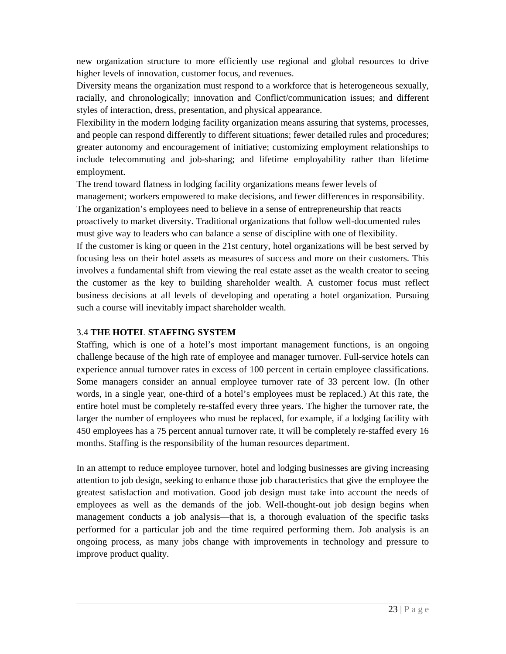new organization structure to more efficiently use regional and global resources to drive higher levels of innovation, customer focus, and revenues.

Diversity means the organization must respond to a workforce that is heterogeneous sexually, racially, and chronologically; innovation and Conflict/communication issues; and different styles of interaction, dress, presentation, and physical appearance.

Flexibility in the modern lodging facility organization means assuring that systems, processes, and people can respond differently to different situations; fewer detailed rules and procedures; greater autonomy and encouragement of initiative; customizing employment relationships to include telecommuting and job-sharing; and lifetime employability rather than lifetime employment.

The trend toward flatness in lodging facility organizations means fewer levels of management; workers empowered to make decisions, and fewer differences in responsibility. The organization's employees need to believe in a sense of entrepreneurship that reacts proactively to market diversity. Traditional organizations that follow well-documented rules must give way to leaders who can balance a sense of discipline with one of flexibility.

If the customer is king or queen in the 21st century, hotel organizations will be best served by focusing less on their hotel assets as measures of success and more on their customers. This involves a fundamental shift from viewing the real estate asset as the wealth creator to seeing the customer as the key to building shareholder wealth. A customer focus must reflect business decisions at all levels of developing and operating a hotel organization. Pursuing such a course will inevitably impact shareholder wealth.

## 3.4 **THE HOTEL STAFFING SYSTEM**

Staffing, which is one of a hotel's most important management functions, is an ongoing challenge because of the high rate of employee and manager turnover. Full-service hotels can experience annual turnover rates in excess of 100 percent in certain employee classifications. Some managers consider an annual employee turnover rate of 33 percent low. (In other words, in a single year, one-third of a hotel's employees must be replaced.) At this rate, the entire hotel must be completely re-staffed every three years. The higher the turnover rate, the larger the number of employees who must be replaced, for example, if a lodging facility with 450 employees has a 75 percent annual turnover rate, it will be completely re-staffed every 16 months. Staffing is the responsibility of the human resources department.

In an attempt to reduce employee turnover, hotel and lodging businesses are giving increasing attention to job design, seeking to enhance those job characteristics that give the employee the greatest satisfaction and motivation. Good job design must take into account the needs of employees as well as the demands of the job. Well-thought-out job design begins when management conducts a job analysis—that is, a thorough evaluation of the specific tasks performed for a particular job and the time required performing them. Job analysis is an ongoing process, as many jobs change with improvements in technology and pressure to improve product quality.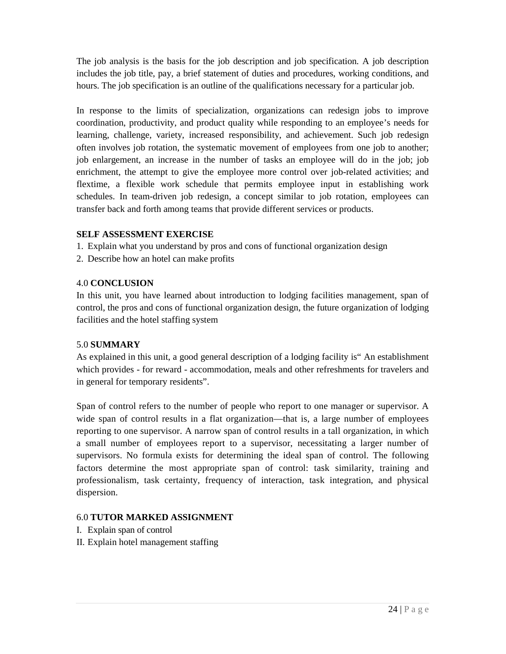The job analysis is the basis for the job description and job specification. A job description includes the job title, pay, a brief statement of duties and procedures, working conditions, and hours. The job specification is an outline of the qualifications necessary for a particular job.

In response to the limits of specialization, organizations can redesign jobs to improve coordination, productivity, and product quality while responding to an employee's needs for learning, challenge, variety, increased responsibility, and achievement. Such job redesign often involves job rotation, the systematic movement of employees from one job to another; job enlargement, an increase in the number of tasks an employee will do in the job; job enrichment, the attempt to give the employee more control over job-related activities; and flextime, a flexible work schedule that permits employee input in establishing work schedules. In team-driven job redesign, a concept similar to job rotation, employees can transfer back and forth among teams that provide different services or products.

## **SELF ASSESSMENT EXERCISE**

- 1. Explain what you understand by pros and cons of functional organization design
- 2. Describe how an hotel can make profits

## 4.0 **CONCLUSION**

In this unit, you have learned about introduction to lodging facilities management, span of control, the pros and cons of functional organization design, the future organization of lodging facilities and the hotel staffing system

#### 5.0 **SUMMARY**

As explained in this unit, a good general description of a lodging facility is" An establishment which provides - for reward - accommodation, meals and other refreshments for travelers and in general for temporary residents".

Span of control refers to the number of people who report to one manager or supervisor. A wide span of control results in a flat organization—that is, a large number of employees reporting to one supervisor. A narrow span of control results in a tall organization, in which a small number of employees report to a supervisor, necessitating a larger number of supervisors. No formula exists for determining the ideal span of control. The following factors determine the most appropriate span of control: task similarity, training and professionalism, task certainty, frequency of interaction, task integration, and physical dispersion.

#### 6.0 **TUTOR MARKED ASSIGNMENT**

- I. Explain span of control
- II. Explain hotel management staffing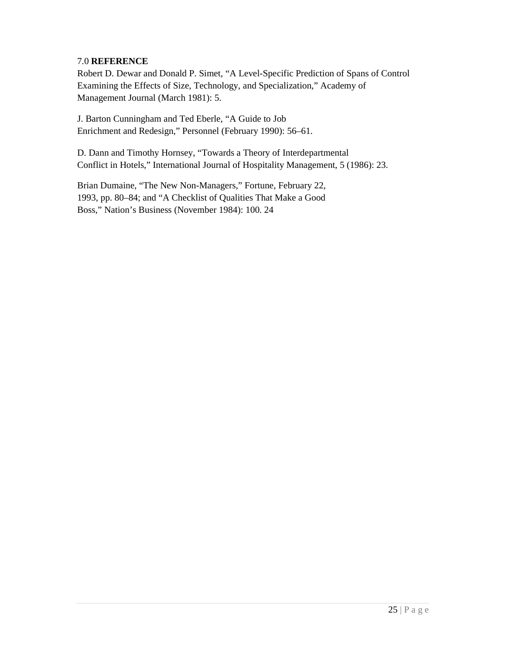## 7.0 **REFERENCE**

Robert D. Dewar and Donald P. Simet, "A Level-Specific Prediction of Spans of Control Examining the Effects of Size, Technology, and Specialization," Academy of Management Journal (March 1981): 5.

J. Barton Cunningham and Ted Eberle, "A Guide to Job Enrichment and Redesign," Personnel (February 1990): 56–61.

D. Dann and Timothy Hornsey, "Towards a Theory of Interdepartmental Conflict in Hotels," International Journal of Hospitality Management, 5 (1986): 23.

Brian Dumaine, "The New Non-Managers," Fortune, February 22, 1993, pp. 80–84; and "A Checklist of Qualities That Make a Good Boss," Nation's Business (November 1984): 100. 24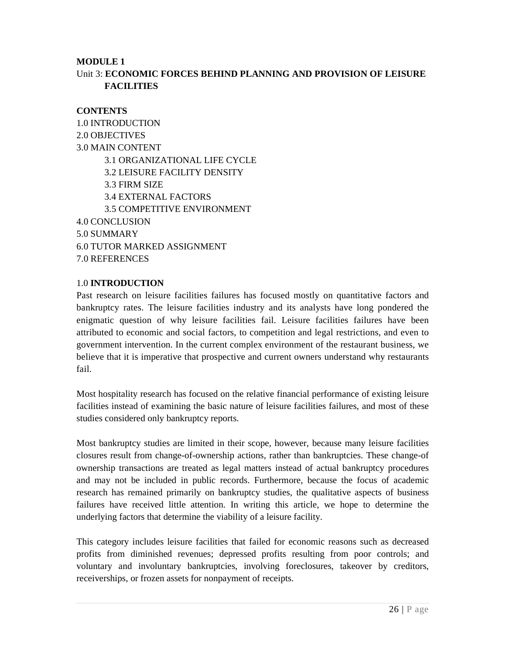## **MODULE 1**

# Unit 3: **ECONOMIC FORCES BEHIND PLANNING AND PROVISION OF LEISURE FACILITIES**

## **CONTENTS**

1.0 INTRODUCTION 2.0 OBJECTIVES 3.0 MAIN CONTENT 3.1 ORGANIZATIONAL LIFE CYCLE 3.2 LEISURE FACILITY DENSITY 3.3 FIRM SIZE 3.4 EXTERNAL FACTORS 3.5 COMPETITIVE ENVIRONMENT 4.0 CONCLUSION 5.0 SUMMARY 6.0 TUTOR MARKED ASSIGNMENT 7.0 REFERENCES

#### 1.0 **INTRODUCTION**

Past research on leisure facilities failures has focused mostly on quantitative factors and bankruptcy rates. The leisure facilities industry and its analysts have long pondered the enigmatic question of why leisure facilities fail. Leisure facilities failures have been attributed to economic and social factors, to competition and legal restrictions, and even to government intervention. In the current complex environment of the restaurant business, we believe that it is imperative that prospective and current owners understand why restaurants fail.

Most hospitality research has focused on the relative financial performance of existing leisure facilities instead of examining the basic nature of leisure facilities failures, and most of these studies considered only bankruptcy reports.

Most bankruptcy studies are limited in their scope, however, because many leisure facilities closures result from change-of-ownership actions, rather than bankruptcies. These change-of ownership transactions are treated as legal matters instead of actual bankruptcy procedures and may not be included in public records. Furthermore, because the focus of academic research has remained primarily on bankruptcy studies, the qualitative aspects of business failures have received little attention. In writing this article, we hope to determine the underlying factors that determine the viability of a leisure facility.

This category includes leisure facilities that failed for economic reasons such as decreased profits from diminished revenues; depressed profits resulting from poor controls; and voluntary and involuntary bankruptcies, involving foreclosures, takeover by creditors, receiverships, or frozen assets for nonpayment of receipts.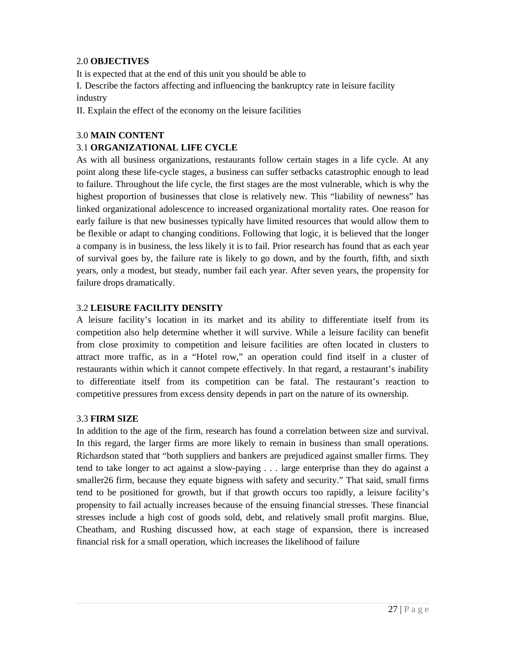## 2.0 **OBJECTIVES**

It is expected that at the end of this unit you should be able to

I. Describe the factors affecting and influencing the bankruptcy rate in leisure facility industry

II. Explain the effect of the economy on the leisure facilities

# 3.0 **MAIN CONTENT**

# 3.1 **ORGANIZATIONAL LIFE CYCLE**

As with all business organizations, restaurants follow certain stages in a life cycle. At any point along these life-cycle stages, a business can suffer setbacks catastrophic enough to lead to failure. Throughout the life cycle, the first stages are the most vulnerable, which is why the highest proportion of businesses that close is relatively new. This "liability of newness" has linked organizational adolescence to increased organizational mortality rates. One reason for early failure is that new businesses typically have limited resources that would allow them to be flexible or adapt to changing conditions. Following that logic, it is believed that the longer a company is in business, the less likely it is to fail. Prior research has found that as each year of survival goes by, the failure rate is likely to go down, and by the fourth, fifth, and sixth years, only a modest, but steady, number fail each year. After seven years, the propensity for failure drops dramatically.

## 3.2 **LEISURE FACILITY DENSITY**

A leisure facility's location in its market and its ability to differentiate itself from its competition also help determine whether it will survive. While a leisure facility can benefit from close proximity to competition and leisure facilities are often located in clusters to attract more traffic, as in a "Hotel row," an operation could find itself in a cluster of restaurants within which it cannot compete effectively. In that regard, a restaurant's inability to differentiate itself from its competition can be fatal. The restaurant's reaction to competitive pressures from excess density depends in part on the nature of its ownership.

#### 3.3 **FIRM SIZE**

In addition to the age of the firm, research has found a correlation between size and survival. In this regard, the larger firms are more likely to remain in business than small operations. Richardson stated that "both suppliers and bankers are prejudiced against smaller firms. They tend to take longer to act against a slow-paying . . . large enterprise than they do against a smaller26 firm, because they equate bigness with safety and security." That said, small firms tend to be positioned for growth, but if that growth occurs too rapidly, a leisure facility's propensity to fail actually increases because of the ensuing financial stresses. These financial stresses include a high cost of goods sold, debt, and relatively small profit margins. Blue, Cheatham, and Rushing discussed how, at each stage of expansion, there is increased financial risk for a small operation, which increases the likelihood of failure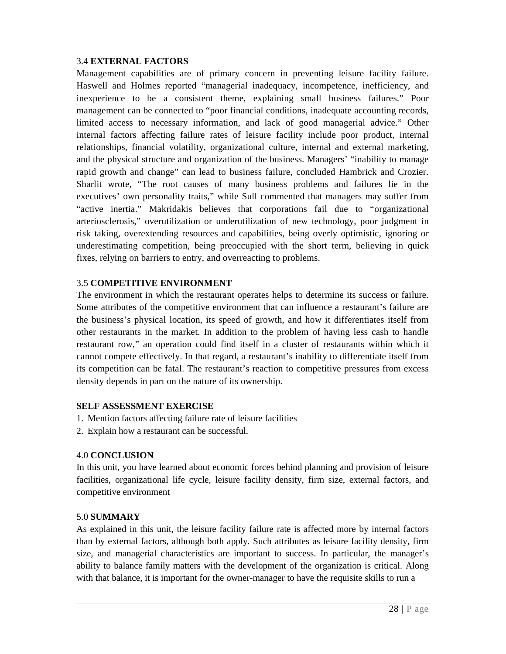#### 3.4 **EXTERNAL FACTORS**

Management capabilities are of primary concern in preventing leisure facility failure. Haswell and Holmes reported "managerial inadequacy, incompetence, inefficiency, and inexperience to be a consistent theme, explaining small business failures." Poor management can be connected to "poor financial conditions, inadequate accounting records, limited access to necessary information, and lack of good managerial advice." Other internal factors affecting failure rates of leisure facility include poor product, internal relationships, financial volatility, organizational culture, internal and external marketing, and the physical structure and organization of the business. Managers' "inability to manage rapid growth and change" can lead to business failure, concluded Hambrick and Crozier. Sharlit wrote, "The root causes of many business problems and failures lie in the executives' own personality traits," while Sull commented that managers may suffer from "active inertia." Makridakis believes that corporations fail due to "organizational arteriosclerosis," overutilization or underutilization of new technology, poor judgment in risk taking, overextending resources and capabilities, being overly optimistic, ignoring or underestimating competition, being preoccupied with the short term, believing in quick fixes, relying on barriers to entry, and overreacting to problems.

## 3.5 **COMPETITIVE ENVIRONMENT**

The environment in which the restaurant operates helps to determine its success or failure. Some attributes of the competitive environment that can influence a restaurant's failure are the business's physical location, its speed of growth, and how it differentiates itself from other restaurants in the market. In addition to the problem of having less cash to handle restaurant row," an operation could find itself in a cluster of restaurants within which it cannot compete effectively. In that regard, a restaurant's inability to differentiate itself from its competition can be fatal. The restaurant's reaction to competitive pressures from excess density depends in part on the nature of its ownership.

# **SELF ASSESSMENT EXERCISE**

- 1. Mention factors affecting failure rate of leisure facilities
- 2. Explain how a restaurant can be successful.

# 4.0 **CONCLUSION**

In this unit, you have learned about economic forces behind planning and provision of leisure facilities, organizational life cycle, leisure facility density, firm size, external factors, and competitive environment

# 5.0 **SUMMARY**

As explained in this unit, the leisure facility failure rate is affected more by internal factors than by external factors, although both apply. Such attributes as leisure facility density, firm size, and managerial characteristics are important to success. In particular, the manager's ability to balance family matters with the development of the organization is critical. Along with that balance, it is important for the owner-manager to have the requisite skills to run a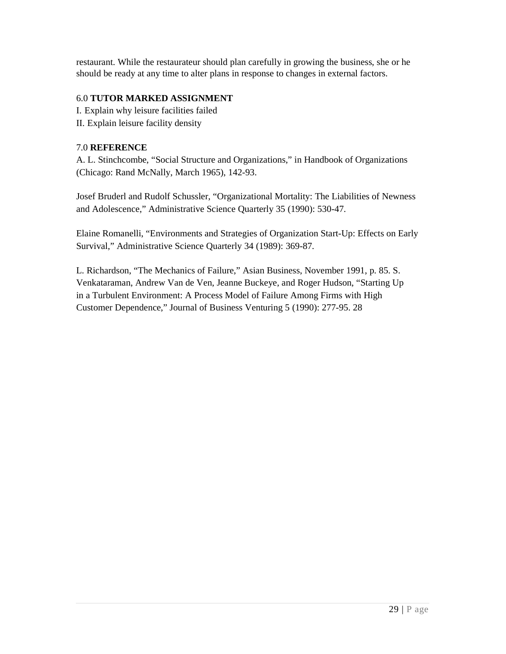restaurant. While the restaurateur should plan carefully in growing the business, she or he should be ready at any time to alter plans in response to changes in external factors.

#### 6.0 **TUTOR MARKED ASSIGNMENT**

I. Explain why leisure facilities failed

II. Explain leisure facility density

## 7.0 **REFERENCE**

A. L. Stinchcombe, "Social Structure and Organizations," in Handbook of Organizations (Chicago: Rand McNally, March 1965), 142-93.

Josef Bruderl and Rudolf Schussler, "Organizational Mortality: The Liabilities of Newness and Adolescence," Administrative Science Quarterly 35 (1990): 530-47.

Elaine Romanelli, "Environments and Strategies of Organization Start-Up: Effects on Early Survival," Administrative Science Quarterly 34 (1989): 369-87.

L. Richardson, "The Mechanics of Failure," Asian Business, November 1991, p. 85. S. Venkataraman, Andrew Van de Ven, Jeanne Buckeye, and Roger Hudson, "Starting Up in a Turbulent Environment: A Process Model of Failure Among Firms with High Customer Dependence," Journal of Business Venturing 5 (1990): 277-95. 28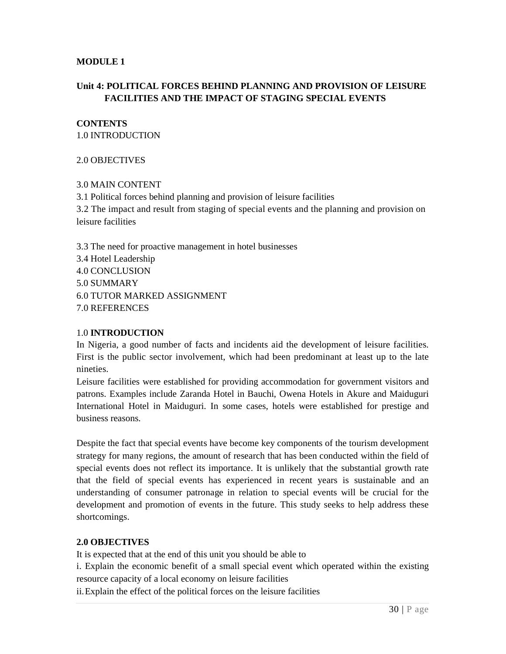## **MODULE 1**

# **Unit 4: POLITICAL FORCES BEHIND PLANNING AND PROVISION OF LEISURE FACILITIES AND THE IMPACT OF STAGING SPECIAL EVENTS**

#### **CONTENTS**

1.0 INTRODUCTION

2.0 OBJECTIVES

#### 3.0 MAIN CONTENT

3.1 Political forces behind planning and provision of leisure facilities

3.2 The impact and result from staging of special events and the planning and provision on leisure facilities

3.3 The need for proactive management in hotel businesses 3.4 Hotel Leadership 4.0 CONCLUSION 5.0 SUMMARY 6.0 TUTOR MARKED ASSIGNMENT 7.0 REFERENCES

#### 1.0 **INTRODUCTION**

In Nigeria, a good number of facts and incidents aid the development of leisure facilities. First is the public sector involvement, which had been predominant at least up to the late nineties.

Leisure facilities were established for providing accommodation for government visitors and patrons. Examples include Zaranda Hotel in Bauchi, Owena Hotels in Akure and Maiduguri International Hotel in Maiduguri. In some cases, hotels were established for prestige and business reasons.

Despite the fact that special events have become key components of the tourism development strategy for many regions, the amount of research that has been conducted within the field of special events does not reflect its importance. It is unlikely that the substantial growth rate that the field of special events has experienced in recent years is sustainable and an understanding of consumer patronage in relation to special events will be crucial for the development and promotion of events in the future. This study seeks to help address these shortcomings.

#### **2.0 OBJECTIVES**

It is expected that at the end of this unit you should be able to

i. Explain the economic benefit of a small special event which operated within the existing resource capacity of a local economy on leisure facilities

ii.Explain the effect of the political forces on the leisure facilities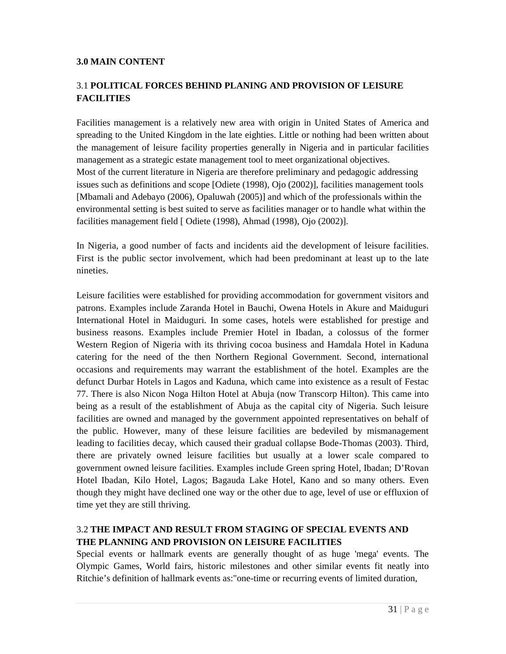# **3.0 MAIN CONTENT**

# 3.1 **POLITICAL FORCES BEHIND PLANING AND PROVISION OF LEISURE FACILITIES**

Facilities management is a relatively new area with origin in United States of America and spreading to the United Kingdom in the late eighties. Little or nothing had been written about the management of leisure facility properties generally in Nigeria and in particular facilities management as a strategic estate management tool to meet organizational objectives. Most of the current literature in Nigeria are therefore preliminary and pedagogic addressing issues such as definitions and scope [Odiete (1998), Ojo (2002)], facilities management tools [Mbamali and Adebayo (2006), Opaluwah (2005)] and which of the professionals within the environmental setting is best suited to serve as facilities manager or to handle what within the facilities management field [ Odiete (1998), Ahmad (1998), Ojo (2002)].

In Nigeria, a good number of facts and incidents aid the development of leisure facilities. First is the public sector involvement, which had been predominant at least up to the late nineties.

Leisure facilities were established for providing accommodation for government visitors and patrons. Examples include Zaranda Hotel in Bauchi, Owena Hotels in Akure and Maiduguri International Hotel in Maiduguri. In some cases, hotels were established for prestige and business reasons. Examples include Premier Hotel in Ibadan, a colossus of the former Western Region of Nigeria with its thriving cocoa business and Hamdala Hotel in Kaduna catering for the need of the then Northern Regional Government. Second, international occasions and requirements may warrant the establishment of the hotel. Examples are the defunct Durbar Hotels in Lagos and Kaduna, which came into existence as a result of Festac 77. There is also Nicon Noga Hilton Hotel at Abuja (now Transcorp Hilton). This came into being as a result of the establishment of Abuja as the capital city of Nigeria. Such leisure facilities are owned and managed by the government appointed representatives on behalf of the public. However, many of these leisure facilities are bedeviled by mismanagement leading to facilities decay, which caused their gradual collapse Bode-Thomas (2003). Third, there are privately owned leisure facilities but usually at a lower scale compared to government owned leisure facilities. Examples include Green spring Hotel, Ibadan; D'Rovan Hotel Ibadan, Kilo Hotel, Lagos; Bagauda Lake Hotel, Kano and so many others. Even though they might have declined one way or the other due to age, level of use or effluxion of time yet they are still thriving.

# 3.2 **THE IMPACT AND RESULT FROM STAGING OF SPECIAL EVENTS AND THE PLANNING AND PROVISION ON LEISURE FACILITIES**

Special events or hallmark events are generally thought of as huge 'mega' events. The Olympic Games, World fairs, historic milestones and other similar events fit neatly into Ritchie's definition of hallmark events as:"one-time or recurring events of limited duration,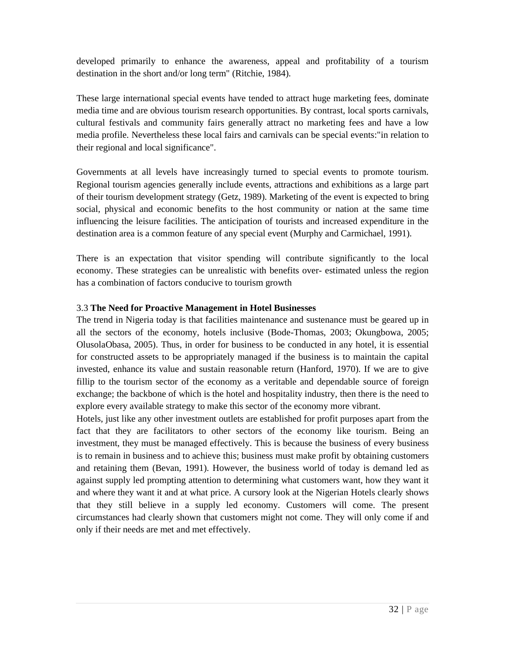developed primarily to enhance the awareness, appeal and profitability of a tourism destination in the short and/or long term" (Ritchie, 1984).

These large international special events have tended to attract huge marketing fees, dominate media time and are obvious tourism research opportunities. By contrast, local sports carnivals, cultural festivals and community fairs generally attract no marketing fees and have a low media profile. Nevertheless these local fairs and carnivals can be special events:"in relation to their regional and local significance".

Governments at all levels have increasingly turned to special events to promote tourism. Regional tourism agencies generally include events, attractions and exhibitions as a large part of their tourism development strategy (Getz, 1989). Marketing of the event is expected to bring social, physical and economic benefits to the host community or nation at the same time influencing the leisure facilities. The anticipation of tourists and increased expenditure in the destination area is a common feature of any special event (Murphy and Carmichael, 1991).

There is an expectation that visitor spending will contribute significantly to the local economy. These strategies can be unrealistic with benefits over- estimated unless the region has a combination of factors conducive to tourism growth

#### 3.3 **The Need for Proactive Management in Hotel Businesses**

The trend in Nigeria today is that facilities maintenance and sustenance must be geared up in all the sectors of the economy, hotels inclusive (Bode-Thomas, 2003; Okungbowa, 2005; OlusolaObasa, 2005). Thus, in order for business to be conducted in any hotel, it is essential for constructed assets to be appropriately managed if the business is to maintain the capital invested, enhance its value and sustain reasonable return (Hanford, 1970). If we are to give fillip to the tourism sector of the economy as a veritable and dependable source of foreign exchange; the backbone of which is the hotel and hospitality industry, then there is the need to explore every available strategy to make this sector of the economy more vibrant.

Hotels, just like any other investment outlets are established for profit purposes apart from the fact that they are facilitators to other sectors of the economy like tourism. Being an investment, they must be managed effectively. This is because the business of every business is to remain in business and to achieve this; business must make profit by obtaining customers and retaining them (Bevan, 1991). However, the business world of today is demand led as against supply led prompting attention to determining what customers want, how they want it and where they want it and at what price. A cursory look at the Nigerian Hotels clearly shows that they still believe in a supply led economy. Customers will come. The present circumstances had clearly shown that customers might not come. They will only come if and only if their needs are met and met effectively.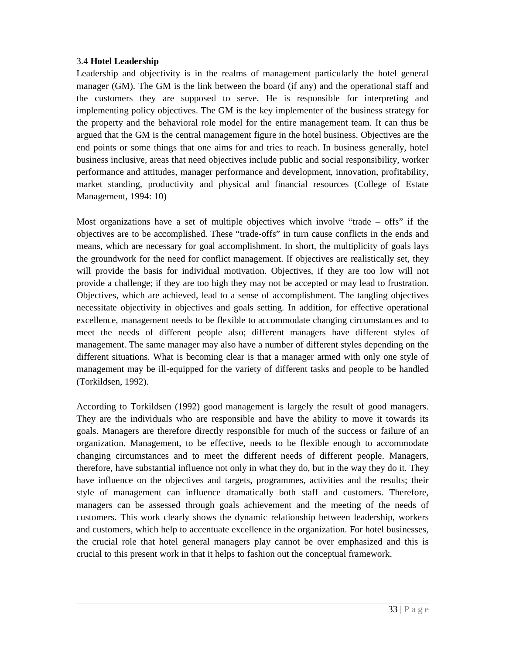#### 3.4 **Hotel Leadership**

Leadership and objectivity is in the realms of management particularly the hotel general manager (GM). The GM is the link between the board (if any) and the operational staff and the customers they are supposed to serve. He is responsible for interpreting and implementing policy objectives. The GM is the key implementer of the business strategy for the property and the behavioral role model for the entire management team. It can thus be argued that the GM is the central management figure in the hotel business. Objectives are the end points or some things that one aims for and tries to reach. In business generally, hotel business inclusive, areas that need objectives include public and social responsibility, worker performance and attitudes, manager performance and development, innovation, profitability, market standing, productivity and physical and financial resources (College of Estate Management, 1994: 10)

Most organizations have a set of multiple objectives which involve "trade – offs" if the objectives are to be accomplished. These "trade-offs" in turn cause conflicts in the ends and means, which are necessary for goal accomplishment. In short, the multiplicity of goals lays the groundwork for the need for conflict management. If objectives are realistically set, they will provide the basis for individual motivation. Objectives, if they are too low will not provide a challenge; if they are too high they may not be accepted or may lead to frustration. Objectives, which are achieved, lead to a sense of accomplishment. The tangling objectives necessitate objectivity in objectives and goals setting. In addition, for effective operational excellence, management needs to be flexible to accommodate changing circumstances and to meet the needs of different people also; different managers have different styles of management. The same manager may also have a number of different styles depending on the different situations. What is becoming clear is that a manager armed with only one style of management may be ill-equipped for the variety of different tasks and people to be handled (Torkildsen, 1992).

According to Torkildsen (1992) good management is largely the result of good managers. They are the individuals who are responsible and have the ability to move it towards its goals. Managers are therefore directly responsible for much of the success or failure of an organization. Management, to be effective, needs to be flexible enough to accommodate changing circumstances and to meet the different needs of different people. Managers, therefore, have substantial influence not only in what they do, but in the way they do it. They have influence on the objectives and targets, programmes, activities and the results; their style of management can influence dramatically both staff and customers. Therefore, managers can be assessed through goals achievement and the meeting of the needs of customers. This work clearly shows the dynamic relationship between leadership, workers and customers, which help to accentuate excellence in the organization. For hotel businesses, the crucial role that hotel general managers play cannot be over emphasized and this is crucial to this present work in that it helps to fashion out the conceptual framework.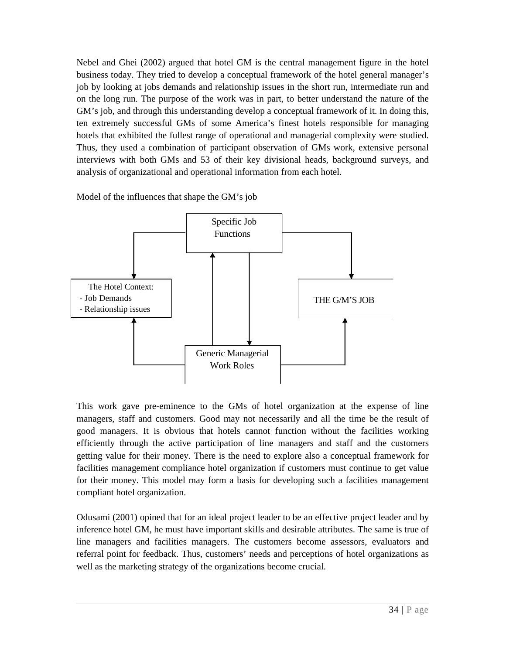Nebel and Ghei (2002) argued that hotel GM is the central management figure in the hotel business today. They tried to develop a conceptual framework of the hotel general manager's job by looking at jobs demands and relationship issues in the short run, intermediate run and on the long run. The purpose of the work was in part, to better understand the nature of the GM's job, and through this understanding develop a conceptual framework of it. In doing this, ten extremely successful GMs of some America's finest hotels responsible for managing hotels that exhibited the fullest range of operational and managerial complexity were studied. Thus, they used a combination of participant observation of GMs work, extensive personal interviews with both GMs and 53 of their key divisional heads, background surveys, and analysis of organizational and operational information from each hotel.

Model of the influences that shape the GM's job



This work gave pre-eminence to the GMs of hotel organization at the expense of line managers, staff and customers. Good may not necessarily and all the time be the result of good managers. It is obvious that hotels cannot function without the facilities working efficiently through the active participation of line managers and staff and the customers getting value for their money. There is the need to explore also a conceptual framework for facilities management compliance hotel organization if customers must continue to get value for their money. This model may form a basis for developing such a facilities management compliant hotel organization.

Odusami (2001) opined that for an ideal project leader to be an effective project leader and by inference hotel GM, he must have important skills and desirable attributes. The same is true of line managers and facilities managers. The customers become assessors, evaluators and referral point for feedback. Thus, customers' needs and perceptions of hotel organizations as well as the marketing strategy of the organizations become crucial.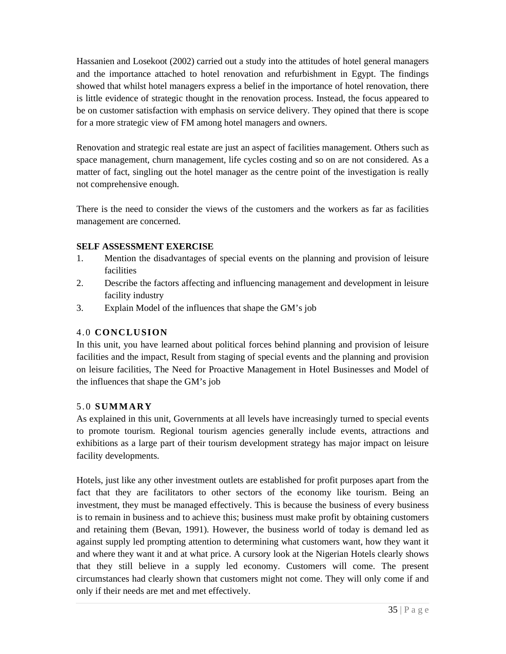Hassanien and Losekoot (2002) carried out a study into the attitudes of hotel general managers and the importance attached to hotel renovation and refurbishment in Egypt. The findings showed that whilst hotel managers express a belief in the importance of hotel renovation, there is little evidence of strategic thought in the renovation process. Instead, the focus appeared to be on customer satisfaction with emphasis on service delivery. They opined that there is scope for a more strategic view of FM among hotel managers and owners.

Renovation and strategic real estate are just an aspect of facilities management. Others such as space management, churn management, life cycles costing and so on are not considered. As a matter of fact, singling out the hotel manager as the centre point of the investigation is really not comprehensive enough.

There is the need to consider the views of the customers and the workers as far as facilities management are concerned.

# **SELF ASSESSMENT EXERCISE**

- 1. Mention the disadvantages of special events on the planning and provision of leisure facilities
- 2. Describe the factors affecting and influencing management and development in leisure facility industry
- 3. Explain Model of the influences that shape the GM's job

# 4.0 **CONCLUSION**

In this unit, you have learned about political forces behind planning and provision of leisure facilities and the impact, Result from staging of special events and the planning and provision on leisure facilities, The Need for Proactive Management in Hotel Businesses and Model of the influences that shape the GM's job

# 5. 0 **SUMM ARY**

As explained in this unit, Governments at all levels have increasingly turned to special events to promote tourism. Regional tourism agencies generally include events, attractions and exhibitions as a large part of their tourism development strategy has major impact on leisure facility developments.

Hotels, just like any other investment outlets are established for profit purposes apart from the fact that they are facilitators to other sectors of the economy like tourism. Being an investment, they must be managed effectively. This is because the business of every business is to remain in business and to achieve this; business must make profit by obtaining customers and retaining them (Bevan, 1991). However, the business world of today is demand led as against supply led prompting attention to determining what customers want, how they want it and where they want it and at what price. A cursory look at the Nigerian Hotels clearly shows that they still believe in a supply led economy. Customers will come. The present circumstances had clearly shown that customers might not come. They will only come if and only if their needs are met and met effectively.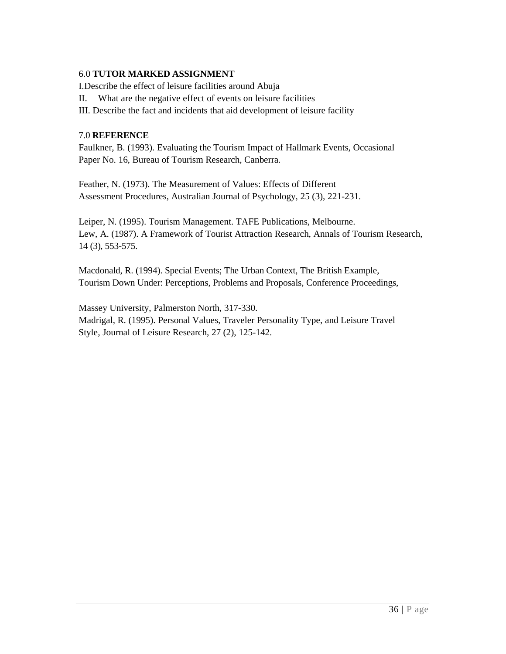#### 6.0 **TUTOR MARKED ASSIGNMENT**

I.Describe the effect of leisure facilities around Abuja

II. What are the negative effect of events on leisure facilities

III. Describe the fact and incidents that aid development of leisure facility

#### 7.0 **REFERENCE**

Faulkner, B. (1993). Evaluating the Tourism Impact of Hallmark Events, Occasional Paper No. 16, Bureau of Tourism Research, Canberra.

Feather, N. (1973). The Measurement of Values: Effects of Different Assessment Procedures, Australian Journal of Psychology, 25 (3), 221-231.

Leiper, N. (1995). Tourism Management. TAFE Publications, Melbourne. Lew, A. (1987). A Framework of Tourist Attraction Research, Annals of Tourism Research, 14 (3), 553-575.

Macdonald, R. (1994). Special Events; The Urban Context, The British Example, Tourism Down Under: Perceptions, Problems and Proposals, Conference Proceedings,

Massey University, Palmerston North, 317-330. Madrigal, R. (1995). Personal Values, Traveler Personality Type, and Leisure Travel Style, Journal of Leisure Research, 27 (2), 125-142.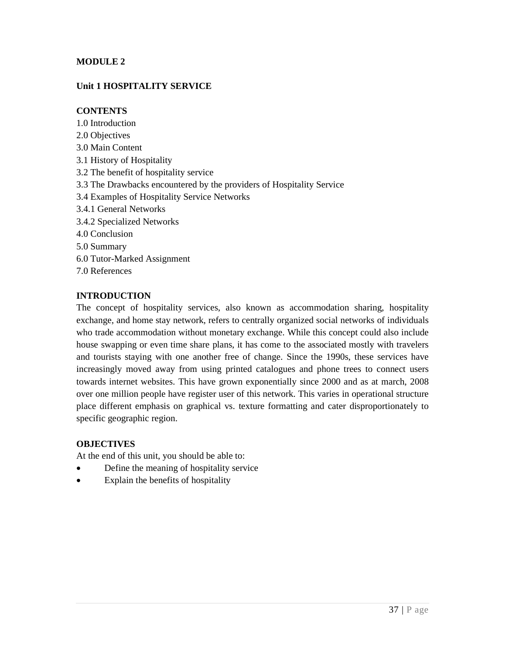# **MODULE 2**

## **Unit 1 HOSPITALITY SERVICE**

### **CONTENTS**

- 1.0 Introduction
- 2.0 Objectives
- 3.0 Main Content
- 3.1 History of Hospitality
- 3.2 The benefit of hospitality service
- 3.3 The Drawbacks encountered by the providers of Hospitality Service
- 3.4 Examples of Hospitality Service Networks
- 3.4.1 General Networks
- 3.4.2 Specialized Networks
- 4.0 Conclusion
- 5.0 Summary
- 6.0 Tutor-Marked Assignment
- 7.0 References

### **INTRODUCTION**

The concept of hospitality services, also known as accommodation sharing, hospitality exchange, and home stay network, refers to centrally organized social networks of individuals who trade accommodation without monetary exchange. While this concept could also include house swapping or even time share plans, it has come to the associated mostly with travelers and tourists staying with one another free of change. Since the 1990s, these services have increasingly moved away from using printed catalogues and phone trees to connect users towards internet websites. This have grown exponentially since 2000 and as at march, 2008 over one million people have register user of this network. This varies in operational structure place different emphasis on graphical vs. texture formatting and cater disproportionately to specific geographic region.

### **OBJECTIVES**

At the end of this unit, you should be able to:

- Define the meaning of hospitality service
- Explain the benefits of hospitality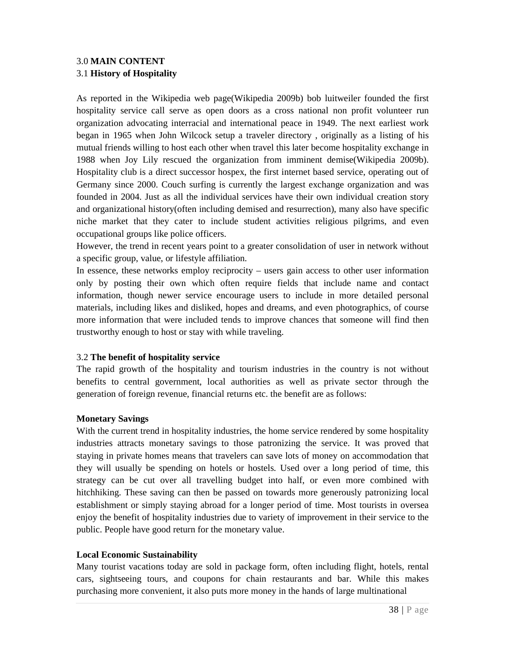# 3.0 **MAIN CONTENT**  3.1 **History of Hospitality**

As reported in the Wikipedia web page(Wikipedia 2009b) bob luitweiler founded the first hospitality service call serve as open doors as a cross national non profit volunteer run organization advocating interracial and international peace in 1949. The next earliest work began in 1965 when John Wilcock setup a traveler directory , originally as a listing of his mutual friends willing to host each other when travel this later become hospitality exchange in 1988 when Joy Lily rescued the organization from imminent demise(Wikipedia 2009b). Hospitality club is a direct successor hospex, the first internet based service, operating out of Germany since 2000. Couch surfing is currently the largest exchange organization and was founded in 2004. Just as all the individual services have their own individual creation story and organizational history(often including demised and resurrection), many also have specific niche market that they cater to include student activities religious pilgrims, and even occupational groups like police officers.

However, the trend in recent years point to a greater consolidation of user in network without a specific group, value, or lifestyle affiliation.

In essence, these networks employ reciprocity – users gain access to other user information only by posting their own which often require fields that include name and contact information, though newer service encourage users to include in more detailed personal materials, including likes and disliked, hopes and dreams, and even photographics, of course more information that were included tends to improve chances that someone will find then trustworthy enough to host or stay with while traveling.

### 3.2 **The benefit of hospitality service**

The rapid growth of the hospitality and tourism industries in the country is not without benefits to central government, local authorities as well as private sector through the generation of foreign revenue, financial returns etc. the benefit are as follows:

### **Monetary Savings**

With the current trend in hospitality industries, the home service rendered by some hospitality industries attracts monetary savings to those patronizing the service. It was proved that staying in private homes means that travelers can save lots of money on accommodation that they will usually be spending on hotels or hostels. Used over a long period of time, this strategy can be cut over all travelling budget into half, or even more combined with hitchhiking. These saving can then be passed on towards more generously patronizing local establishment or simply staying abroad for a longer period of time. Most tourists in oversea enjoy the benefit of hospitality industries due to variety of improvement in their service to the public. People have good return for the monetary value.

# **Local Economic Sustainability**

Many tourist vacations today are sold in package form, often including flight, hotels, rental cars, sightseeing tours, and coupons for chain restaurants and bar. While this makes purchasing more convenient, it also puts more money in the hands of large multinational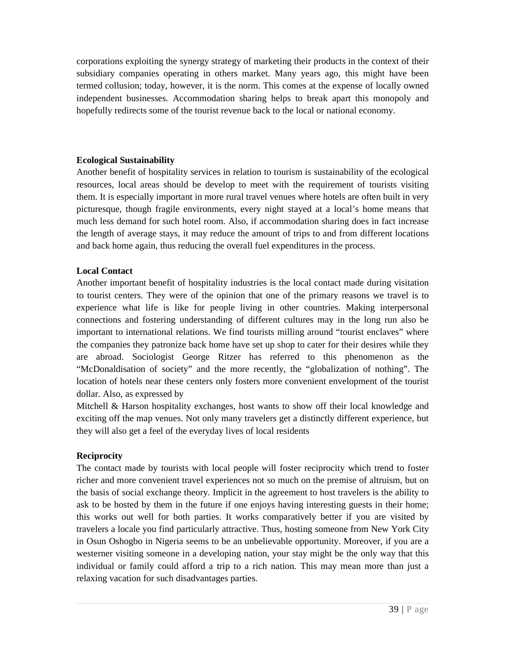corporations exploiting the synergy strategy of marketing their products in the context of their subsidiary companies operating in others market. Many years ago, this might have been termed collusion; today, however, it is the norm. This comes at the expense of locally owned independent businesses. Accommodation sharing helps to break apart this monopoly and hopefully redirects some of the tourist revenue back to the local or national economy.

### **Ecological Sustainability**

Another benefit of hospitality services in relation to tourism is sustainability of the ecological resources, local areas should be develop to meet with the requirement of tourists visiting them. It is especially important in more rural travel venues where hotels are often built in very picturesque, though fragile environments, every night stayed at a local's home means that much less demand for such hotel room. Also, if accommodation sharing does in fact increase the length of average stays, it may reduce the amount of trips to and from different locations and back home again, thus reducing the overall fuel expenditures in the process.

### **Local Contact**

Another important benefit of hospitality industries is the local contact made during visitation to tourist centers. They were of the opinion that one of the primary reasons we travel is to experience what life is like for people living in other countries. Making interpersonal connections and fostering understanding of different cultures may in the long run also be important to international relations. We find tourists milling around "tourist enclaves" where the companies they patronize back home have set up shop to cater for their desires while they are abroad. Sociologist George Ritzer has referred to this phenomenon as the "McDonaldisation of society" and the more recently, the "globalization of nothing". The location of hotels near these centers only fosters more convenient envelopment of the tourist dollar. Also, as expressed by

Mitchell & Harson hospitality exchanges, host wants to show off their local knowledge and exciting off the map venues. Not only many travelers get a distinctly different experience, but they will also get a feel of the everyday lives of local residents

# **Reciprocity**

The contact made by tourists with local people will foster reciprocity which trend to foster richer and more convenient travel experiences not so much on the premise of altruism, but on the basis of social exchange theory. Implicit in the agreement to host travelers is the ability to ask to be hosted by them in the future if one enjoys having interesting guests in their home; this works out well for both parties. It works comparatively better if you are visited by travelers a locale you find particularly attractive. Thus, hosting someone from New York City in Osun Oshogbo in Nigeria seems to be an unbelievable opportunity. Moreover, if you are a westerner visiting someone in a developing nation, your stay might be the only way that this individual or family could afford a trip to a rich nation. This may mean more than just a relaxing vacation for such disadvantages parties.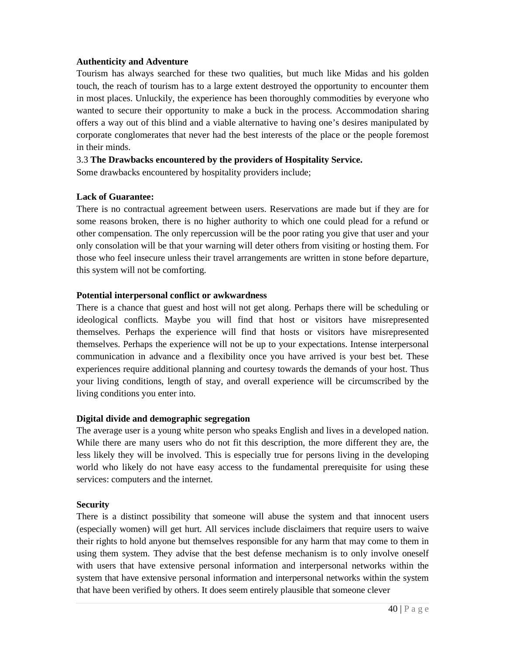#### **Authenticity and Adventure**

Tourism has always searched for these two qualities, but much like Midas and his golden touch, the reach of tourism has to a large extent destroyed the opportunity to encounter them in most places. Unluckily, the experience has been thoroughly commodities by everyone who wanted to secure their opportunity to make a buck in the process. Accommodation sharing offers a way out of this blind and a viable alternative to having one's desires manipulated by corporate conglomerates that never had the best interests of the place or the people foremost in their minds.

3.3 **The Drawbacks encountered by the providers of Hospitality Service.**

Some drawbacks encountered by hospitality providers include;

#### **Lack of Guarantee:**

There is no contractual agreement between users. Reservations are made but if they are for some reasons broken, there is no higher authority to which one could plead for a refund or other compensation. The only repercussion will be the poor rating you give that user and your only consolation will be that your warning will deter others from visiting or hosting them. For those who feel insecure unless their travel arrangements are written in stone before departure, this system will not be comforting.

### **Potential interpersonal conflict or awkwardness**

There is a chance that guest and host will not get along. Perhaps there will be scheduling or ideological conflicts. Maybe you will find that host or visitors have misrepresented themselves. Perhaps the experience will find that hosts or visitors have misrepresented themselves. Perhaps the experience will not be up to your expectations. Intense interpersonal communication in advance and a flexibility once you have arrived is your best bet. These experiences require additional planning and courtesy towards the demands of your host. Thus your living conditions, length of stay, and overall experience will be circumscribed by the living conditions you enter into.

### **Digital divide and demographic segregation**

The average user is a young white person who speaks English and lives in a developed nation. While there are many users who do not fit this description, the more different they are, the less likely they will be involved. This is especially true for persons living in the developing world who likely do not have easy access to the fundamental prerequisite for using these services: computers and the internet.

### **Security**

There is a distinct possibility that someone will abuse the system and that innocent users (especially women) will get hurt. All services include disclaimers that require users to waive their rights to hold anyone but themselves responsible for any harm that may come to them in using them system. They advise that the best defense mechanism is to only involve oneself with users that have extensive personal information and interpersonal networks within the system that have extensive personal information and interpersonal networks within the system that have been verified by others. It does seem entirely plausible that someone clever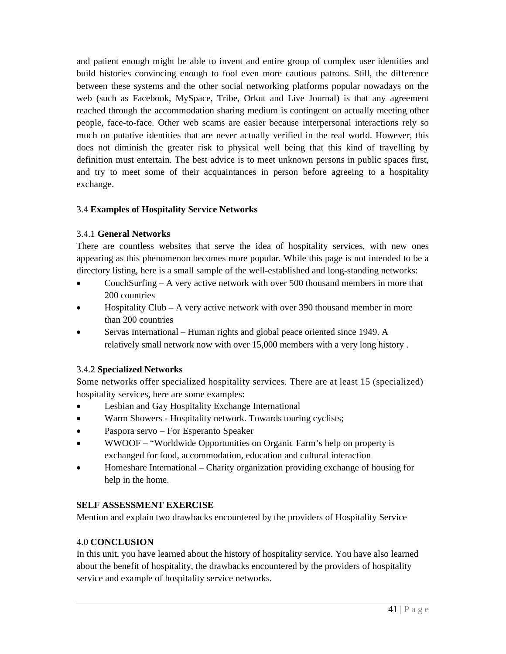and patient enough might be able to invent and entire group of complex user identities and build histories convincing enough to fool even more cautious patrons. Still, the difference between these systems and the other social networking platforms popular nowadays on the web (such as Facebook, MySpace, Tribe, Orkut and Live Journal) is that any agreement reached through the accommodation sharing medium is contingent on actually meeting other people, face-to-face. Other web scams are easier because interpersonal interactions rely so much on putative identities that are never actually verified in the real world. However, this does not diminish the greater risk to physical well being that this kind of travelling by definition must entertain. The best advice is to meet unknown persons in public spaces first, and try to meet some of their acquaintances in person before agreeing to a hospitality exchange.

# 3.4 **Examples of Hospitality Service Networks**

### 3.4.1 **General Networks**

There are countless websites that serve the idea of hospitality services, with new ones appearing as this phenomenon becomes more popular. While this page is not intended to be a directory listing, here is a small sample of the well-established and long-standing networks:

- CouchSurfing A very active network with over 500 thousand members in more that 200 countries
- Hospitality Club A very active network with over 390 thousand member in more than 200 countries
- Servas International Human rights and global peace oriented since 1949. A relatively small network now with over 15,000 members with a very long history .

# 3.4.2 **Specialized Networks**

Some networks offer specialized hospitality services. There are at least 15 (specialized) hospitality services, here are some examples:

- Lesbian and Gay Hospitality Exchange International
- Warm Showers Hospitality network. Towards touring cyclists;
- Paspora servo For Esperanto Speaker
- WWOOF "Worldwide Opportunities on Organic Farm's help on property is exchanged for food, accommodation, education and cultural interaction
- Homeshare International Charity organization providing exchange of housing for help in the home.

# **SELF ASSESSMENT EXERCISE**

Mention and explain two drawbacks encountered by the providers of Hospitality Service

# 4.0 **CONCLUSION**

In this unit, you have learned about the history of hospitality service. You have also learned about the benefit of hospitality, the drawbacks encountered by the providers of hospitality service and example of hospitality service networks.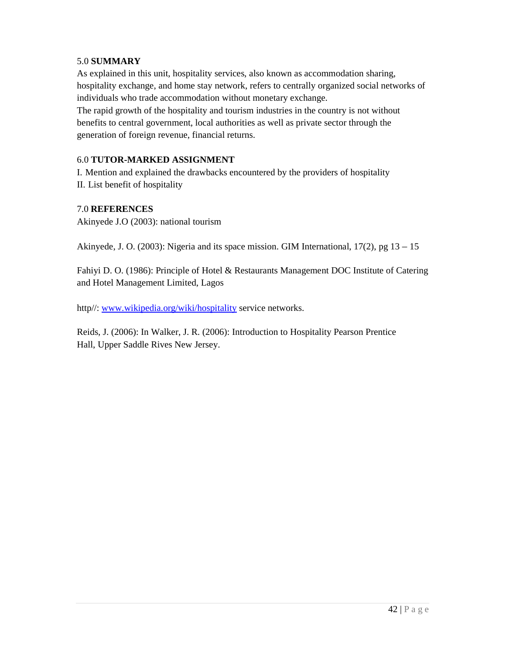### 5.0 **SUMMARY**

As explained in this unit, hospitality services, also known as accommodation sharing, hospitality exchange, and home stay network, refers to centrally organized social networks of individuals who trade accommodation without monetary exchange.

The rapid growth of the hospitality and tourism industries in the country is not without benefits to central government, local authorities as well as private sector through the generation of foreign revenue, financial returns.

## 6.0 **TUTOR-MARKED ASSIGNMENT**

I. Mention and explained the drawbacks encountered by the providers of hospitality II. List benefit of hospitality

### 7.0 **REFERENCES**

Akinyede J.O (2003): national tourism

Akinyede, J. O. (2003): Nigeria and its space mission. GIM International, 17(2), pg 13 – 15

Fahiyi D. O. (1986): Principle of Hotel & Restaurants Management DOC Institute of Catering and Hotel Management Limited, Lagos

http//: www.wikipedia.org/wiki/hospitality service networks.

Reids, J. (2006): In Walker, J. R. (2006): Introduction to Hospitality Pearson Prentice Hall, Upper Saddle Rives New Jersey.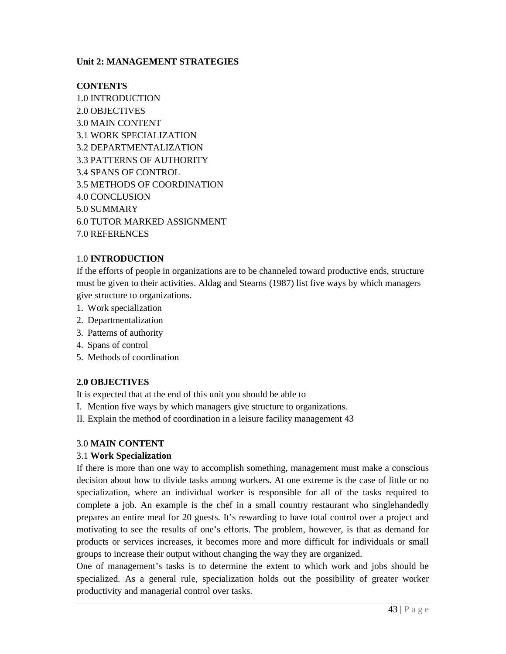## **Unit 2: MANAGEMENT STRATEGIES**

**CONTENTS**  1.0 INTRODUCTION 2.0 OBJECTIVES 3.0 MAIN CONTENT 3.1 WORK SPECIALIZATION 3.2 DEPARTMENTALIZATION 3.3 PATTERNS OF AUTHORITY 3.4 SPANS OF CONTROL 3.5 METHODS OF COORDINATION 4.0 CONCLUSION 5.0 SUMMARY 6.0 TUTOR MARKED ASSIGNMENT 7.0 REFERENCES

### 1.0 **INTRODUCTION**

If the efforts of people in organizations are to be channeled toward productive ends, structure must be given to their activities. Aldag and Stearns (1987) list five ways by which managers give structure to organizations.

- 1. Work specialization
- 2. Departmentalization
- 3. Patterns of authority
- 4. Spans of control
- 5. Methods of coordination

### **2.0 OBJECTIVES**

It is expected that at the end of this unit you should be able to

- I. Mention five ways by which managers give structure to organizations.
- II. Explain the method of coordination in a leisure facility management 43

#### 3.0 **MAIN CONTENT**

#### 3.1 **Work Specialization**

If there is more than one way to accomplish something, management must make a conscious decision about how to divide tasks among workers. At one extreme is the case of little or no specialization, where an individual worker is responsible for all of the tasks required to complete a job. An example is the chef in a small country restaurant who singlehandedly prepares an entire meal for 20 guests. It's rewarding to have total control over a project and motivating to see the results of one's efforts. The problem, however, is that as demand for products or services increases, it becomes more and more difficult for individuals or small groups to increase their output without changing the way they are organized.

One of management's tasks is to determine the extent to which work and jobs should be specialized. As a general rule, specialization holds out the possibility of greater worker productivity and managerial control over tasks.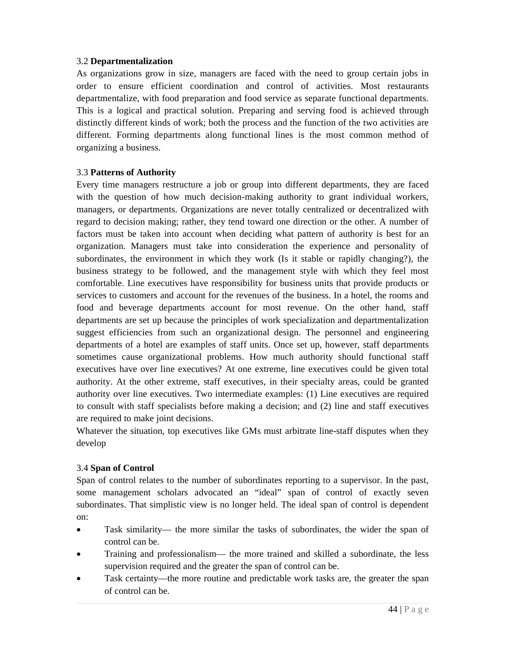### 3.2 **Departmentalization**

As organizations grow in size, managers are faced with the need to group certain jobs in order to ensure efficient coordination and control of activities. Most restaurants departmentalize, with food preparation and food service as separate functional departments. This is a logical and practical solution. Preparing and serving food is achieved through distinctly different kinds of work; both the process and the function of the two activities are different. Forming departments along functional lines is the most common method of organizing a business.

### 3.3 **Patterns of Authority**

Every time managers restructure a job or group into different departments, they are faced with the question of how much decision-making authority to grant individual workers, managers, or departments. Organizations are never totally centralized or decentralized with regard to decision making; rather, they tend toward one direction or the other. A number of factors must be taken into account when deciding what pattern of authority is best for an organization. Managers must take into consideration the experience and personality of subordinates, the environment in which they work (Is it stable or rapidly changing?), the business strategy to be followed, and the management style with which they feel most comfortable. Line executives have responsibility for business units that provide products or services to customers and account for the revenues of the business. In a hotel, the rooms and food and beverage departments account for most revenue. On the other hand, staff departments are set up because the principles of work specialization and departmentalization suggest efficiencies from such an organizational design. The personnel and engineering departments of a hotel are examples of staff units. Once set up, however, staff departments sometimes cause organizational problems. How much authority should functional staff executives have over line executives? At one extreme, line executives could be given total authority. At the other extreme, staff executives, in their specialty areas, could be granted authority over line executives. Two intermediate examples: (1) Line executives are required to consult with staff specialists before making a decision; and (2) line and staff executives are required to make joint decisions.

Whatever the situation, top executives like GMs must arbitrate line-staff disputes when they develop

### 3.4 **Span of Control**

Span of control relates to the number of subordinates reporting to a supervisor. In the past, some management scholars advocated an "ideal" span of control of exactly seven subordinates. That simplistic view is no longer held. The ideal span of control is dependent on:

- Task similarity— the more similar the tasks of subordinates, the wider the span of control can be.
- Training and professionalism— the more trained and skilled a subordinate, the less supervision required and the greater the span of control can be.
- Task certainty—the more routine and predictable work tasks are, the greater the span of control can be.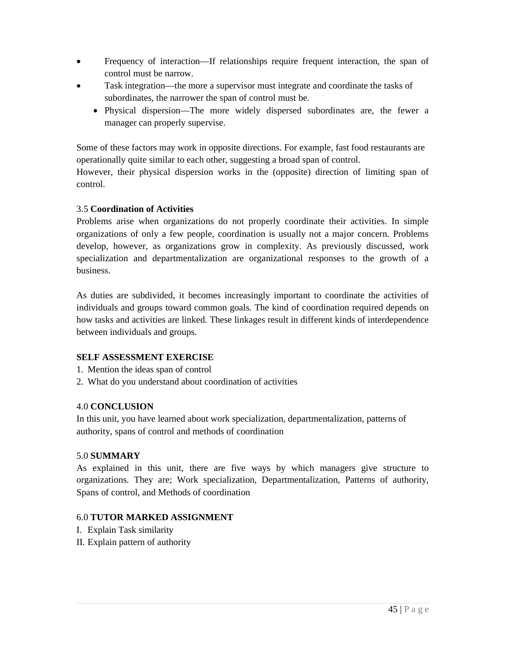- Frequency of interaction—If relationships require frequent interaction, the span of control must be narrow.
- Task integration—the more a supervisor must integrate and coordinate the tasks of subordinates, the narrower the span of control must be.
	- Physical dispersion—The more widely dispersed subordinates are, the fewer a manager can properly supervise.

Some of these factors may work in opposite directions. For example, fast food restaurants are operationally quite similar to each other, suggesting a broad span of control.

However, their physical dispersion works in the (opposite) direction of limiting span of control.

# 3.5 **Coordination of Activities**

Problems arise when organizations do not properly coordinate their activities. In simple organizations of only a few people, coordination is usually not a major concern. Problems develop, however, as organizations grow in complexity. As previously discussed, work specialization and departmentalization are organizational responses to the growth of a business.

As duties are subdivided, it becomes increasingly important to coordinate the activities of individuals and groups toward common goals. The kind of coordination required depends on how tasks and activities are linked. These linkages result in different kinds of interdependence between individuals and groups.

# **SELF ASSESSMENT EXERCISE**

- 1. Mention the ideas span of control
- 2. What do you understand about coordination of activities

# 4.0 **CONCLUSION**

In this unit, you have learned about work specialization, departmentalization, patterns of authority, spans of control and methods of coordination

# 5.0 **SUMMARY**

As explained in this unit, there are five ways by which managers give structure to organizations. They are; Work specialization, Departmentalization, Patterns of authority, Spans of control, and Methods of coordination

# 6.0 **TUTOR MARKED ASSIGNMENT**

- I. Explain Task similarity
- II. Explain pattern of authority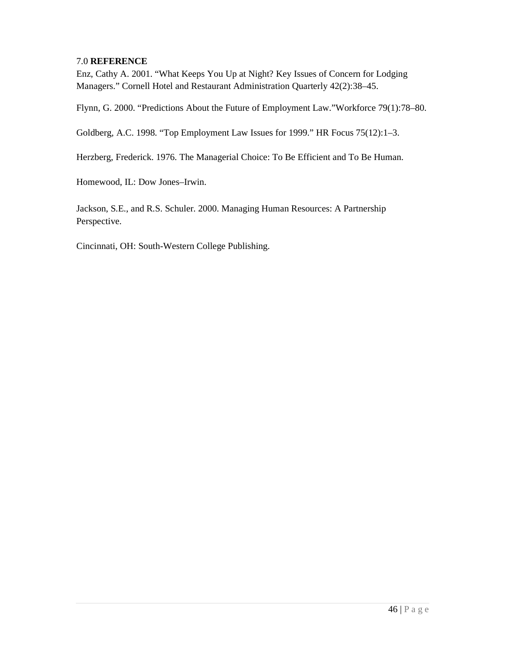### 7.0 **REFERENCE**

Enz, Cathy A. 2001. "What Keeps You Up at Night? Key Issues of Concern for Lodging Managers." Cornell Hotel and Restaurant Administration Quarterly 42(2):38–45.

Flynn, G. 2000. "Predictions About the Future of Employment Law."Workforce 79(1):78–80.

Goldberg, A.C. 1998. "Top Employment Law Issues for 1999." HR Focus 75(12):1–3.

Herzberg, Frederick. 1976. The Managerial Choice: To Be Efficient and To Be Human.

Homewood, IL: Dow Jones–Irwin.

Jackson, S.E., and R.S. Schuler. 2000. Managing Human Resources: A Partnership Perspective.

Cincinnati, OH: South-Western College Publishing.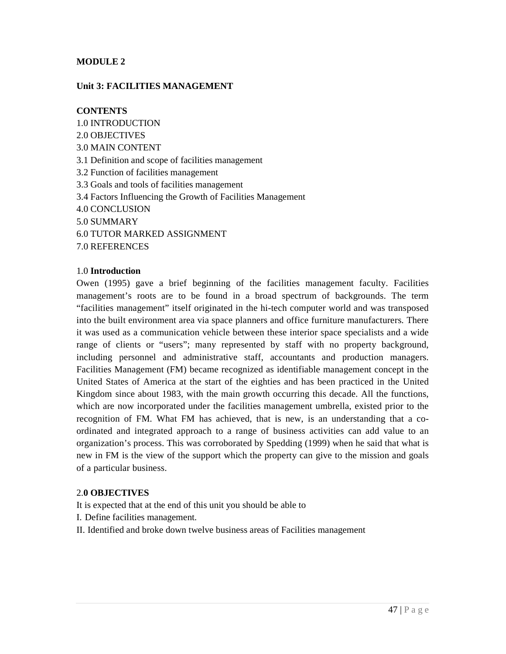# **MODULE 2**

### **Unit 3: FACILITIES MANAGEMENT**

### **CONTENTS**

1.0 INTRODUCTION 2.0 OBJECTIVES 3.0 MAIN CONTENT 3.1 Definition and scope of facilities management 3.2 Function of facilities management 3.3 Goals and tools of facilities management 3.4 Factors Influencing the Growth of Facilities Management 4.0 CONCLUSION 5.0 SUMMARY 6.0 TUTOR MARKED ASSIGNMENT

7.0 REFERENCES

#### 1.0 **Introduction**

Owen (1995) gave a brief beginning of the facilities management faculty. Facilities management's roots are to be found in a broad spectrum of backgrounds. The term "facilities management" itself originated in the hi-tech computer world and was transposed into the built environment area via space planners and office furniture manufacturers. There it was used as a communication vehicle between these interior space specialists and a wide range of clients or "users"; many represented by staff with no property background, including personnel and administrative staff, accountants and production managers. Facilities Management (FM) became recognized as identifiable management concept in the United States of America at the start of the eighties and has been practiced in the United Kingdom since about 1983, with the main growth occurring this decade. All the functions, which are now incorporated under the facilities management umbrella, existed prior to the recognition of FM. What FM has achieved, that is new, is an understanding that a coordinated and integrated approach to a range of business activities can add value to an organization's process. This was corroborated by Spedding (1999) when he said that what is new in FM is the view of the support which the property can give to the mission and goals of a particular business.

### 2.**0 OBJECTIVES**

It is expected that at the end of this unit you should be able to

- I. Define facilities management.
- II. Identified and broke down twelve business areas of Facilities management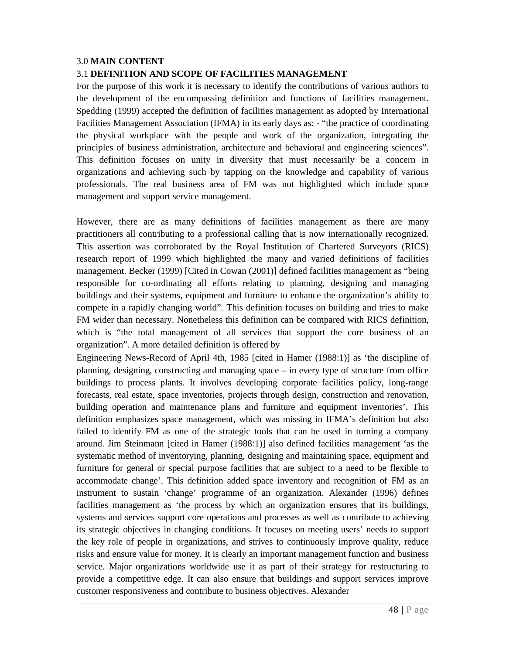#### 3.0 **MAIN CONTENT**

#### 3.1 **DEFINITION AND SCOPE OF FACILITIES MANAGEMENT**

For the purpose of this work it is necessary to identify the contributions of various authors to the development of the encompassing definition and functions of facilities management. Spedding (1999) accepted the definition of facilities management as adopted by International Facilities Management Association (IFMA) in its early days as: - "the practice of coordinating the physical workplace with the people and work of the organization, integrating the principles of business administration, architecture and behavioral and engineering sciences". This definition focuses on unity in diversity that must necessarily be a concern in organizations and achieving such by tapping on the knowledge and capability of various professionals. The real business area of FM was not highlighted which include space management and support service management.

However, there are as many definitions of facilities management as there are many practitioners all contributing to a professional calling that is now internationally recognized. This assertion was corroborated by the Royal Institution of Chartered Surveyors (RICS) research report of 1999 which highlighted the many and varied definitions of facilities management. Becker (1999) [Cited in Cowan (2001)] defined facilities management as "being responsible for co-ordinating all efforts relating to planning, designing and managing buildings and their systems, equipment and furniture to enhance the organization's ability to compete in a rapidly changing world". This definition focuses on building and tries to make FM wider than necessary. Nonetheless this definition can be compared with RICS definition, which is "the total management of all services that support the core business of an organization". A more detailed definition is offered by

Engineering News-Record of April 4th, 1985 [cited in Hamer (1988:1)] as 'the discipline of planning, designing, constructing and managing space – in every type of structure from office buildings to process plants. It involves developing corporate facilities policy, long-range forecasts, real estate, space inventories, projects through design, construction and renovation, building operation and maintenance plans and furniture and equipment inventories'. This definition emphasizes space management, which was missing in IFMA's definition but also failed to identify FM as one of the strategic tools that can be used in turning a company around. Jim Steinmann [cited in Hamer (1988:1)] also defined facilities management 'as the systematic method of inventorying, planning, designing and maintaining space, equipment and furniture for general or special purpose facilities that are subject to a need to be flexible to accommodate change'. This definition added space inventory and recognition of FM as an instrument to sustain 'change' programme of an organization. Alexander (1996) defines facilities management as 'the process by which an organization ensures that its buildings, systems and services support core operations and processes as well as contribute to achieving its strategic objectives in changing conditions. It focuses on meeting users' needs to support the key role of people in organizations, and strives to continuously improve quality, reduce risks and ensure value for money. It is clearly an important management function and business service. Major organizations worldwide use it as part of their strategy for restructuring to provide a competitive edge. It can also ensure that buildings and support services improve customer responsiveness and contribute to business objectives. Alexander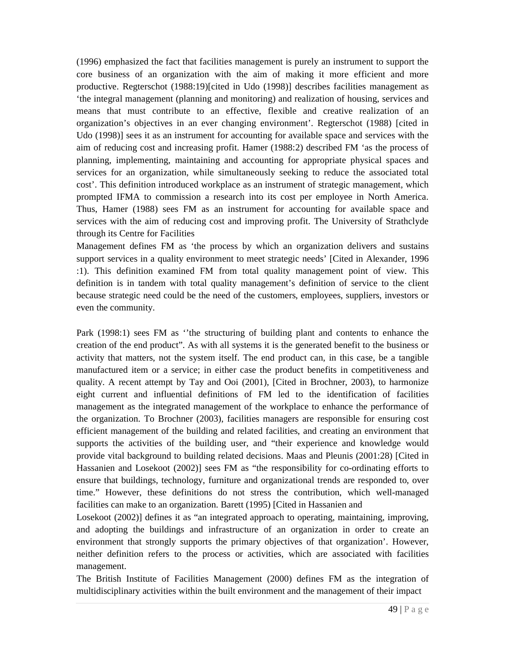(1996) emphasized the fact that facilities management is purely an instrument to support the core business of an organization with the aim of making it more efficient and more productive. Regterschot (1988:19)[cited in Udo (1998)] describes facilities management as 'the integral management (planning and monitoring) and realization of housing, services and means that must contribute to an effective, flexible and creative realization of an organization's objectives in an ever changing environment'. Regterschot (1988) [cited in Udo (1998)] sees it as an instrument for accounting for available space and services with the aim of reducing cost and increasing profit. Hamer (1988:2) described FM 'as the process of planning, implementing, maintaining and accounting for appropriate physical spaces and services for an organization, while simultaneously seeking to reduce the associated total cost'. This definition introduced workplace as an instrument of strategic management, which prompted IFMA to commission a research into its cost per employee in North America. Thus, Hamer (1988) sees FM as an instrument for accounting for available space and services with the aim of reducing cost and improving profit. The University of Strathclyde through its Centre for Facilities

Management defines FM as 'the process by which an organization delivers and sustains support services in a quality environment to meet strategic needs' [Cited in Alexander, 1996 :1). This definition examined FM from total quality management point of view. This definition is in tandem with total quality management's definition of service to the client because strategic need could be the need of the customers, employees, suppliers, investors or even the community.

Park (1998:1) sees FM as ''the structuring of building plant and contents to enhance the creation of the end product". As with all systems it is the generated benefit to the business or activity that matters, not the system itself. The end product can, in this case, be a tangible manufactured item or a service; in either case the product benefits in competitiveness and quality. A recent attempt by Tay and Ooi (2001), [Cited in Brochner, 2003), to harmonize eight current and influential definitions of FM led to the identification of facilities management as the integrated management of the workplace to enhance the performance of the organization. To Brochner (2003), facilities managers are responsible for ensuring cost efficient management of the building and related facilities, and creating an environment that supports the activities of the building user, and "their experience and knowledge would provide vital background to building related decisions. Maas and Pleunis (2001:28) [Cited in Hassanien and Losekoot (2002)] sees FM as "the responsibility for co-ordinating efforts to ensure that buildings, technology, furniture and organizational trends are responded to, over time." However, these definitions do not stress the contribution, which well-managed facilities can make to an organization. Barett (1995) [Cited in Hassanien and

Losekoot (2002)] defines it as "an integrated approach to operating, maintaining, improving, and adopting the buildings and infrastructure of an organization in order to create an environment that strongly supports the primary objectives of that organization'. However, neither definition refers to the process or activities, which are associated with facilities management.

The British Institute of Facilities Management (2000) defines FM as the integration of multidisciplinary activities within the built environment and the management of their impact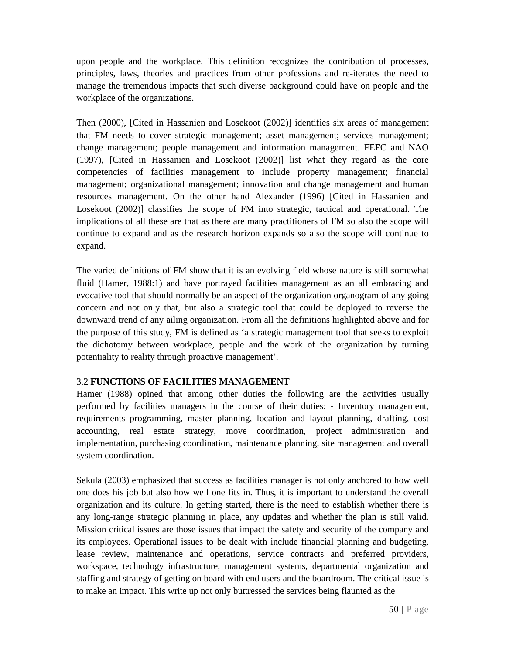upon people and the workplace. This definition recognizes the contribution of processes, principles, laws, theories and practices from other professions and re-iterates the need to manage the tremendous impacts that such diverse background could have on people and the workplace of the organizations.

Then (2000), [Cited in Hassanien and Losekoot (2002)] identifies six areas of management that FM needs to cover strategic management; asset management; services management; change management; people management and information management. FEFC and NAO (1997), [Cited in Hassanien and Losekoot (2002)] list what they regard as the core competencies of facilities management to include property management; financial management; organizational management; innovation and change management and human resources management. On the other hand Alexander (1996) [Cited in Hassanien and Losekoot (2002)] classifies the scope of FM into strategic, tactical and operational. The implications of all these are that as there are many practitioners of FM so also the scope will continue to expand and as the research horizon expands so also the scope will continue to expand.

The varied definitions of FM show that it is an evolving field whose nature is still somewhat fluid (Hamer, 1988:1) and have portrayed facilities management as an all embracing and evocative tool that should normally be an aspect of the organization organogram of any going concern and not only that, but also a strategic tool that could be deployed to reverse the downward trend of any ailing organization. From all the definitions highlighted above and for the purpose of this study, FM is defined as 'a strategic management tool that seeks to exploit the dichotomy between workplace, people and the work of the organization by turning potentiality to reality through proactive management'.

# 3.2 **FUNCTIONS OF FACILITIES MANAGEMENT**

Hamer (1988) opined that among other duties the following are the activities usually performed by facilities managers in the course of their duties: - Inventory management, requirements programming, master planning, location and layout planning, drafting, cost accounting, real estate strategy, move coordination, project administration and implementation, purchasing coordination, maintenance planning, site management and overall system coordination.

Sekula (2003) emphasized that success as facilities manager is not only anchored to how well one does his job but also how well one fits in. Thus, it is important to understand the overall organization and its culture. In getting started, there is the need to establish whether there is any long-range strategic planning in place, any updates and whether the plan is still valid. Mission critical issues are those issues that impact the safety and security of the company and its employees. Operational issues to be dealt with include financial planning and budgeting, lease review, maintenance and operations, service contracts and preferred providers, workspace, technology infrastructure, management systems, departmental organization and staffing and strategy of getting on board with end users and the boardroom. The critical issue is to make an impact. This write up not only buttressed the services being flaunted as the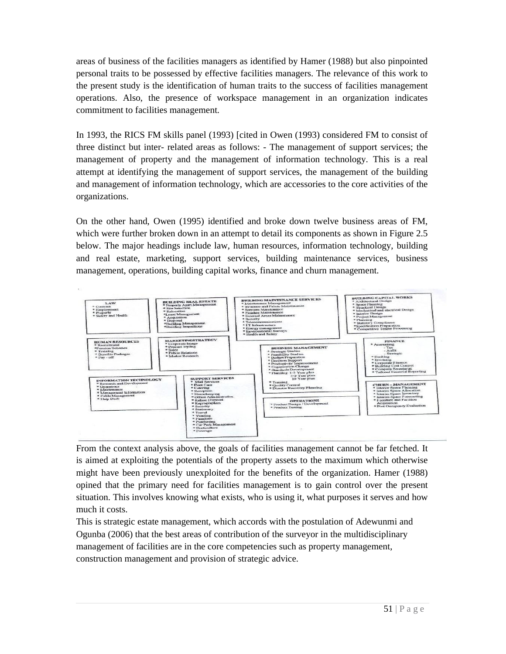areas of business of the facilities managers as identified by Hamer (1988) but also pinpointed personal traits to be possessed by effective facilities managers. The relevance of this work to the present study is the identification of human traits to the success of facilities management operations. Also, the presence of workspace management in an organization indicates commitment to facilities management.

In 1993, the RICS FM skills panel (1993) [cited in Owen (1993) considered FM to consist of three distinct but inter- related areas as follows: - The management of support services; the management of property and the management of information technology. This is a real attempt at identifying the management of support services, the management of the building and management of information technology, which are accessories to the core activities of the organizations.

On the other hand, Owen (1995) identified and broke down twelve business areas of FM, which were further broken down in an attempt to detail its components as shown in Figure 2.5 below. The major headings include law, human resources, information technology, building and real estate, marketing, support services, building maintenance services, business management, operations, building capital works, finance and churn management.



From the context analysis above, the goals of facilities management cannot be far fetched. It is aimed at exploiting the potentials of the property assets to the maximum which otherwise might have been previously unexploited for the benefits of the organization. Hamer (1988) opined that the primary need for facilities management is to gain control over the present situation. This involves knowing what exists, who is using it, what purposes it serves and how much it costs.

This is strategic estate management, which accords with the postulation of Adewunmi and Ogunba (2006) that the best areas of contribution of the surveyor in the multidisciplinary management of facilities are in the core competencies such as property management, construction management and provision of strategic advice.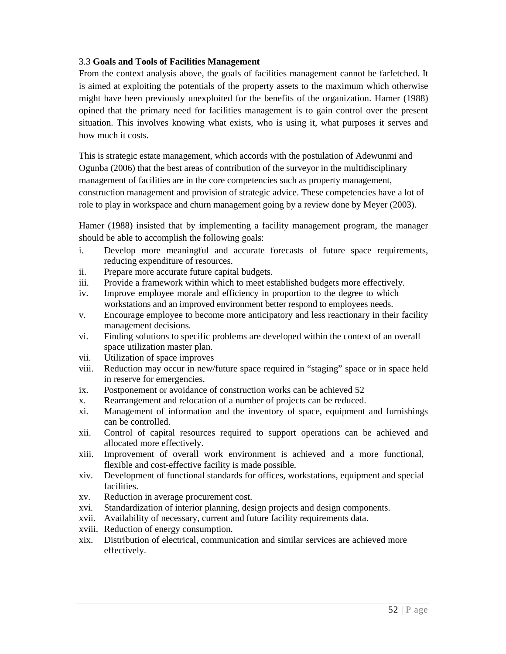## 3.3 **Goals and Tools of Facilities Management**

From the context analysis above, the goals of facilities management cannot be farfetched. It is aimed at exploiting the potentials of the property assets to the maximum which otherwise might have been previously unexploited for the benefits of the organization. Hamer (1988) opined that the primary need for facilities management is to gain control over the present situation. This involves knowing what exists, who is using it, what purposes it serves and how much it costs.

This is strategic estate management, which accords with the postulation of Adewunmi and Ogunba (2006) that the best areas of contribution of the surveyor in the multidisciplinary management of facilities are in the core competencies such as property management, construction management and provision of strategic advice. These competencies have a lot of role to play in workspace and churn management going by a review done by Meyer (2003).

Hamer (1988) insisted that by implementing a facility management program, the manager should be able to accomplish the following goals:

- i. Develop more meaningful and accurate forecasts of future space requirements, reducing expenditure of resources.
- ii. Prepare more accurate future capital budgets.
- iii. Provide a framework within which to meet established budgets more effectively.
- iv. Improve employee morale and efficiency in proportion to the degree to which workstations and an improved environment better respond to employees needs.
- v. Encourage employee to become more anticipatory and less reactionary in their facility management decisions.
- vi. Finding solutions to specific problems are developed within the context of an overall space utilization master plan.
- vii. Utilization of space improves
- viii. Reduction may occur in new/future space required in "staging" space or in space held in reserve for emergencies.
- ix. Postponement or avoidance of construction works can be achieved 52
- x. Rearrangement and relocation of a number of projects can be reduced.
- xi. Management of information and the inventory of space, equipment and furnishings can be controlled.
- xii. Control of capital resources required to support operations can be achieved and allocated more effectively.
- xiii. Improvement of overall work environment is achieved and a more functional, flexible and cost-effective facility is made possible.
- xiv. Development of functional standards for offices, workstations, equipment and special facilities.
- xv. Reduction in average procurement cost.
- xvi. Standardization of interior planning, design projects and design components.
- xvii. Availability of necessary, current and future facility requirements data.
- xviii. Reduction of energy consumption.
- xix. Distribution of electrical, communication and similar services are achieved more effectively.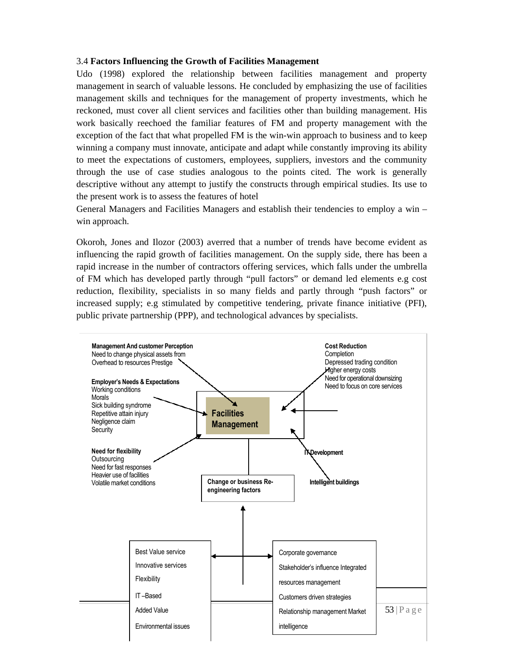#### 3.4 **Factors Influencing the Growth of Facilities Management**

Udo (1998) explored the relationship between facilities management and property management in search of valuable lessons. He concluded by emphasizing the use of facilities management skills and techniques for the management of property investments, which he reckoned, must cover all client services and facilities other than building management. His work basically reechoed the familiar features of FM and property management with the exception of the fact that what propelled FM is the win-win approach to business and to keep winning a company must innovate, anticipate and adapt while constantly improving its ability to meet the expectations of customers, employees, suppliers, investors and the community through the use of case studies analogous to the points cited. The work is generally descriptive without any attempt to justify the constructs through empirical studies. Its use to the present work is to assess the features of hotel

General Managers and Facilities Managers and establish their tendencies to employ a win – win approach.

Okoroh, Jones and Ilozor (2003) averred that a number of trends have become evident as influencing the rapid growth of facilities management. On the supply side, there has been a rapid increase in the number of contractors offering services, which falls under the umbrella of FM which has developed partly through "pull factors" or demand led elements e.g cost reduction, flexibility, specialists in so many fields and partly through "push factors" or increased supply; e.g stimulated by competitive tendering, private finance initiative (PFI), public private partnership (PPP), and technological advances by specialists.

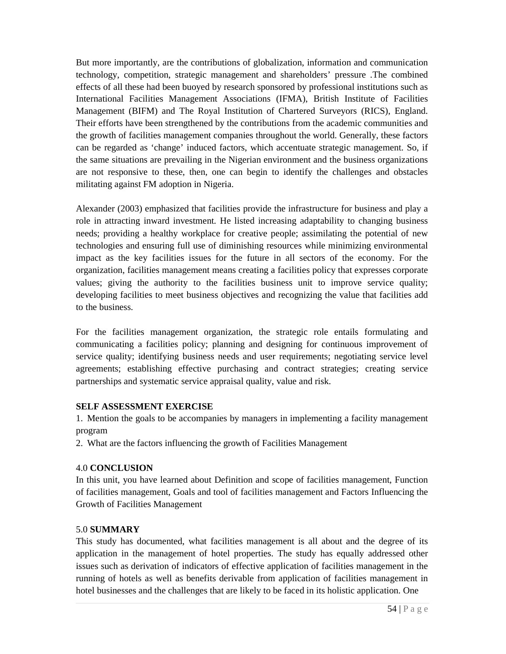But more importantly, are the contributions of globalization, information and communication technology, competition, strategic management and shareholders' pressure .The combined effects of all these had been buoyed by research sponsored by professional institutions such as International Facilities Management Associations (IFMA), British Institute of Facilities Management (BIFM) and The Royal Institution of Chartered Surveyors (RICS), England. Their efforts have been strengthened by the contributions from the academic communities and the growth of facilities management companies throughout the world. Generally, these factors can be regarded as 'change' induced factors, which accentuate strategic management. So, if the same situations are prevailing in the Nigerian environment and the business organizations are not responsive to these, then, one can begin to identify the challenges and obstacles militating against FM adoption in Nigeria.

Alexander (2003) emphasized that facilities provide the infrastructure for business and play a role in attracting inward investment. He listed increasing adaptability to changing business needs; providing a healthy workplace for creative people; assimilating the potential of new technologies and ensuring full use of diminishing resources while minimizing environmental impact as the key facilities issues for the future in all sectors of the economy. For the organization, facilities management means creating a facilities policy that expresses corporate values; giving the authority to the facilities business unit to improve service quality; developing facilities to meet business objectives and recognizing the value that facilities add to the business.

For the facilities management organization, the strategic role entails formulating and communicating a facilities policy; planning and designing for continuous improvement of service quality; identifying business needs and user requirements; negotiating service level agreements; establishing effective purchasing and contract strategies; creating service partnerships and systematic service appraisal quality, value and risk.

### **SELF ASSESSMENT EXERCISE**

1. Mention the goals to be accompanies by managers in implementing a facility management program

2. What are the factors influencing the growth of Facilities Management

### 4.0 **CONCLUSION**

In this unit, you have learned about Definition and scope of facilities management, Function of facilities management, Goals and tool of facilities management and Factors Influencing the Growth of Facilities Management

#### 5.0 **SUMMARY**

This study has documented, what facilities management is all about and the degree of its application in the management of hotel properties. The study has equally addressed other issues such as derivation of indicators of effective application of facilities management in the running of hotels as well as benefits derivable from application of facilities management in hotel businesses and the challenges that are likely to be faced in its holistic application. One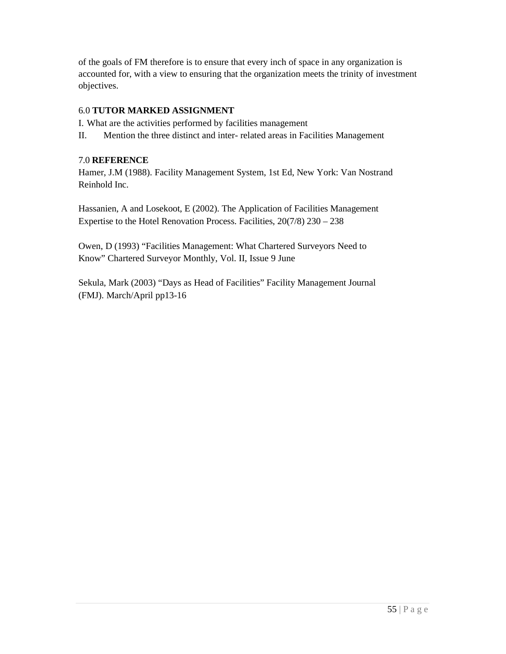of the goals of FM therefore is to ensure that every inch of space in any organization is accounted for, with a view to ensuring that the organization meets the trinity of investment objectives.

### 6.0 **TUTOR MARKED ASSIGNMENT**

I. What are the activities performed by facilities management

II. Mention the three distinct and inter- related areas in Facilities Management

### 7.0 **REFERENCE**

Hamer, J.M (1988). Facility Management System, 1st Ed, New York: Van Nostrand Reinhold Inc.

Hassanien, A and Losekoot, E (2002). The Application of Facilities Management Expertise to the Hotel Renovation Process. Facilities, 20(7/8) 230 – 238

Owen, D (1993) "Facilities Management: What Chartered Surveyors Need to Know" Chartered Surveyor Monthly, Vol. II, Issue 9 June

Sekula, Mark (2003) "Days as Head of Facilities" Facility Management Journal (FMJ). March/April pp13-16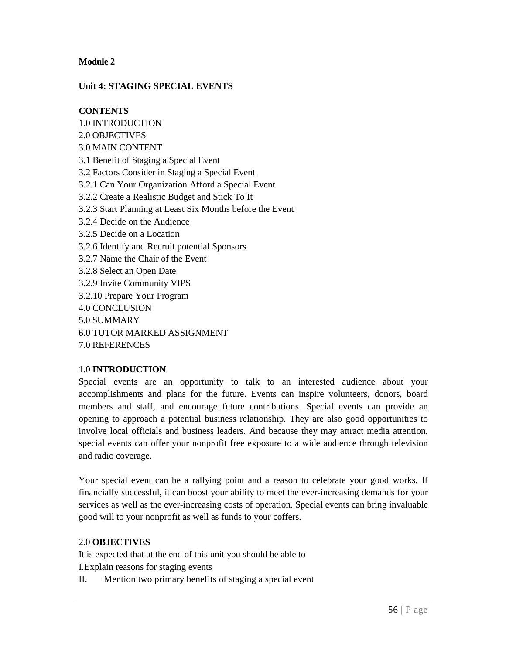# **Module 2**

# **Unit 4: STAGING SPECIAL EVENTS**

# **CONTENTS**

1.0 INTRODUCTION

2.0 OBJECTIVES 3.0 MAIN CONTENT 3.1 Benefit of Staging a Special Event 3.2 Factors Consider in Staging a Special Event 3.2.1 Can Your Organization Afford a Special Event 3.2.2 Create a Realistic Budget and Stick To It 3.2.3 Start Planning at Least Six Months before the Event 3.2.4 Decide on the Audience 3.2.5 Decide on a Location 3.2.6 Identify and Recruit potential Sponsors 3.2.7 Name the Chair of the Event 3.2.8 Select an Open Date 3.2.9 Invite Community VIPS 3.2.10 Prepare Your Program 4.0 CONCLUSION 5.0 SUMMARY 6.0 TUTOR MARKED ASSIGNMENT 7.0 REFERENCES

# 1.0 **INTRODUCTION**

Special events are an opportunity to talk to an interested audience about your accomplishments and plans for the future. Events can inspire volunteers, donors, board members and staff, and encourage future contributions. Special events can provide an opening to approach a potential business relationship. They are also good opportunities to involve local officials and business leaders. And because they may attract media attention, special events can offer your nonprofit free exposure to a wide audience through television and radio coverage.

Your special event can be a rallying point and a reason to celebrate your good works. If financially successful, it can boost your ability to meet the ever-increasing demands for your services as well as the ever-increasing costs of operation. Special events can bring invaluable good will to your nonprofit as well as funds to your coffers.

### 2.0 **OBJECTIVES**

It is expected that at the end of this unit you should be able to I.Explain reasons for staging events

II. Mention two primary benefits of staging a special event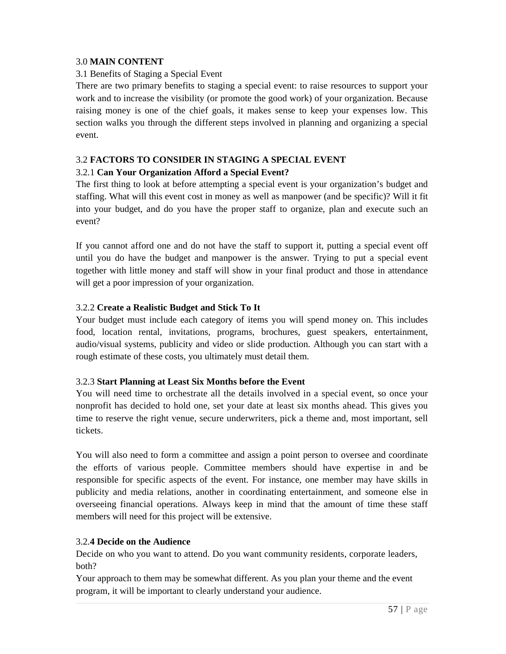## 3.0 **MAIN CONTENT**

### 3.1 Benefits of Staging a Special Event

There are two primary benefits to staging a special event: to raise resources to support your work and to increase the visibility (or promote the good work) of your organization. Because raising money is one of the chief goals, it makes sense to keep your expenses low. This section walks you through the different steps involved in planning and organizing a special event.

### 3.2 **FACTORS TO CONSIDER IN STAGING A SPECIAL EVENT**

### 3.2.1 **Can Your Organization Afford a Special Event?**

The first thing to look at before attempting a special event is your organization's budget and staffing. What will this event cost in money as well as manpower (and be specific)? Will it fit into your budget, and do you have the proper staff to organize, plan and execute such an event?

If you cannot afford one and do not have the staff to support it, putting a special event off until you do have the budget and manpower is the answer. Trying to put a special event together with little money and staff will show in your final product and those in attendance will get a poor impression of your organization.

### 3.2.2 **Create a Realistic Budget and Stick To It**

Your budget must include each category of items you will spend money on. This includes food, location rental, invitations, programs, brochures, guest speakers, entertainment, audio/visual systems, publicity and video or slide production. Although you can start with a rough estimate of these costs, you ultimately must detail them.

### 3.2.3 **Start Planning at Least Six Months before the Event**

You will need time to orchestrate all the details involved in a special event, so once your nonprofit has decided to hold one, set your date at least six months ahead. This gives you time to reserve the right venue, secure underwriters, pick a theme and, most important, sell tickets.

You will also need to form a committee and assign a point person to oversee and coordinate the efforts of various people. Committee members should have expertise in and be responsible for specific aspects of the event. For instance, one member may have skills in publicity and media relations, another in coordinating entertainment, and someone else in overseeing financial operations. Always keep in mind that the amount of time these staff members will need for this project will be extensive.

# 3.2.**4 Decide on the Audience**

Decide on who you want to attend. Do you want community residents, corporate leaders, both?

Your approach to them may be somewhat different. As you plan your theme and the event program, it will be important to clearly understand your audience.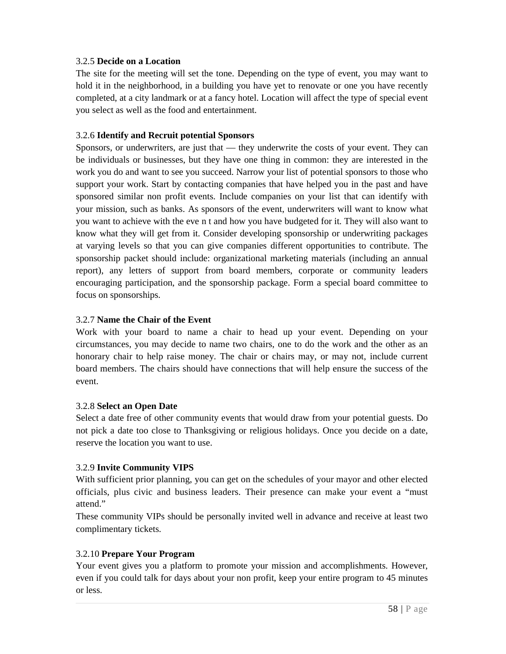### 3.2.5 **Decide on a Location**

The site for the meeting will set the tone. Depending on the type of event, you may want to hold it in the neighborhood, in a building you have yet to renovate or one you have recently completed, at a city landmark or at a fancy hotel. Location will affect the type of special event you select as well as the food and entertainment.

### 3.2.6 **Identify and Recruit potential Sponsors**

Sponsors, or underwriters, are just that — they underwrite the costs of your event. They can be individuals or businesses, but they have one thing in common: they are interested in the work you do and want to see you succeed. Narrow your list of potential sponsors to those who support your work. Start by contacting companies that have helped you in the past and have sponsored similar non profit events. Include companies on your list that can identify with your mission, such as banks. As sponsors of the event, underwriters will want to know what you want to achieve with the eve n t and how you have budgeted for it. They will also want to know what they will get from it. Consider developing sponsorship or underwriting packages at varying levels so that you can give companies different opportunities to contribute. The sponsorship packet should include: organizational marketing materials (including an annual report), any letters of support from board members, corporate or community leaders encouraging participation, and the sponsorship package. Form a special board committee to focus on sponsorships.

### 3.2.7 **Name the Chair of the Event**

Work with your board to name a chair to head up your event. Depending on your circumstances, you may decide to name two chairs, one to do the work and the other as an honorary chair to help raise money. The chair or chairs may, or may not, include current board members. The chairs should have connections that will help ensure the success of the event.

# 3.2.8 **Select an Open Date**

Select a date free of other community events that would draw from your potential guests. Do not pick a date too close to Thanksgiving or religious holidays. Once you decide on a date, reserve the location you want to use.

# 3.2.9 **Invite Community VIPS**

With sufficient prior planning, you can get on the schedules of your mayor and other elected officials, plus civic and business leaders. Their presence can make your event a "must attend."

These community VIPs should be personally invited well in advance and receive at least two complimentary tickets.

# 3.2.10 **Prepare Your Program**

Your event gives you a platform to promote your mission and accomplishments. However, even if you could talk for days about your non profit, keep your entire program to 45 minutes or less.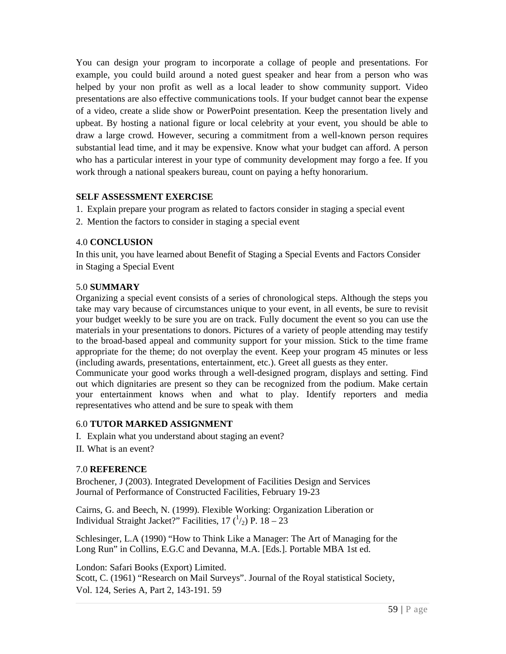You can design your program to incorporate a collage of people and presentations. For example, you could build around a noted guest speaker and hear from a person who was helped by your non profit as well as a local leader to show community support. Video presentations are also effective communications tools. If your budget cannot bear the expense of a video, create a slide show or PowerPoint presentation. Keep the presentation lively and upbeat. By hosting a national figure or local celebrity at your event, you should be able to draw a large crowd. However, securing a commitment from a well-known person requires substantial lead time, and it may be expensive. Know what your budget can afford. A person who has a particular interest in your type of community development may forgo a fee. If you work through a national speakers bureau, count on paying a hefty honorarium.

### **SELF ASSESSMENT EXERCISE**

1. Explain prepare your program as related to factors consider in staging a special event

2. Mention the factors to consider in staging a special event

#### 4.0 **CONCLUSION**

In this unit, you have learned about Benefit of Staging a Special Events and Factors Consider in Staging a Special Event

### 5.0 **SUMMARY**

Organizing a special event consists of a series of chronological steps. Although the steps you take may vary because of circumstances unique to your event, in all events, be sure to revisit your budget weekly to be sure you are on track. Fully document the event so you can use the materials in your presentations to donors. Pictures of a variety of people attending may testify to the broad-based appeal and community support for your mission. Stick to the time frame appropriate for the theme; do not overplay the event. Keep your program 45 minutes or less (including awards, presentations, entertainment, etc.). Greet all guests as they enter.

Communicate your good works through a well-designed program, displays and setting. Find out which dignitaries are present so they can be recognized from the podium. Make certain your entertainment knows when and what to play. Identify reporters and media representatives who attend and be sure to speak with them

#### 6.0 **TUTOR MARKED ASSIGNMENT**

I. Explain what you understand about staging an event?

II. What is an event?

### 7.0 **REFERENCE**

Brochener, J (2003). Integrated Development of Facilities Design and Services Journal of Performance of Constructed Facilities, February 19-23

Cairns, G. and Beech, N. (1999). Flexible Working: Organization Liberation or Individual Straight Jacket?" Facilities,  $17 \binom{1}{2}$  P.  $18 - 23$ 

Schlesinger, L.A (1990) "How to Think Like a Manager: The Art of Managing for the Long Run" in Collins, E.G.C and Devanna, M.A. [Eds.]. Portable MBA 1st ed.

London: Safari Books (Export) Limited. Scott, C. (1961) "Research on Mail Surveys". Journal of the Royal statistical Society, Vol. 124, Series A, Part 2, 143-191. 59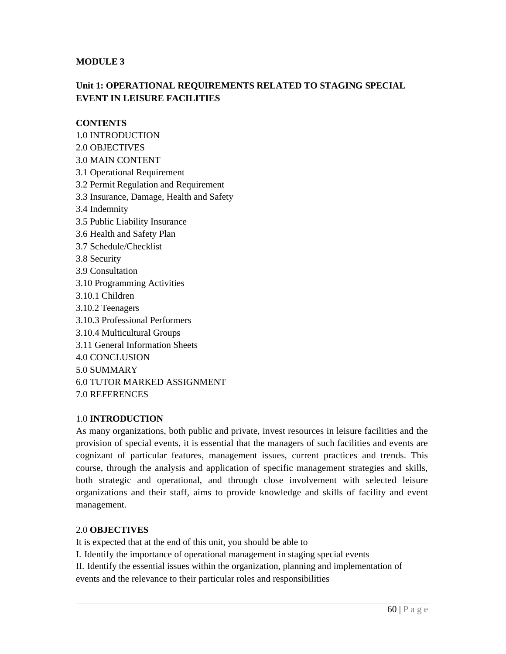# **MODULE 3**

# **Unit 1: OPERATIONAL REQUIREMENTS RELATED TO STAGING SPECIAL EVENT IN LEISURE FACILITIES**

#### **CONTENTS**

1.0 INTRODUCTION 2.0 OBJECTIVES 3.0 MAIN CONTENT 3.1 Operational Requirement 3.2 Permit Regulation and Requirement 3.3 Insurance, Damage, Health and Safety

- 3.4 Indemnity
- 3.5 Public Liability Insurance
- 3.6 Health and Safety Plan
- 3.7 Schedule/Checklist
- 3.8 Security
- 3.9 Consultation
- 3.10 Programming Activities
- 3.10.1 Children
- 3.10.2 Teenagers
- 3.10.3 Professional Performers
- 3.10.4 Multicultural Groups
- 3.11 General Information Sheets
- 4.0 CONCLUSION
- 5.0 SUMMARY
- 6.0 TUTOR MARKED ASSIGNMENT
- 7.0 REFERENCES

#### 1.0 **INTRODUCTION**

As many organizations, both public and private, invest resources in leisure facilities and the provision of special events, it is essential that the managers of such facilities and events are cognizant of particular features, management issues, current practices and trends. This course, through the analysis and application of specific management strategies and skills, both strategic and operational, and through close involvement with selected leisure organizations and their staff, aims to provide knowledge and skills of facility and event management.

### 2.0 **OBJECTIVES**

It is expected that at the end of this unit, you should be able to

I. Identify the importance of operational management in staging special events

II. Identify the essential issues within the organization, planning and implementation of events and the relevance to their particular roles and responsibilities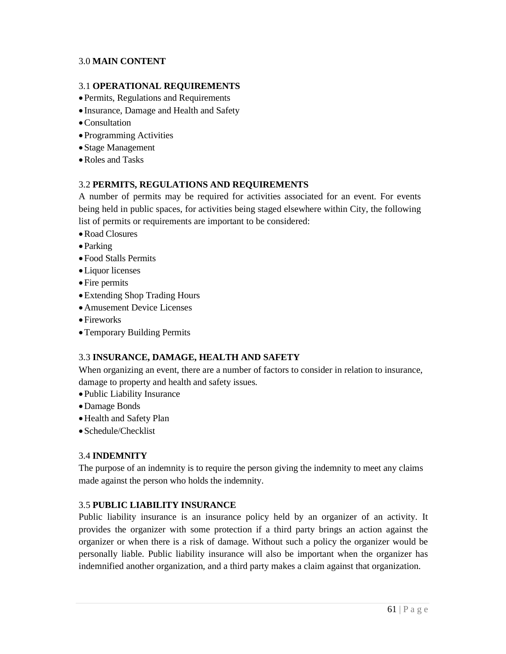# 3.0 **MAIN CONTENT**

### 3.1 **OPERATIONAL REQUIREMENTS**

- •Permits, Regulations and Requirements
- Insurance, Damage and Health and Safety
- •Consultation
- •Programming Activities
- •Stage Management
- •Roles and Tasks

### 3.2 **PERMITS, REGULATIONS AND REQUIREMENTS**

A number of permits may be required for activities associated for an event. For events being held in public spaces, for activities being staged elsewhere within City, the following list of permits or requirements are important to be considered:

- •Road Closures
- •Parking
- •Food Stalls Permits
- •Liquor licenses
- Fire permits
- •Extending Shop Trading Hours
- Amusement Device Licenses
- Fireworks
- •Temporary Building Permits

# 3.3 **INSURANCE, DAMAGE, HEALTH AND SAFETY**

When organizing an event, there are a number of factors to consider in relation to insurance, damage to property and health and safety issues.

- •Public Liability Insurance
- •Damage Bonds
- •Health and Safety Plan
- •Schedule/Checklist

# 3.4 **INDEMNITY**

The purpose of an indemnity is to require the person giving the indemnity to meet any claims made against the person who holds the indemnity.

# 3.5 **PUBLIC LIABILITY INSURANCE**

Public liability insurance is an insurance policy held by an organizer of an activity. It provides the organizer with some protection if a third party brings an action against the organizer or when there is a risk of damage. Without such a policy the organizer would be personally liable. Public liability insurance will also be important when the organizer has indemnified another organization, and a third party makes a claim against that organization.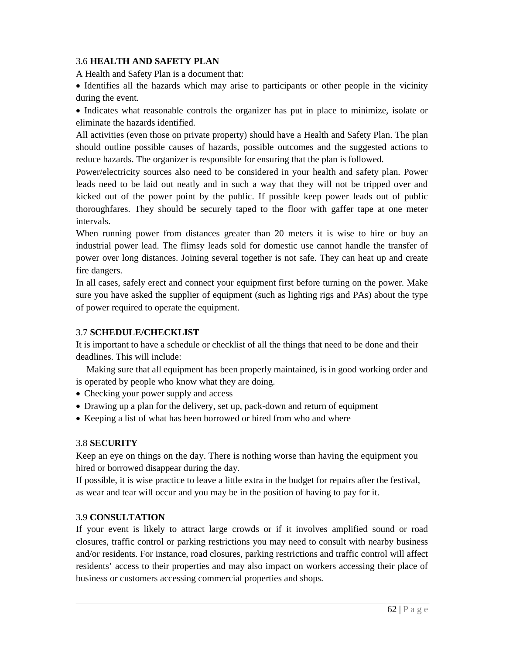### 3.6 **HEALTH AND SAFETY PLAN**

A Health and Safety Plan is a document that:

• Identifies all the hazards which may arise to participants or other people in the vicinity during the event.

• Indicates what reasonable controls the organizer has put in place to minimize, isolate or eliminate the hazards identified.

All activities (even those on private property) should have a Health and Safety Plan. The plan should outline possible causes of hazards, possible outcomes and the suggested actions to reduce hazards. The organizer is responsible for ensuring that the plan is followed.

Power/electricity sources also need to be considered in your health and safety plan. Power leads need to be laid out neatly and in such a way that they will not be tripped over and kicked out of the power point by the public. If possible keep power leads out of public thoroughfares. They should be securely taped to the floor with gaffer tape at one meter intervals.

When running power from distances greater than 20 meters it is wise to hire or buy an industrial power lead. The flimsy leads sold for domestic use cannot handle the transfer of power over long distances. Joining several together is not safe. They can heat up and create fire dangers.

In all cases, safely erect and connect your equipment first before turning on the power. Make sure you have asked the supplier of equipment (such as lighting rigs and PAs) about the type of power required to operate the equipment.

### 3.7 **SCHEDULE/CHECKLIST**

It is important to have a schedule or checklist of all the things that need to be done and their deadlines. This will include:

Making sure that all equipment has been properly maintained, is in good working order and is operated by people who know what they are doing.

- Checking your power supply and access
- Drawing up a plan for the delivery, set up, pack-down and return of equipment
- Keeping a list of what has been borrowed or hired from who and where

### 3.8 **SECURITY**

Keep an eye on things on the day. There is nothing worse than having the equipment you hired or borrowed disappear during the day.

If possible, it is wise practice to leave a little extra in the budget for repairs after the festival, as wear and tear will occur and you may be in the position of having to pay for it.

# 3.9 **CONSULTATION**

If your event is likely to attract large crowds or if it involves amplified sound or road closures, traffic control or parking restrictions you may need to consult with nearby business and/or residents. For instance, road closures, parking restrictions and traffic control will affect residents' access to their properties and may also impact on workers accessing their place of business or customers accessing commercial properties and shops.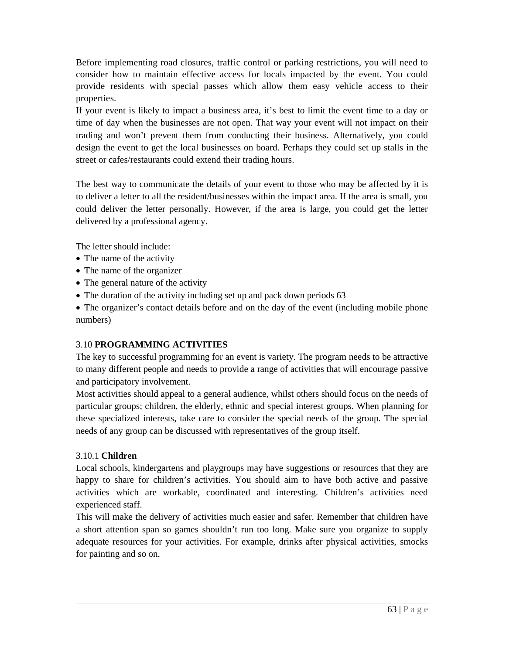Before implementing road closures, traffic control or parking restrictions, you will need to consider how to maintain effective access for locals impacted by the event. You could provide residents with special passes which allow them easy vehicle access to their properties.

If your event is likely to impact a business area, it's best to limit the event time to a day or time of day when the businesses are not open. That way your event will not impact on their trading and won't prevent them from conducting their business. Alternatively, you could design the event to get the local businesses on board. Perhaps they could set up stalls in the street or cafes/restaurants could extend their trading hours.

The best way to communicate the details of your event to those who may be affected by it is to deliver a letter to all the resident/businesses within the impact area. If the area is small, you could deliver the letter personally. However, if the area is large, you could get the letter delivered by a professional agency.

The letter should include:

- The name of the activity
- The name of the organizer
- The general nature of the activity
- The duration of the activity including set up and pack down periods 63
- The organizer's contact details before and on the day of the event (including mobile phone numbers)

### 3.10 **PROGRAMMING ACTIVITIES**

The key to successful programming for an event is variety. The program needs to be attractive to many different people and needs to provide a range of activities that will encourage passive and participatory involvement.

Most activities should appeal to a general audience, whilst others should focus on the needs of particular groups; children, the elderly, ethnic and special interest groups. When planning for these specialized interests, take care to consider the special needs of the group. The special needs of any group can be discussed with representatives of the group itself.

#### 3.10.1 **Children**

Local schools, kindergartens and playgroups may have suggestions or resources that they are happy to share for children's activities. You should aim to have both active and passive activities which are workable, coordinated and interesting. Children's activities need experienced staff.

This will make the delivery of activities much easier and safer. Remember that children have a short attention span so games shouldn't run too long. Make sure you organize to supply adequate resources for your activities. For example, drinks after physical activities, smocks for painting and so on.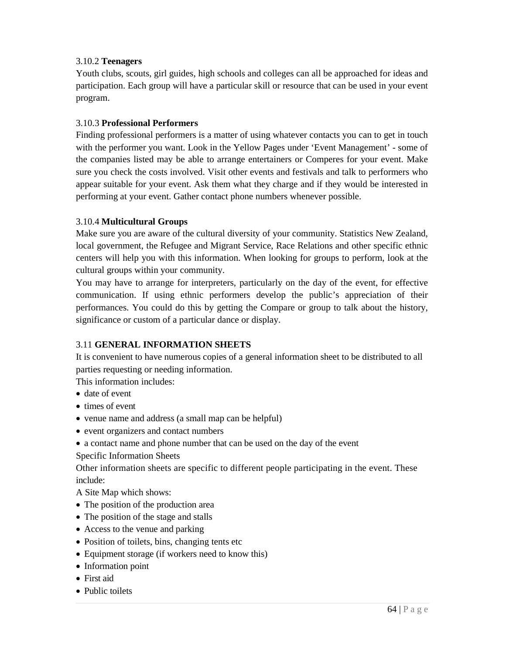### 3.10.2 **Teenagers**

Youth clubs, scouts, girl guides, high schools and colleges can all be approached for ideas and participation. Each group will have a particular skill or resource that can be used in your event program.

### 3.10.3 **Professional Performers**

Finding professional performers is a matter of using whatever contacts you can to get in touch with the performer you want. Look in the Yellow Pages under 'Event Management' - some of the companies listed may be able to arrange entertainers or Comperes for your event. Make sure you check the costs involved. Visit other events and festivals and talk to performers who appear suitable for your event. Ask them what they charge and if they would be interested in performing at your event. Gather contact phone numbers whenever possible.

### 3.10.4 **Multicultural Groups**

Make sure you are aware of the cultural diversity of your community. Statistics New Zealand, local government, the Refugee and Migrant Service, Race Relations and other specific ethnic centers will help you with this information. When looking for groups to perform, look at the cultural groups within your community.

You may have to arrange for interpreters, particularly on the day of the event, for effective communication. If using ethnic performers develop the public's appreciation of their performances. You could do this by getting the Compare or group to talk about the history, significance or custom of a particular dance or display.

# 3.11 **GENERAL INFORMATION SHEETS**

It is convenient to have numerous copies of a general information sheet to be distributed to all parties requesting or needing information.

This information includes:

- date of event
- times of event
- venue name and address (a small map can be helpful)
- event organizers and contact numbers
- a contact name and phone number that can be used on the day of the event

Specific Information Sheets

Other information sheets are specific to different people participating in the event. These include:

A Site Map which shows:

- The position of the production area
- The position of the stage and stalls
- Access to the venue and parking
- Position of toilets, bins, changing tents etc
- Equipment storage (if workers need to know this)
- Information point
- First aid
- Public toilets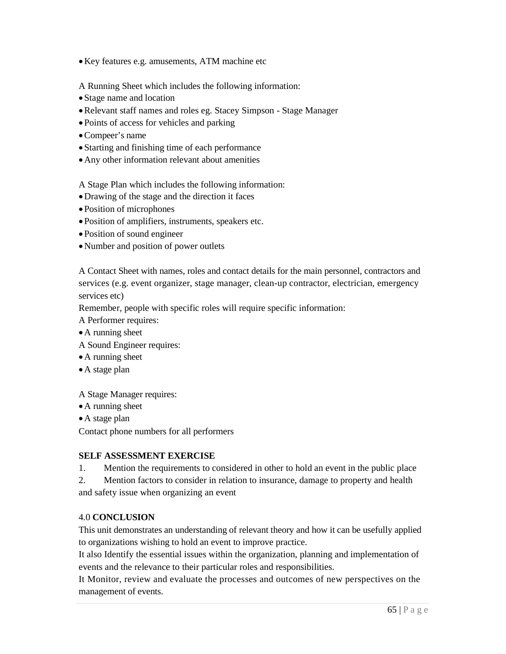•Key features e.g. amusements, ATM machine etc

A Running Sheet which includes the following information:

- •Stage name and location
- •Relevant staff names and roles eg. Stacey Simpson Stage Manager
- •Points of access for vehicles and parking
- •Compeer's name
- •Starting and finishing time of each performance
- •Any other information relevant about amenities

A Stage Plan which includes the following information:

- •Drawing of the stage and the direction it faces
- •Position of microphones
- •Position of amplifiers, instruments, speakers etc.
- •Position of sound engineer
- Number and position of power outlets

A Contact Sheet with names, roles and contact details for the main personnel, contractors and services (e.g. event organizer, stage manager, clean-up contractor, electrician, emergency services etc)

Remember, people with specific roles will require specific information:

- A Performer requires:
- A running sheet
- A Sound Engineer requires:
- A running sheet
- •A stage plan

A Stage Manager requires:

• A running sheet

•A stage plan

Contact phone numbers for all performers

#### **SELF ASSESSMENT EXERCISE**

1. Mention the requirements to considered in other to hold an event in the public place

2. Mention factors to consider in relation to insurance, damage to property and health and safety issue when organizing an event

### 4.0 **CONCLUSION**

This unit demonstrates an understanding of relevant theory and how it can be usefully applied to organizations wishing to hold an event to improve practice.

It also Identify the essential issues within the organization, planning and implementation of events and the relevance to their particular roles and responsibilities.

It Monitor, review and evaluate the processes and outcomes of new perspectives on the management of events.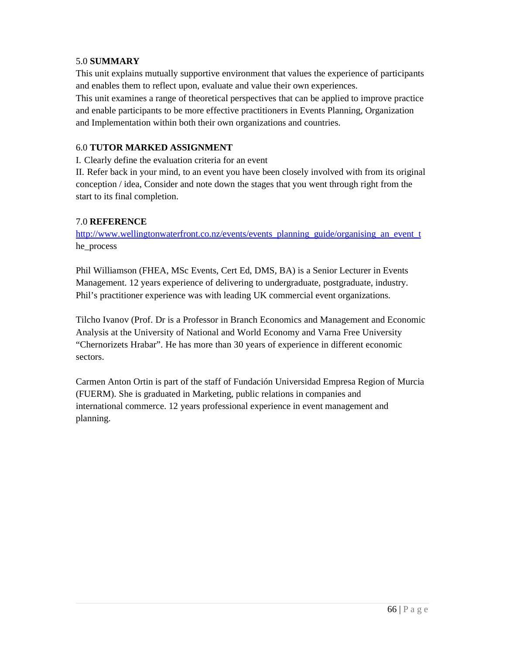## 5.0 **SUMMARY**

This unit explains mutually supportive environment that values the experience of participants and enables them to reflect upon, evaluate and value their own experiences.

This unit examines a range of theoretical perspectives that can be applied to improve practice and enable participants to be more effective practitioners in Events Planning, Organization and Implementation within both their own organizations and countries.

### 6.0 **TUTOR MARKED ASSIGNMENT**

I. Clearly define the evaluation criteria for an event

II. Refer back in your mind, to an event you have been closely involved with from its original conception / idea, Consider and note down the stages that you went through right from the start to its final completion.

### 7.0 **REFERENCE**

http://www.wellingtonwaterfront.co.nz/events/events\_planning\_guide/organising\_an\_event\_t\_ he\_process

Phil Williamson (FHEA, MSc Events, Cert Ed, DMS, BA) is a Senior Lecturer in Events Management. 12 years experience of delivering to undergraduate, postgraduate, industry. Phil's practitioner experience was with leading UK commercial event organizations.

Tilcho Ivanov (Prof. Dr is a Professor in Branch Economics and Management and Economic Analysis at the University of National and World Economy and Varna Free University "Chernorizets Hrabar". He has more than 30 years of experience in different economic sectors.

Carmen Anton Ortin is part of the staff of Fundación Universidad Empresa Region of Murcia (FUERM). She is graduated in Marketing, public relations in companies and international commerce. 12 years professional experience in event management and planning.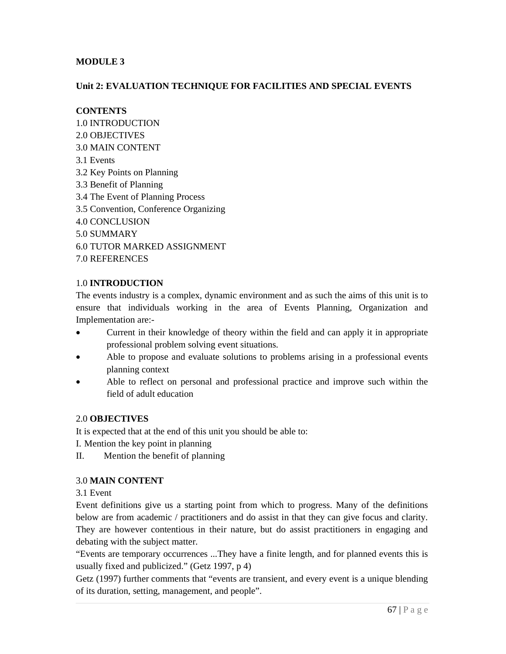# **MODULE 3**

## **Unit 2: EVALUATION TECHNIQUE FOR FACILITIES AND SPECIAL EVENTS**

### **CONTENTS**

1.0 INTRODUCTION 2.0 OBJECTIVES 3.0 MAIN CONTENT 3.1 Events 3.2 Key Points on Planning 3.3 Benefit of Planning 3.4 The Event of Planning Process 3.5 Convention, Conference Organizing 4.0 CONCLUSION 5.0 SUMMARY 6.0 TUTOR MARKED ASSIGNMENT 7.0 REFERENCES

### 1.0 **INTRODUCTION**

The events industry is a complex, dynamic environment and as such the aims of this unit is to ensure that individuals working in the area of Events Planning, Organization and Implementation are:-

- Current in their knowledge of theory within the field and can apply it in appropriate professional problem solving event situations.
- Able to propose and evaluate solutions to problems arising in a professional events planning context
- Able to reflect on personal and professional practice and improve such within the field of adult education

### 2.0 **OBJECTIVES**

It is expected that at the end of this unit you should be able to:

I. Mention the key point in planning

II. Mention the benefit of planning

#### 3.0 **MAIN CONTENT**

#### 3.1 Event

Event definitions give us a starting point from which to progress. Many of the definitions below are from academic / practitioners and do assist in that they can give focus and clarity. They are however contentious in their nature, but do assist practitioners in engaging and debating with the subject matter.

"Events are temporary occurrences ...They have a finite length, and for planned events this is usually fixed and publicized." (Getz 1997, p 4)

Getz (1997) further comments that "events are transient, and every event is a unique blending of its duration, setting, management, and people".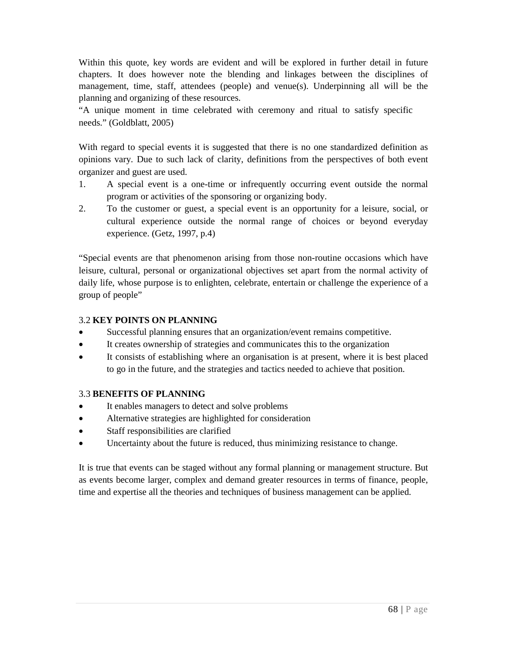Within this quote, key words are evident and will be explored in further detail in future chapters. It does however note the blending and linkages between the disciplines of management, time, staff, attendees (people) and venue(s). Underpinning all will be the planning and organizing of these resources.

"A unique moment in time celebrated with ceremony and ritual to satisfy specific needs." (Goldblatt, 2005)

With regard to special events it is suggested that there is no one standardized definition as opinions vary. Due to such lack of clarity, definitions from the perspectives of both event organizer and guest are used.

- 1. A special event is a one-time or infrequently occurring event outside the normal program or activities of the sponsoring or organizing body.
- 2. To the customer or guest, a special event is an opportunity for a leisure, social, or cultural experience outside the normal range of choices or beyond everyday experience. (Getz, 1997, p.4)

"Special events are that phenomenon arising from those non-routine occasions which have leisure, cultural, personal or organizational objectives set apart from the normal activity of daily life, whose purpose is to enlighten, celebrate, entertain or challenge the experience of a group of people"

# 3.2 **KEY POINTS ON PLANNING**

- Successful planning ensures that an organization/event remains competitive.
- It creates ownership of strategies and communicates this to the organization
- It consists of establishing where an organisation is at present, where it is best placed to go in the future, and the strategies and tactics needed to achieve that position.

# 3.3 **BENEFITS OF PLANNING**

- It enables managers to detect and solve problems
- Alternative strategies are highlighted for consideration
- Staff responsibilities are clarified
- Uncertainty about the future is reduced, thus minimizing resistance to change.

It is true that events can be staged without any formal planning or management structure. But as events become larger, complex and demand greater resources in terms of finance, people, time and expertise all the theories and techniques of business management can be applied.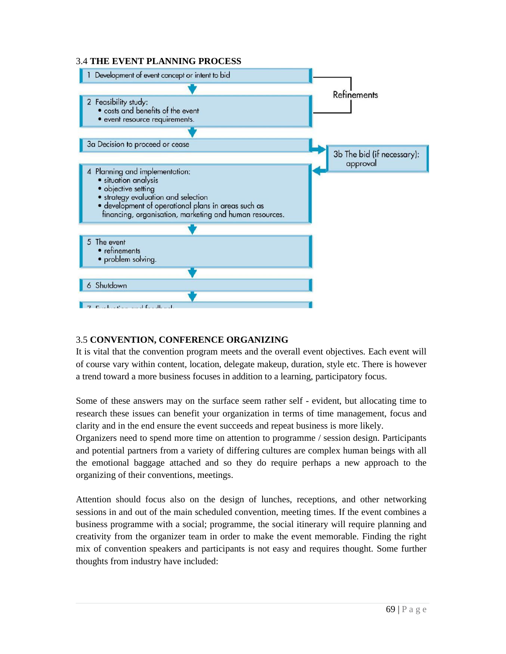### 3.4 **THE EVENT PLANNING PROCESS**



### 3.5 **CONVENTION, CONFERENCE ORGANIZING**

It is vital that the convention program meets and the overall event objectives. Each event will of course vary within content, location, delegate makeup, duration, style etc. There is however a trend toward a more business focuses in addition to a learning, participatory focus.

Some of these answers may on the surface seem rather self - evident, but allocating time to research these issues can benefit your organization in terms of time management, focus and clarity and in the end ensure the event succeeds and repeat business is more likely.

Organizers need to spend more time on attention to programme / session design. Participants and potential partners from a variety of differing cultures are complex human beings with all the emotional baggage attached and so they do require perhaps a new approach to the organizing of their conventions, meetings.

Attention should focus also on the design of lunches, receptions, and other networking sessions in and out of the main scheduled convention, meeting times. If the event combines a business programme with a social; programme, the social itinerary will require planning and creativity from the organizer team in order to make the event memorable. Finding the right mix of convention speakers and participants is not easy and requires thought. Some further thoughts from industry have included: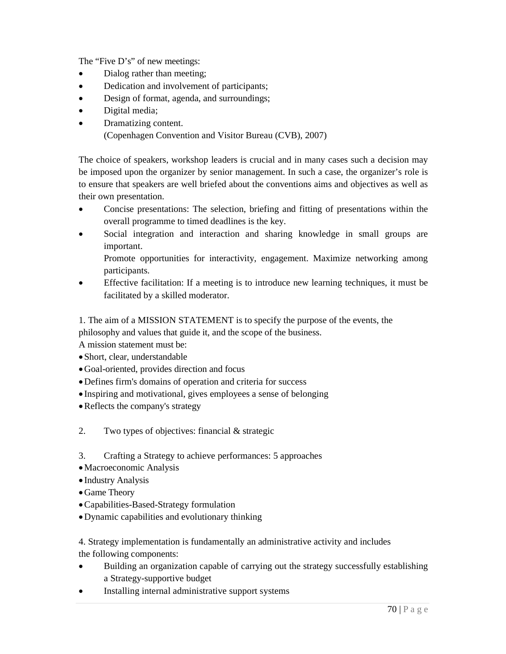The "Five D's" of new meetings:

- Dialog rather than meeting;
- Dedication and involvement of participants;
- Design of format, agenda, and surroundings;
- Digital media;
- Dramatizing content.
	- (Copenhagen Convention and Visitor Bureau (CVB), 2007)

The choice of speakers, workshop leaders is crucial and in many cases such a decision may be imposed upon the organizer by senior management. In such a case, the organizer's role is to ensure that speakers are well briefed about the conventions aims and objectives as well as their own presentation.

- Concise presentations: The selection, briefing and fitting of presentations within the overall programme to timed deadlines is the key.
- Social integration and interaction and sharing knowledge in small groups are important.

Promote opportunities for interactivity, engagement. Maximize networking among participants.

• Effective facilitation: If a meeting is to introduce new learning techniques, it must be facilitated by a skilled moderator.

1. The aim of a MISSION STATEMENT is to specify the purpose of the events, the philosophy and values that guide it, and the scope of the business.

A mission statement must be:

- •Short, clear, understandable
- •Goal-oriented, provides direction and focus
- •Defines firm's domains of operation and criteria for success
- Inspiring and motivational, gives employees a sense of belonging
- •Reflects the company's strategy
- 2. Two types of objectives: financial & strategic
- 3. Crafting a Strategy to achieve performances: 5 approaches
- •Macroeconomic Analysis
- Industry Analysis
- •Game Theory
- •Capabilities-Based-Strategy formulation
- •Dynamic capabilities and evolutionary thinking

4. Strategy implementation is fundamentally an administrative activity and includes the following components:

- Building an organization capable of carrying out the strategy successfully establishing a Strategy-supportive budget
- Installing internal administrative support systems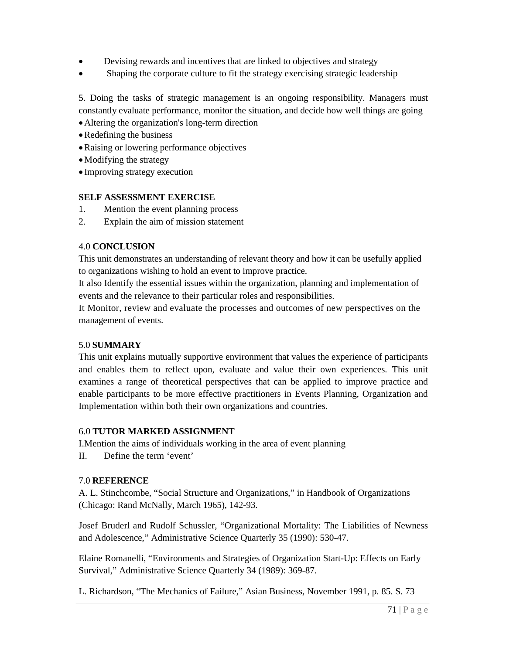- Devising rewards and incentives that are linked to objectives and strategy
- Shaping the corporate culture to fit the strategy exercising strategic leadership

5. Doing the tasks of strategic management is an ongoing responsibility. Managers must constantly evaluate performance, monitor the situation, and decide how well things are going

- Altering the organization's long-term direction
- Redefining the business
- •Raising or lowering performance objectives
- Modifying the strategy
- Improving strategy execution

#### **SELF ASSESSMENT EXERCISE**

- 1. Mention the event planning process
- 2. Explain the aim of mission statement

#### 4.0 **CONCLUSION**

This unit demonstrates an understanding of relevant theory and how it can be usefully applied to organizations wishing to hold an event to improve practice.

It also Identify the essential issues within the organization, planning and implementation of events and the relevance to their particular roles and responsibilities.

It Monitor, review and evaluate the processes and outcomes of new perspectives on the management of events.

### 5.0 **SUMMARY**

This unit explains mutually supportive environment that values the experience of participants and enables them to reflect upon, evaluate and value their own experiences. This unit examines a range of theoretical perspectives that can be applied to improve practice and enable participants to be more effective practitioners in Events Planning, Organization and Implementation within both their own organizations and countries.

### 6.0 **TUTOR MARKED ASSIGNMENT**

I.Mention the aims of individuals working in the area of event planning

II. Define the term 'event'

### 7.0 **REFERENCE**

A. L. Stinchcombe, "Social Structure and Organizations," in Handbook of Organizations (Chicago: Rand McNally, March 1965), 142-93.

Josef Bruderl and Rudolf Schussler, "Organizational Mortality: The Liabilities of Newness and Adolescence," Administrative Science Quarterly 35 (1990): 530-47.

Elaine Romanelli, "Environments and Strategies of Organization Start-Up: Effects on Early Survival," Administrative Science Quarterly 34 (1989): 369-87.

L. Richardson, "The Mechanics of Failure," Asian Business, November 1991, p. 85. S. 73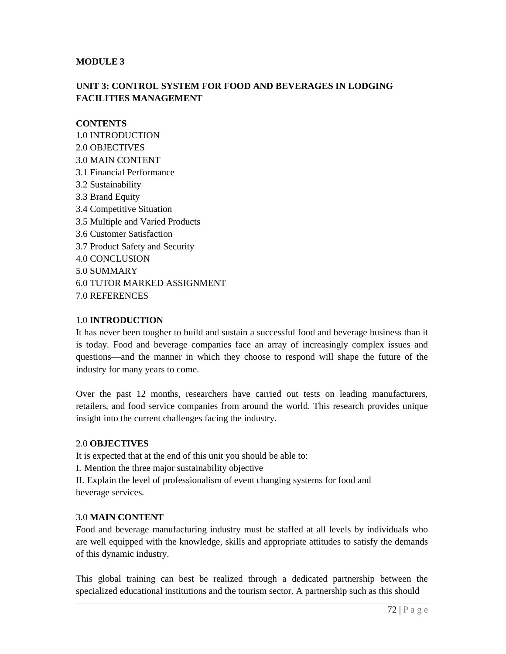## **MODULE 3**

# **UNIT 3: CONTROL SYSTEM FOR FOOD AND BEVERAGES IN LODGING FACILITIES MANAGEMENT**

#### **CONTENTS**

1.0 INTRODUCTION 2.0 OBJECTIVES 3.0 MAIN CONTENT 3.1 Financial Performance 3.2 Sustainability 3.3 Brand Equity 3.4 Competitive Situation 3.5 Multiple and Varied Products 3.6 Customer Satisfaction 3.7 Product Safety and Security 4.0 CONCLUSION 5.0 SUMMARY 6.0 TUTOR MARKED ASSIGNMENT 7.0 REFERENCES

### 1.0 **INTRODUCTION**

It has never been tougher to build and sustain a successful food and beverage business than it is today. Food and beverage companies face an array of increasingly complex issues and questions—and the manner in which they choose to respond will shape the future of the industry for many years to come.

Over the past 12 months, researchers have carried out tests on leading manufacturers, retailers, and food service companies from around the world. This research provides unique insight into the current challenges facing the industry.

### 2.0 **OBJECTIVES**

It is expected that at the end of this unit you should be able to: I. Mention the three major sustainability objective II. Explain the level of professionalism of event changing systems for food and beverage services.

### 3.0 **MAIN CONTENT**

Food and beverage manufacturing industry must be staffed at all levels by individuals who are well equipped with the knowledge, skills and appropriate attitudes to satisfy the demands of this dynamic industry.

This global training can best be realized through a dedicated partnership between the specialized educational institutions and the tourism sector. A partnership such as this should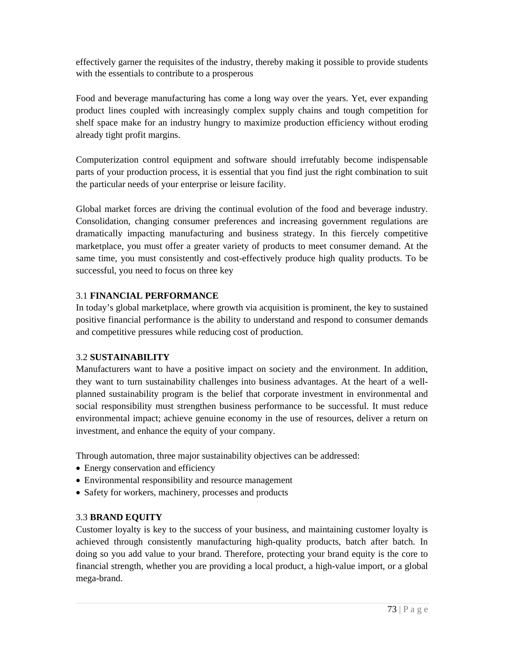effectively garner the requisites of the industry, thereby making it possible to provide students with the essentials to contribute to a prosperous

Food and beverage manufacturing has come a long way over the years. Yet, ever expanding product lines coupled with increasingly complex supply chains and tough competition for shelf space make for an industry hungry to maximize production efficiency without eroding already tight profit margins.

Computerization control equipment and software should irrefutably become indispensable parts of your production process, it is essential that you find just the right combination to suit the particular needs of your enterprise or leisure facility.

Global market forces are driving the continual evolution of the food and beverage industry. Consolidation, changing consumer preferences and increasing government regulations are dramatically impacting manufacturing and business strategy. In this fiercely competitive marketplace, you must offer a greater variety of products to meet consumer demand. At the same time, you must consistently and cost-effectively produce high quality products. To be successful, you need to focus on three key

## 3.1 **FINANCIAL PERFORMANCE**

In today's global marketplace, where growth via acquisition is prominent, the key to sustained positive financial performance is the ability to understand and respond to consumer demands and competitive pressures while reducing cost of production.

### 3.2 **SUSTAINABILITY**

Manufacturers want to have a positive impact on society and the environment. In addition, they want to turn sustainability challenges into business advantages. At the heart of a wellplanned sustainability program is the belief that corporate investment in environmental and social responsibility must strengthen business performance to be successful. It must reduce environmental impact; achieve genuine economy in the use of resources, deliver a return on investment, and enhance the equity of your company.

Through automation, three major sustainability objectives can be addressed:

- Energy conservation and efficiency
- Environmental responsibility and resource management
- Safety for workers, machinery, processes and products

# 3.3 **BRAND EQUITY**

Customer loyalty is key to the success of your business, and maintaining customer loyalty is achieved through consistently manufacturing high-quality products, batch after batch. In doing so you add value to your brand. Therefore, protecting your brand equity is the core to financial strength, whether you are providing a local product, a high-value import, or a global mega-brand.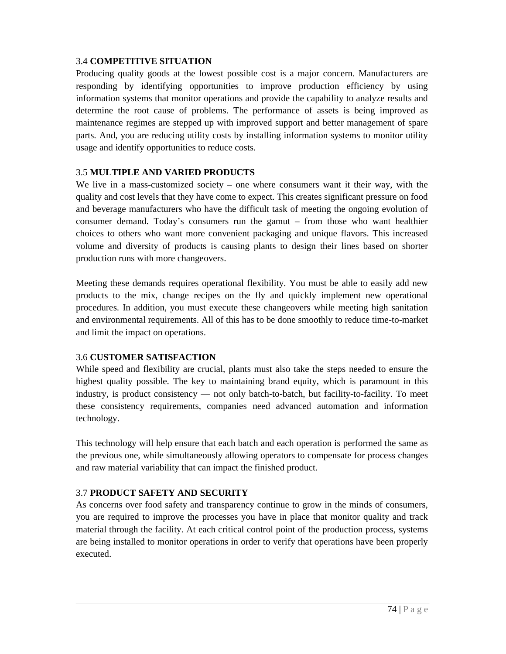## 3.4 **COMPETITIVE SITUATION**

Producing quality goods at the lowest possible cost is a major concern. Manufacturers are responding by identifying opportunities to improve production efficiency by using information systems that monitor operations and provide the capability to analyze results and determine the root cause of problems. The performance of assets is being improved as maintenance regimes are stepped up with improved support and better management of spare parts. And, you are reducing utility costs by installing information systems to monitor utility usage and identify opportunities to reduce costs.

# 3.5 **MULTIPLE AND VARIED PRODUCTS**

We live in a mass-customized society – one where consumers want it their way, with the quality and cost levels that they have come to expect. This creates significant pressure on food and beverage manufacturers who have the difficult task of meeting the ongoing evolution of consumer demand. Today's consumers run the gamut – from those who want healthier choices to others who want more convenient packaging and unique flavors. This increased volume and diversity of products is causing plants to design their lines based on shorter production runs with more changeovers.

Meeting these demands requires operational flexibility. You must be able to easily add new products to the mix, change recipes on the fly and quickly implement new operational procedures. In addition, you must execute these changeovers while meeting high sanitation and environmental requirements. All of this has to be done smoothly to reduce time-to-market and limit the impact on operations.

# 3.6 **CUSTOMER SATISFACTION**

While speed and flexibility are crucial, plants must also take the steps needed to ensure the highest quality possible. The key to maintaining brand equity, which is paramount in this industry, is product consistency — not only batch-to-batch, but facility-to-facility. To meet these consistency requirements, companies need advanced automation and information technology.

This technology will help ensure that each batch and each operation is performed the same as the previous one, while simultaneously allowing operators to compensate for process changes and raw material variability that can impact the finished product.

# 3.7 **PRODUCT SAFETY AND SECURITY**

As concerns over food safety and transparency continue to grow in the minds of consumers, you are required to improve the processes you have in place that monitor quality and track material through the facility. At each critical control point of the production process, systems are being installed to monitor operations in order to verify that operations have been properly executed.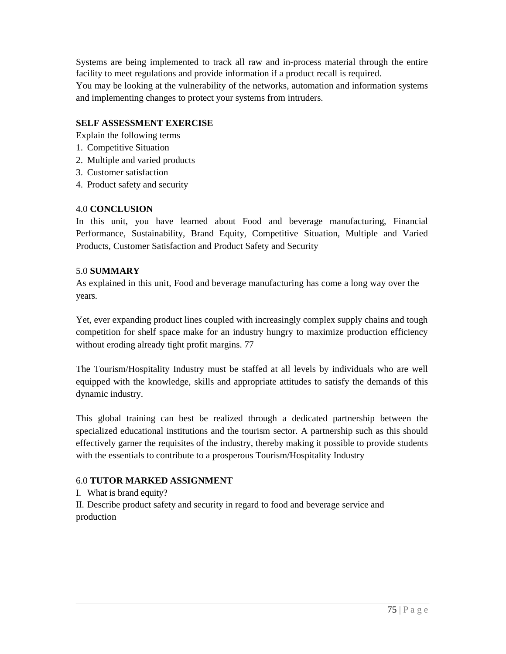Systems are being implemented to track all raw and in-process material through the entire facility to meet regulations and provide information if a product recall is required.

You may be looking at the vulnerability of the networks, automation and information systems and implementing changes to protect your systems from intruders.

### **SELF ASSESSMENT EXERCISE**

Explain the following terms

- 1. Competitive Situation
- 2. Multiple and varied products
- 3. Customer satisfaction
- 4. Product safety and security

### 4.0 **CONCLUSION**

In this unit, you have learned about Food and beverage manufacturing, Financial Performance, Sustainability, Brand Equity, Competitive Situation, Multiple and Varied Products, Customer Satisfaction and Product Safety and Security

## 5.0 **SUMMARY**

As explained in this unit, Food and beverage manufacturing has come a long way over the years.

Yet, ever expanding product lines coupled with increasingly complex supply chains and tough competition for shelf space make for an industry hungry to maximize production efficiency without eroding already tight profit margins. 77

The Tourism/Hospitality Industry must be staffed at all levels by individuals who are well equipped with the knowledge, skills and appropriate attitudes to satisfy the demands of this dynamic industry.

This global training can best be realized through a dedicated partnership between the specialized educational institutions and the tourism sector. A partnership such as this should effectively garner the requisites of the industry, thereby making it possible to provide students with the essentials to contribute to a prosperous Tourism/Hospitality Industry

# 6.0 **TUTOR MARKED ASSIGNMENT**

I. What is brand equity?

II. Describe product safety and security in regard to food and beverage service and production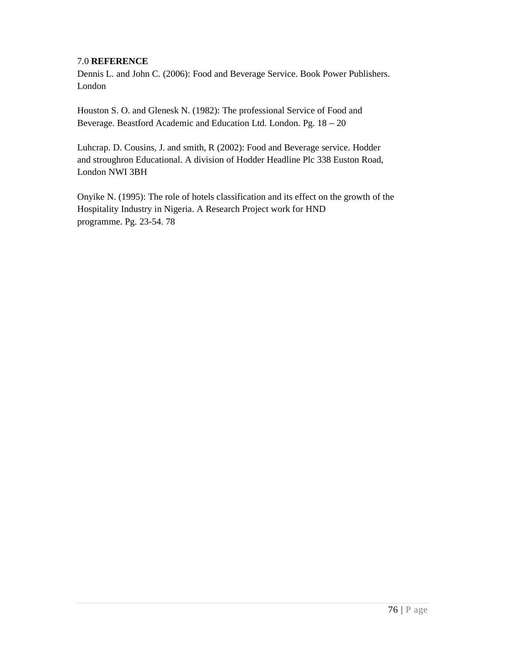### 7.0 **REFERENCE**

Dennis L. and John C. (2006): Food and Beverage Service. Book Power Publishers. London

Houston S. O. and Glenesk N. (1982): The professional Service of Food and Beverage. Beastford Academic and Education Ltd. London. Pg. 18 – 20

Luhcrap. D. Cousins, J. and smith, R (2002): Food and Beverage service. Hodder and stroughron Educational. A division of Hodder Headline Plc 338 Euston Road, London NWI 3BH

Onyike N. (1995): The role of hotels classification and its effect on the growth of the Hospitality Industry in Nigeria. A Research Project work for HND programme. Pg. 23-54. 78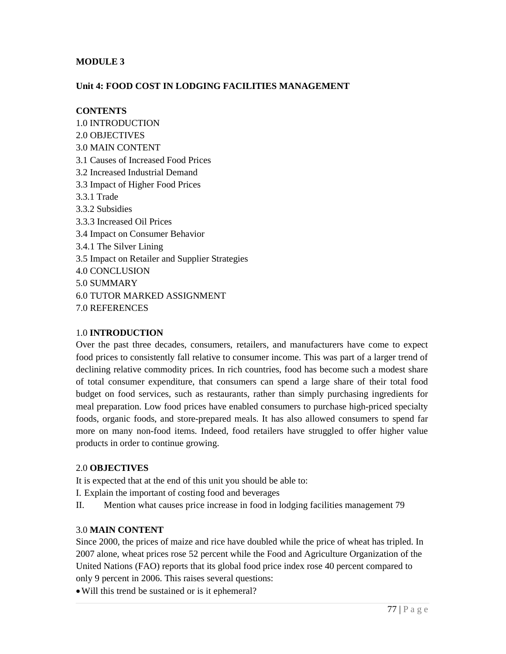# **MODULE 3**

## **Unit 4: FOOD COST IN LODGING FACILITIES MANAGEMENT**

### **CONTENTS**

1.0 INTRODUCTION 2.0 OBJECTIVES 3.0 MAIN CONTENT 3.1 Causes of Increased Food Prices 3.2 Increased Industrial Demand 3.3 Impact of Higher Food Prices 3.3.1 Trade 3.3.2 Subsidies 3.3.3 Increased Oil Prices 3.4 Impact on Consumer Behavior 3.4.1 The Silver Lining 3.5 Impact on Retailer and Supplier Strategies 4.0 CONCLUSION 5.0 SUMMARY 6.0 TUTOR MARKED ASSIGNMENT 7.0 REFERENCES

### 1.0 **INTRODUCTION**

Over the past three decades, consumers, retailers, and manufacturers have come to expect food prices to consistently fall relative to consumer income. This was part of a larger trend of declining relative commodity prices. In rich countries, food has become such a modest share of total consumer expenditure, that consumers can spend a large share of their total food budget on food services, such as restaurants, rather than simply purchasing ingredients for meal preparation. Low food prices have enabled consumers to purchase high-priced specialty foods, organic foods, and store-prepared meals. It has also allowed consumers to spend far more on many non-food items. Indeed, food retailers have struggled to offer higher value products in order to continue growing.

### 2.0 **OBJECTIVES**

It is expected that at the end of this unit you should be able to:

I. Explain the important of costing food and beverages

II. Mention what causes price increase in food in lodging facilities management 79

### 3.0 **MAIN CONTENT**

Since 2000, the prices of maize and rice have doubled while the price of wheat has tripled. In 2007 alone, wheat prices rose 52 percent while the Food and Agriculture Organization of the United Nations (FAO) reports that its global food price index rose 40 percent compared to only 9 percent in 2006. This raises several questions:

•Will this trend be sustained or is it ephemeral?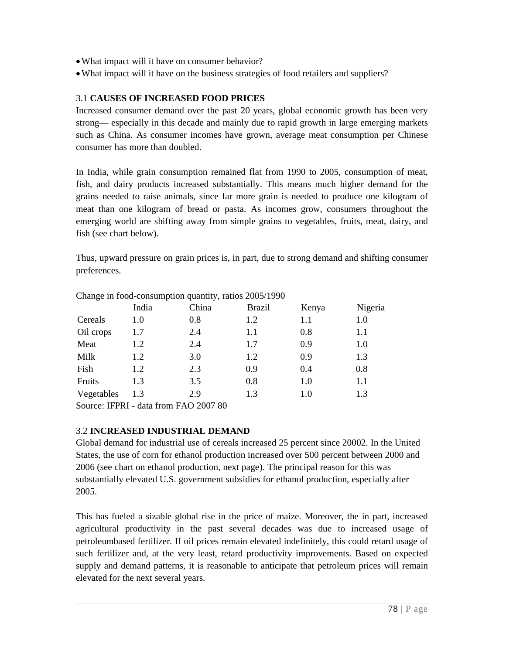- What impact will it have on consumer behavior?
- •What impact will it have on the business strategies of food retailers and suppliers?

## 3.1 **CAUSES OF INCREASED FOOD PRICES**

Increased consumer demand over the past 20 years, global economic growth has been very strong— especially in this decade and mainly due to rapid growth in large emerging markets such as China. As consumer incomes have grown, average meat consumption per Chinese consumer has more than doubled.

In India, while grain consumption remained flat from 1990 to 2005, consumption of meat, fish, and dairy products increased substantially. This means much higher demand for the grains needed to raise animals, since far more grain is needed to produce one kilogram of meat than one kilogram of bread or pasta. As incomes grow, consumers throughout the emerging world are shifting away from simple grains to vegetables, fruits, meat, dairy, and fish (see chart below).

Thus, upward pressure on grain prices is, in part, due to strong demand and shifting consumer preferences.

|            |       | $\sum_{i=1}^{n}$ |               |         |         |
|------------|-------|------------------|---------------|---------|---------|
|            | India | China            | <b>Brazil</b> | Kenya   | Nigeria |
| Cereals    | 1.0   | 0.8              | 1.2           | $1.1\,$ | 1.0     |
| Oil crops  | 1.7   | 2.4              | 1.1           | 0.8     | 1.1     |
| Meat       | 1.2   | 2.4              | 1.7           | 0.9     | 1.0     |
| Milk       | 1.2   | 3.0              | 1.2           | 0.9     | 1.3     |
| Fish       | 1.2   | 2.3              | 0.9           | 0.4     | 0.8     |
| Fruits     | 1.3   | 3.5              | 0.8           | 1.0     | 1.1     |
| Vegetables | 1.3   | 2.9              | 1.3           | 1.0     | 1.3     |
|            |       |                  |               |         |         |

Change in food-consumption quantity, ratios 2005/1990

Source: IFPRI - data from FAO 2007 80

# 3.2 **INCREASED INDUSTRIAL DEMAND**

Global demand for industrial use of cereals increased 25 percent since 20002. In the United States, the use of corn for ethanol production increased over 500 percent between 2000 and 2006 (see chart on ethanol production, next page). The principal reason for this was substantially elevated U.S. government subsidies for ethanol production, especially after 2005.

This has fueled a sizable global rise in the price of maize. Moreover, the in part, increased agricultural productivity in the past several decades was due to increased usage of petroleumbased fertilizer. If oil prices remain elevated indefinitely, this could retard usage of such fertilizer and, at the very least, retard productivity improvements. Based on expected supply and demand patterns, it is reasonable to anticipate that petroleum prices will remain elevated for the next several years.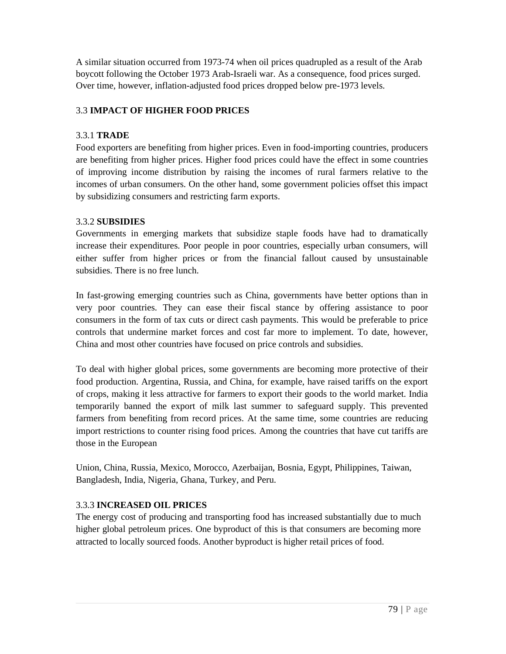A similar situation occurred from 1973-74 when oil prices quadrupled as a result of the Arab boycott following the October 1973 Arab-Israeli war. As a consequence, food prices surged. Over time, however, inflation-adjusted food prices dropped below pre-1973 levels.

# 3.3 **IMPACT OF HIGHER FOOD PRICES**

## 3.3.1 **TRADE**

Food exporters are benefiting from higher prices. Even in food-importing countries, producers are benefiting from higher prices. Higher food prices could have the effect in some countries of improving income distribution by raising the incomes of rural farmers relative to the incomes of urban consumers. On the other hand, some government policies offset this impact by subsidizing consumers and restricting farm exports.

# 3.3.2 **SUBSIDIES**

Governments in emerging markets that subsidize staple foods have had to dramatically increase their expenditures. Poor people in poor countries, especially urban consumers, will either suffer from higher prices or from the financial fallout caused by unsustainable subsidies. There is no free lunch.

In fast-growing emerging countries such as China, governments have better options than in very poor countries. They can ease their fiscal stance by offering assistance to poor consumers in the form of tax cuts or direct cash payments. This would be preferable to price controls that undermine market forces and cost far more to implement. To date, however, China and most other countries have focused on price controls and subsidies.

To deal with higher global prices, some governments are becoming more protective of their food production. Argentina, Russia, and China, for example, have raised tariffs on the export of crops, making it less attractive for farmers to export their goods to the world market. India temporarily banned the export of milk last summer to safeguard supply. This prevented farmers from benefiting from record prices. At the same time, some countries are reducing import restrictions to counter rising food prices. Among the countries that have cut tariffs are those in the European

Union, China, Russia, Mexico, Morocco, Azerbaijan, Bosnia, Egypt, Philippines, Taiwan, Bangladesh, India, Nigeria, Ghana, Turkey, and Peru.

# 3.3.3 **INCREASED OIL PRICES**

The energy cost of producing and transporting food has increased substantially due to much higher global petroleum prices. One byproduct of this is that consumers are becoming more attracted to locally sourced foods. Another byproduct is higher retail prices of food.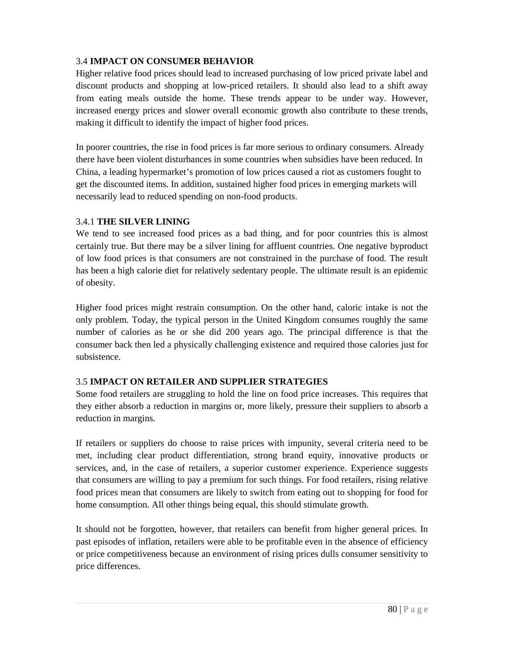# 3.4 **IMPACT ON CONSUMER BEHAVIOR**

Higher relative food prices should lead to increased purchasing of low priced private label and discount products and shopping at low-priced retailers. It should also lead to a shift away from eating meals outside the home. These trends appear to be under way. However, increased energy prices and slower overall economic growth also contribute to these trends, making it difficult to identify the impact of higher food prices.

In poorer countries, the rise in food prices is far more serious to ordinary consumers. Already there have been violent disturbances in some countries when subsidies have been reduced. In China, a leading hypermarket's promotion of low prices caused a riot as customers fought to get the discounted items. In addition, sustained higher food prices in emerging markets will necessarily lead to reduced spending on non-food products.

## 3.4.1 **THE SILVER LINING**

We tend to see increased food prices as a bad thing, and for poor countries this is almost certainly true. But there may be a silver lining for affluent countries. One negative byproduct of low food prices is that consumers are not constrained in the purchase of food. The result has been a high calorie diet for relatively sedentary people. The ultimate result is an epidemic of obesity.

Higher food prices might restrain consumption. On the other hand, caloric intake is not the only problem. Today, the typical person in the United Kingdom consumes roughly the same number of calories as he or she did 200 years ago. The principal difference is that the consumer back then led a physically challenging existence and required those calories just for subsistence.

# 3.5 **IMPACT ON RETAILER AND SUPPLIER STRATEGIES**

Some food retailers are struggling to hold the line on food price increases. This requires that they either absorb a reduction in margins or, more likely, pressure their suppliers to absorb a reduction in margins.

If retailers or suppliers do choose to raise prices with impunity, several criteria need to be met, including clear product differentiation, strong brand equity, innovative products or services, and, in the case of retailers, a superior customer experience. Experience suggests that consumers are willing to pay a premium for such things. For food retailers, rising relative food prices mean that consumers are likely to switch from eating out to shopping for food for home consumption. All other things being equal, this should stimulate growth.

It should not be forgotten, however, that retailers can benefit from higher general prices. In past episodes of inflation, retailers were able to be profitable even in the absence of efficiency or price competitiveness because an environment of rising prices dulls consumer sensitivity to price differences.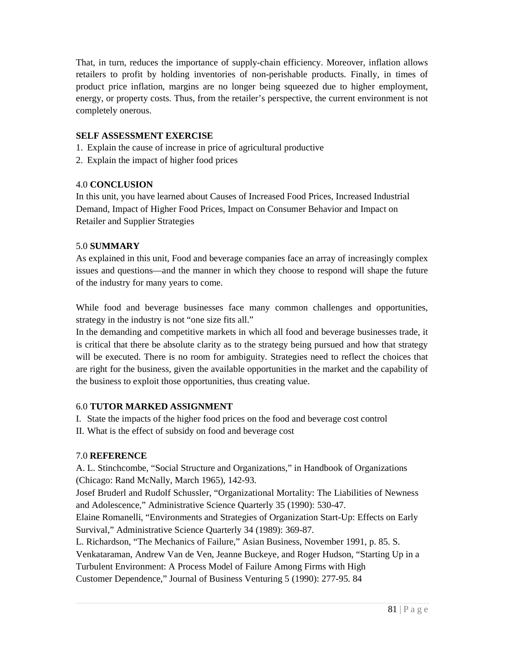That, in turn, reduces the importance of supply-chain efficiency. Moreover, inflation allows retailers to profit by holding inventories of non-perishable products. Finally, in times of product price inflation, margins are no longer being squeezed due to higher employment, energy, or property costs. Thus, from the retailer's perspective, the current environment is not completely onerous.

### **SELF ASSESSMENT EXERCISE**

- 1. Explain the cause of increase in price of agricultural productive
- 2. Explain the impact of higher food prices

#### 4.0 **CONCLUSION**

In this unit, you have learned about Causes of Increased Food Prices, Increased Industrial Demand, Impact of Higher Food Prices, Impact on Consumer Behavior and Impact on Retailer and Supplier Strategies

#### 5.0 **SUMMARY**

As explained in this unit, Food and beverage companies face an array of increasingly complex issues and questions—and the manner in which they choose to respond will shape the future of the industry for many years to come.

While food and beverage businesses face many common challenges and opportunities, strategy in the industry is not "one size fits all."

In the demanding and competitive markets in which all food and beverage businesses trade, it is critical that there be absolute clarity as to the strategy being pursued and how that strategy will be executed. There is no room for ambiguity. Strategies need to reflect the choices that are right for the business, given the available opportunities in the market and the capability of the business to exploit those opportunities, thus creating value.

#### 6.0 **TUTOR MARKED ASSIGNMENT**

I. State the impacts of the higher food prices on the food and beverage cost control

II. What is the effect of subsidy on food and beverage cost

#### 7.0 **REFERENCE**

A. L. Stinchcombe, "Social Structure and Organizations," in Handbook of Organizations (Chicago: Rand McNally, March 1965), 142-93.

Josef Bruderl and Rudolf Schussler, "Organizational Mortality: The Liabilities of Newness and Adolescence," Administrative Science Quarterly 35 (1990): 530-47.

Elaine Romanelli, "Environments and Strategies of Organization Start-Up: Effects on Early Survival," Administrative Science Quarterly 34 (1989): 369-87.

L. Richardson, "The Mechanics of Failure," Asian Business, November 1991, p. 85. S.

Venkataraman, Andrew Van de Ven, Jeanne Buckeye, and Roger Hudson, "Starting Up in a Turbulent Environment: A Process Model of Failure Among Firms with High

Customer Dependence," Journal of Business Venturing 5 (1990): 277-95. 84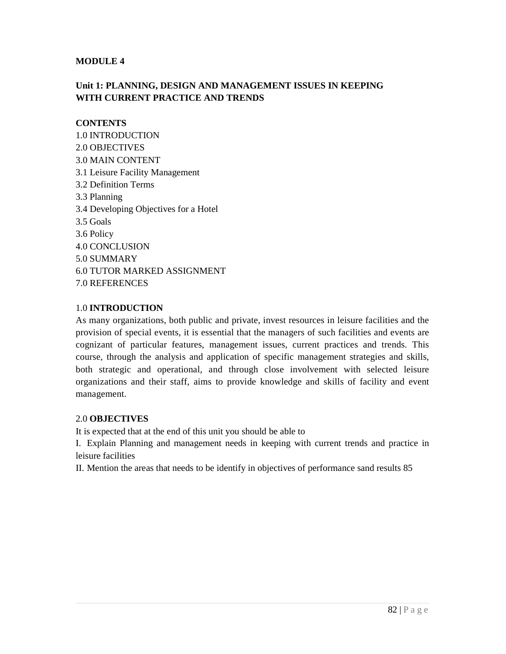# **MODULE 4**

# **Unit 1: PLANNING, DESIGN AND MANAGEMENT ISSUES IN KEEPING WITH CURRENT PRACTICE AND TRENDS**

#### **CONTENTS**

1.0 INTRODUCTION 2.0 OBJECTIVES 3.0 MAIN CONTENT 3.1 Leisure Facility Management 3.2 Definition Terms 3.3 Planning 3.4 Developing Objectives for a Hotel 3.5 Goals 3.6 Policy 4.0 CONCLUSION 5.0 SUMMARY 6.0 TUTOR MARKED ASSIGNMENT 7.0 REFERENCES

#### 1.0 **INTRODUCTION**

As many organizations, both public and private, invest resources in leisure facilities and the provision of special events, it is essential that the managers of such facilities and events are cognizant of particular features, management issues, current practices and trends. This course, through the analysis and application of specific management strategies and skills, both strategic and operational, and through close involvement with selected leisure organizations and their staff, aims to provide knowledge and skills of facility and event management.

### 2.0 **OBJECTIVES**

It is expected that at the end of this unit you should be able to

I. Explain Planning and management needs in keeping with current trends and practice in leisure facilities

II. Mention the areas that needs to be identify in objectives of performance sand results 85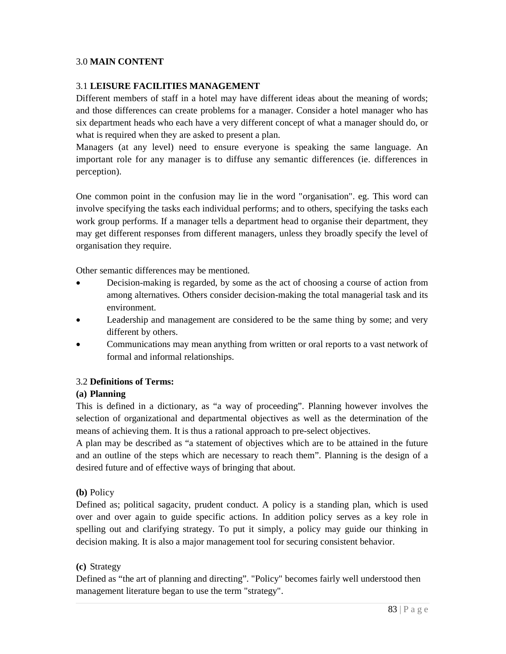# 3.0 **MAIN CONTENT**

## 3.1 **LEISURE FACILITIES MANAGEMENT**

Different members of staff in a hotel may have different ideas about the meaning of words; and those differences can create problems for a manager. Consider a hotel manager who has six department heads who each have a very different concept of what a manager should do, or what is required when they are asked to present a plan.

Managers (at any level) need to ensure everyone is speaking the same language. An important role for any manager is to diffuse any semantic differences (ie. differences in perception).

One common point in the confusion may lie in the word "organisation". eg. This word can involve specifying the tasks each individual performs; and to others, specifying the tasks each work group performs. If a manager tells a department head to organise their department, they may get different responses from different managers, unless they broadly specify the level of organisation they require.

Other semantic differences may be mentioned.

- Decision-making is regarded, by some as the act of choosing a course of action from among alternatives. Others consider decision-making the total managerial task and its environment.
- Leadership and management are considered to be the same thing by some; and very different by others.
- Communications may mean anything from written or oral reports to a vast network of formal and informal relationships.

### 3.2 **Definitions of Terms:**

### **(a) Planning**

This is defined in a dictionary, as "a way of proceeding". Planning however involves the selection of organizational and departmental objectives as well as the determination of the means of achieving them. It is thus a rational approach to pre-select objectives.

A plan may be described as "a statement of objectives which are to be attained in the future and an outline of the steps which are necessary to reach them". Planning is the design of a desired future and of effective ways of bringing that about.

**(b)** Policy

Defined as; political sagacity, prudent conduct. A policy is a standing plan, which is used over and over again to guide specific actions. In addition policy serves as a key role in spelling out and clarifying strategy. To put it simply, a policy may guide our thinking in decision making. It is also a major management tool for securing consistent behavior.

### **(c)** Strategy

Defined as "the art of planning and directing". "Policy" becomes fairly well understood then management literature began to use the term "strategy".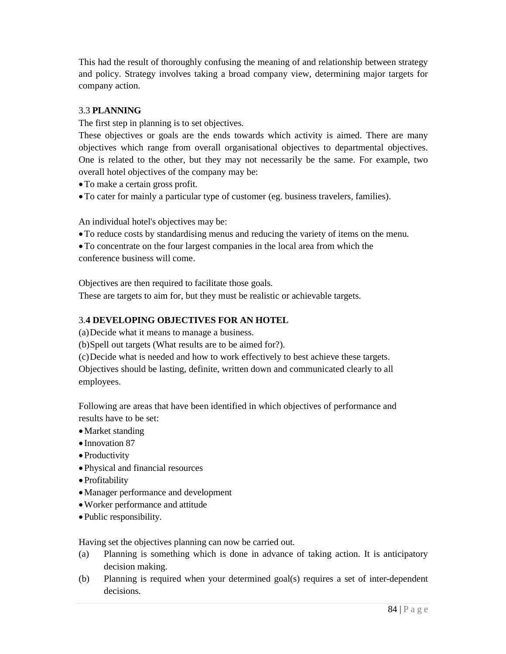This had the result of thoroughly confusing the meaning of and relationship between strategy and policy. Strategy involves taking a broad company view, determining major targets for company action.

# 3.3 **PLANNING**

The first step in planning is to set objectives.

These objectives or goals are the ends towards which activity is aimed. There are many objectives which range from overall organisational objectives to departmental objectives. One is related to the other, but they may not necessarily be the same. For example, two overall hotel objectives of the company may be:

- •To make a certain gross profit.
- •To cater for mainly a particular type of customer (eg. business travelers, families).

An individual hotel's objectives may be:

- •To reduce costs by standardising menus and reducing the variety of items on the menu.
- •To concentrate on the four largest companies in the local area from which the conference business will come.

Objectives are then required to facilitate those goals.

These are targets to aim for, but they must be realistic or achievable targets.

# 3.**4 DEVELOPING OBJECTIVES FOR AN HOTEL**

(a)Decide what it means to manage a business.

(b)Spell out targets (What results are to be aimed for?).

(c)Decide what is needed and how to work effectively to best achieve these targets.

Objectives should be lasting, definite, written down and communicated clearly to all employees.

Following are areas that have been identified in which objectives of performance and results have to be set:

- Market standing
- Innovation 87
- Productivity
- •Physical and financial resources
- Profitability
- •Manager performance and development
- •Worker performance and attitude
- •Public responsibility.

Having set the objectives planning can now be carried out.

- (a) Planning is something which is done in advance of taking action. It is anticipatory decision making.
- (b) Planning is required when your determined goal(s) requires a set of inter-dependent decisions.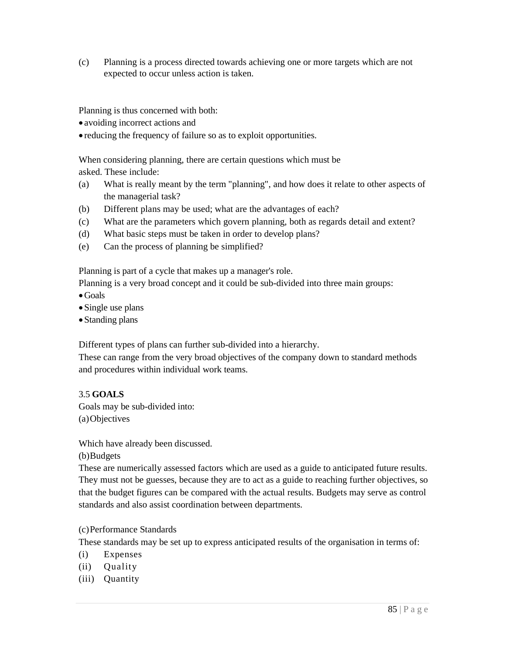(c) Planning is a process directed towards achieving one or more targets which are not expected to occur unless action is taken.

Planning is thus concerned with both:

- avoiding incorrect actions and
- reducing the frequency of failure so as to exploit opportunities.

When considering planning, there are certain questions which must be asked. These include:

- (a) What is really meant by the term "planning", and how does it relate to other aspects of the managerial task?
- (b) Different plans may be used; what are the advantages of each?
- (c) What are the parameters which govern planning, both as regards detail and extent?
- (d) What basic steps must be taken in order to develop plans?
- (e) Can the process of planning be simplified?

Planning is part of a cycle that makes up a manager's role.

Planning is a very broad concept and it could be sub-divided into three main groups:

- •Goals
- Single use plans
- •Standing plans

Different types of plans can further sub-divided into a hierarchy.

These can range from the very broad objectives of the company down to standard methods and procedures within individual work teams.

### 3.5 **GOALS**

Goals may be sub-divided into: (a)Objectives

Which have already been discussed.

(b)Budgets

These are numerically assessed factors which are used as a guide to anticipated future results. They must not be guesses, because they are to act as a guide to reaching further objectives, so that the budget figures can be compared with the actual results. Budgets may serve as control standards and also assist coordination between departments.

### (c)Performance Standards

These standards may be set up to express anticipated results of the organisation in terms of:

- (i) Expenses
- (ii) Quality
- (iii) Quantity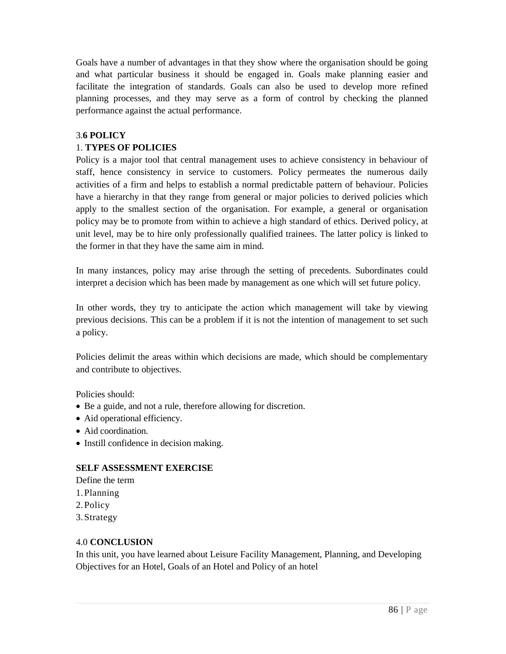Goals have a number of advantages in that they show where the organisation should be going and what particular business it should be engaged in. Goals make planning easier and facilitate the integration of standards. Goals can also be used to develop more refined planning processes, and they may serve as a form of control by checking the planned performance against the actual performance.

### 3.**6 POLICY**

### 1. **TYPES OF POLICIES**

Policy is a major tool that central management uses to achieve consistency in behaviour of staff, hence consistency in service to customers. Policy permeates the numerous daily activities of a firm and helps to establish a normal predictable pattern of behaviour. Policies have a hierarchy in that they range from general or major policies to derived policies which apply to the smallest section of the organisation. For example, a general or organisation policy may be to promote from within to achieve a high standard of ethics. Derived policy, at unit level, may be to hire only professionally qualified trainees. The latter policy is linked to the former in that they have the same aim in mind.

In many instances, policy may arise through the setting of precedents. Subordinates could interpret a decision which has been made by management as one which will set future policy.

In other words, they try to anticipate the action which management will take by viewing previous decisions. This can be a problem if it is not the intention of management to set such a policy.

Policies delimit the areas within which decisions are made, which should be complementary and contribute to objectives.

Policies should:

- Be a guide, and not a rule, therefore allowing for discretion.
- Aid operational efficiency.
- Aid coordination.
- Instill confidence in decision making.

### **SELF ASSESSMENT EXERCISE**

Define the term

- 1.Planning
- 2.Policy
- 3.Strategy

### 4.0 **CONCLUSION**

In this unit, you have learned about Leisure Facility Management, Planning, and Developing Objectives for an Hotel, Goals of an Hotel and Policy of an hotel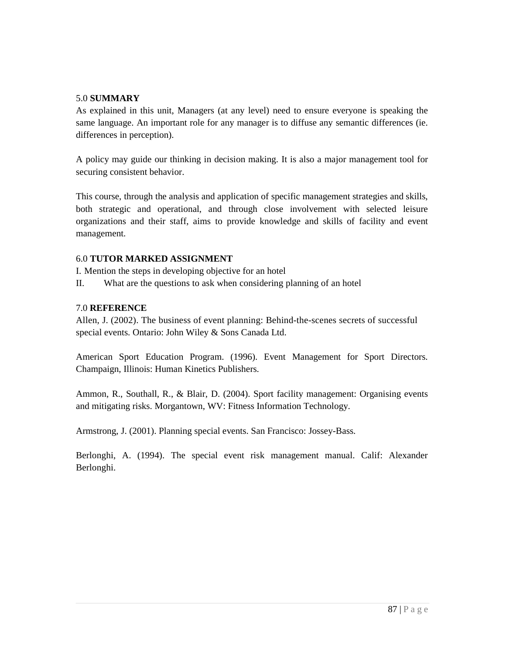### 5.0 **SUMMARY**

As explained in this unit, Managers (at any level) need to ensure everyone is speaking the same language. An important role for any manager is to diffuse any semantic differences (ie. differences in perception).

A policy may guide our thinking in decision making. It is also a major management tool for securing consistent behavior.

This course, through the analysis and application of specific management strategies and skills, both strategic and operational, and through close involvement with selected leisure organizations and their staff, aims to provide knowledge and skills of facility and event management.

#### 6.0 **TUTOR MARKED ASSIGNMENT**

I. Mention the steps in developing objective for an hotel

II. What are the questions to ask when considering planning of an hotel

#### 7.0 **REFERENCE**

Allen, J. (2002). The business of event planning: Behind-the-scenes secrets of successful special events. Ontario: John Wiley & Sons Canada Ltd.

American Sport Education Program. (1996). Event Management for Sport Directors. Champaign, Illinois: Human Kinetics Publishers.

Ammon, R., Southall, R., & Blair, D. (2004). Sport facility management: Organising events and mitigating risks. Morgantown, WV: Fitness Information Technology.

Armstrong, J. (2001). Planning special events. San Francisco: Jossey-Bass.

Berlonghi, A. (1994). The special event risk management manual. Calif: Alexander Berlonghi.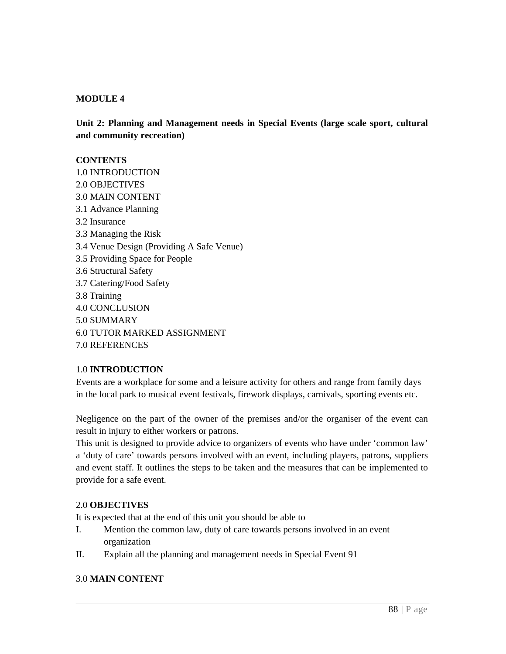## **MODULE 4**

**Unit 2: Planning and Management needs in Special Events (large scale sport, cultural and community recreation)** 

#### **CONTENTS**

1.0 INTRODUCTION 2.0 OBJECTIVES 3.0 MAIN CONTENT 3.1 Advance Planning 3.2 Insurance 3.3 Managing the Risk 3.4 Venue Design (Providing A Safe Venue) 3.5 Providing Space for People 3.6 Structural Safety 3.7 Catering/Food Safety 3.8 Training 4.0 CONCLUSION 5.0 SUMMARY 6.0 TUTOR MARKED ASSIGNMENT 7.0 REFERENCES

### 1.0 **INTRODUCTION**

Events are a workplace for some and a leisure activity for others and range from family days in the local park to musical event festivals, firework displays, carnivals, sporting events etc.

Negligence on the part of the owner of the premises and/or the organiser of the event can result in injury to either workers or patrons.

This unit is designed to provide advice to organizers of events who have under 'common law' a 'duty of care' towards persons involved with an event, including players, patrons, suppliers and event staff. It outlines the steps to be taken and the measures that can be implemented to provide for a safe event.

### 2.0 **OBJECTIVES**

It is expected that at the end of this unit you should be able to

- I. Mention the common law, duty of care towards persons involved in an event organization
- II. Explain all the planning and management needs in Special Event 91

# 3.0 **MAIN CONTENT**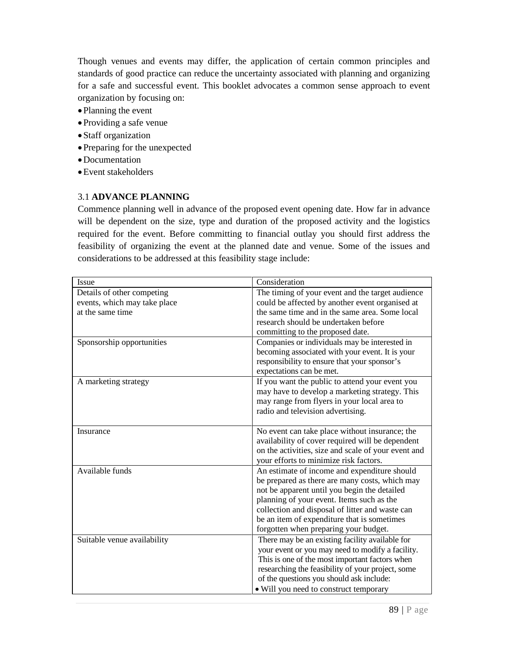Though venues and events may differ, the application of certain common principles and standards of good practice can reduce the uncertainty associated with planning and organizing for a safe and successful event. This booklet advocates a common sense approach to event organization by focusing on:

- •Planning the event
- •Providing a safe venue
- •Staff organization
- •Preparing for the unexpected
- •Documentation
- •Event stakeholders

## 3.1 **ADVANCE PLANNING**

Commence planning well in advance of the proposed event opening date. How far in advance will be dependent on the size, type and duration of the proposed activity and the logistics required for the event. Before committing to financial outlay you should first address the feasibility of organizing the event at the planned date and venue. Some of the issues and considerations to be addressed at this feasibility stage include:

| Issue                        | Consideration                                                                             |
|------------------------------|-------------------------------------------------------------------------------------------|
| Details of other competing   | The timing of your event and the target audience                                          |
| events, which may take place | could be affected by another event organised at                                           |
| at the same time             | the same time and in the same area. Some local                                            |
|                              | research should be undertaken before                                                      |
|                              | committing to the proposed date.                                                          |
| Sponsorship opportunities    | Companies or individuals may be interested in                                             |
|                              | becoming associated with your event. It is your                                           |
|                              | responsibility to ensure that your sponsor's                                              |
|                              | expectations can be met.                                                                  |
| A marketing strategy         | If you want the public to attend your event you                                           |
|                              | may have to develop a marketing strategy. This                                            |
|                              | may range from flyers in your local area to                                               |
|                              | radio and television advertising.                                                         |
|                              |                                                                                           |
| Insurance                    | No event can take place without insurance; the                                            |
|                              | availability of cover required will be dependent                                          |
|                              | on the activities, size and scale of your event and                                       |
|                              | your efforts to minimize risk factors.                                                    |
| Available funds              | An estimate of income and expenditure should                                              |
|                              | be prepared as there are many costs, which may                                            |
|                              | not be apparent until you begin the detailed<br>planning of your event. Items such as the |
|                              | collection and disposal of litter and waste can                                           |
|                              | be an item of expenditure that is sometimes                                               |
|                              | forgotten when preparing your budget.                                                     |
| Suitable venue availability  | There may be an existing facility available for                                           |
|                              | your event or you may need to modify a facility.                                          |
|                              | This is one of the most important factors when                                            |
|                              | researching the feasibility of your project, some                                         |
|                              | of the questions you should ask include:                                                  |
|                              | • Will you need to construct temporary                                                    |
|                              |                                                                                           |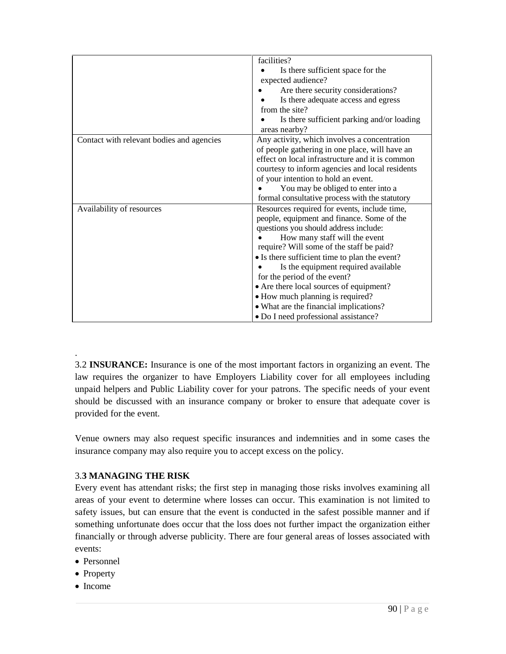|                                           | facilities?                                     |
|-------------------------------------------|-------------------------------------------------|
|                                           | Is there sufficient space for the               |
|                                           | expected audience?                              |
|                                           | Are there security considerations?              |
|                                           | Is there adequate access and egress             |
|                                           | from the site?                                  |
|                                           | Is there sufficient parking and/or loading      |
|                                           | areas nearby?                                   |
| Contact with relevant bodies and agencies | Any activity, which involves a concentration    |
|                                           | of people gathering in one place, will have an  |
|                                           | effect on local infrastructure and it is common |
|                                           | courtesy to inform agencies and local residents |
|                                           | of your intention to hold an event.             |
|                                           | You may be obliged to enter into a              |
|                                           | formal consultative process with the statutory  |
| Availability of resources                 | Resources required for events, include time,    |
|                                           | people, equipment and finance. Some of the      |
|                                           | questions you should address include:           |
|                                           | How many staff will the event                   |
|                                           | require? Will some of the staff be paid?        |
|                                           | • Is there sufficient time to plan the event?   |
|                                           | Is the equipment required available             |
|                                           | for the period of the event?                    |
|                                           | • Are there local sources of equipment?         |
|                                           | • How much planning is required?                |
|                                           | • What are the financial implications?          |
|                                           | · Do I need professional assistance?            |

3.2 **INSURANCE:** Insurance is one of the most important factors in organizing an event. The law requires the organizer to have Employers Liability cover for all employees including unpaid helpers and Public Liability cover for your patrons. The specific needs of your event should be discussed with an insurance company or broker to ensure that adequate cover is provided for the event.

Venue owners may also request specific insurances and indemnities and in some cases the insurance company may also require you to accept excess on the policy.

### 3.**3 MANAGING THE RISK**

Every event has attendant risks; the first step in managing those risks involves examining all areas of your event to determine where losses can occur. This examination is not limited to safety issues, but can ensure that the event is conducted in the safest possible manner and if something unfortunate does occur that the loss does not further impact the organization either financially or through adverse publicity. There are four general areas of losses associated with events:

- Personnel
- Property
- Income

.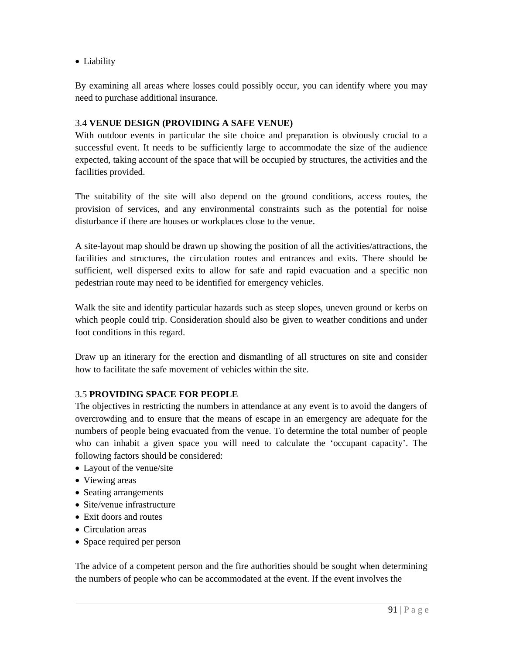## • Liability

By examining all areas where losses could possibly occur, you can identify where you may need to purchase additional insurance.

## 3.4 **VENUE DESIGN (PROVIDING A SAFE VENUE)**

With outdoor events in particular the site choice and preparation is obviously crucial to a successful event. It needs to be sufficiently large to accommodate the size of the audience expected, taking account of the space that will be occupied by structures, the activities and the facilities provided.

The suitability of the site will also depend on the ground conditions, access routes, the provision of services, and any environmental constraints such as the potential for noise disturbance if there are houses or workplaces close to the venue.

A site-layout map should be drawn up showing the position of all the activities/attractions, the facilities and structures, the circulation routes and entrances and exits. There should be sufficient, well dispersed exits to allow for safe and rapid evacuation and a specific non pedestrian route may need to be identified for emergency vehicles.

Walk the site and identify particular hazards such as steep slopes, uneven ground or kerbs on which people could trip. Consideration should also be given to weather conditions and under foot conditions in this regard.

Draw up an itinerary for the erection and dismantling of all structures on site and consider how to facilitate the safe movement of vehicles within the site.

# 3.5 **PROVIDING SPACE FOR PEOPLE**

The objectives in restricting the numbers in attendance at any event is to avoid the dangers of overcrowding and to ensure that the means of escape in an emergency are adequate for the numbers of people being evacuated from the venue. To determine the total number of people who can inhabit a given space you will need to calculate the 'occupant capacity'. The following factors should be considered:

- Layout of the venue/site
- Viewing areas
- Seating arrangements
- Site/venue infrastructure
- Exit doors and routes
- Circulation areas
- Space required per person

The advice of a competent person and the fire authorities should be sought when determining the numbers of people who can be accommodated at the event. If the event involves the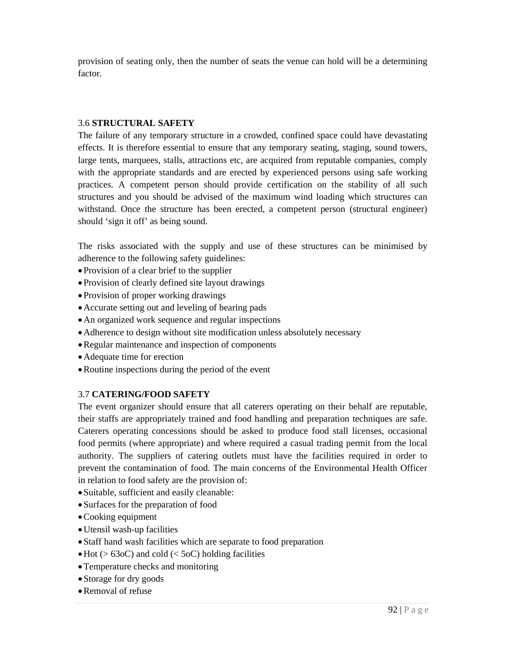provision of seating only, then the number of seats the venue can hold will be a determining factor.

### 3.6 **STRUCTURAL SAFETY**

The failure of any temporary structure in a crowded, confined space could have devastating effects. It is therefore essential to ensure that any temporary seating, staging, sound towers, large tents, marquees, stalls, attractions etc, are acquired from reputable companies, comply with the appropriate standards and are erected by experienced persons using safe working practices. A competent person should provide certification on the stability of all such structures and you should be advised of the maximum wind loading which structures can withstand. Once the structure has been erected, a competent person (structural engineer) should 'sign it off' as being sound.

The risks associated with the supply and use of these structures can be minimised by adherence to the following safety guidelines:

- •Provision of a clear brief to the supplier
- Provision of clearly defined site layout drawings
- Provision of proper working drawings
- •Accurate setting out and leveling of bearing pads
- An organized work sequence and regular inspections
- Adherence to design without site modification unless absolutely necessary
- •Regular maintenance and inspection of components
- •Adequate time for erection
- •Routine inspections during the period of the event

# 3.7 **CATERING/FOOD SAFETY**

The event organizer should ensure that all caterers operating on their behalf are reputable, their staffs are appropriately trained and food handling and preparation techniques are safe. Caterers operating concessions should be asked to produce food stall licenses, occasional food permits (where appropriate) and where required a casual trading permit from the local authority. The suppliers of catering outlets must have the facilities required in order to prevent the contamination of food. The main concerns of the Environmental Health Officer in relation to food safety are the provision of:

- •Suitable, sufficient and easily cleanable:
- •Surfaces for the preparation of food
- •Cooking equipment
- •Utensil wash-up facilities
- •Staff hand wash facilities which are separate to food preparation
- Hot ( $> 63$ oC) and cold ( $< 5$ oC) holding facilities
- Temperature checks and monitoring
- Storage for dry goods
- •Removal of refuse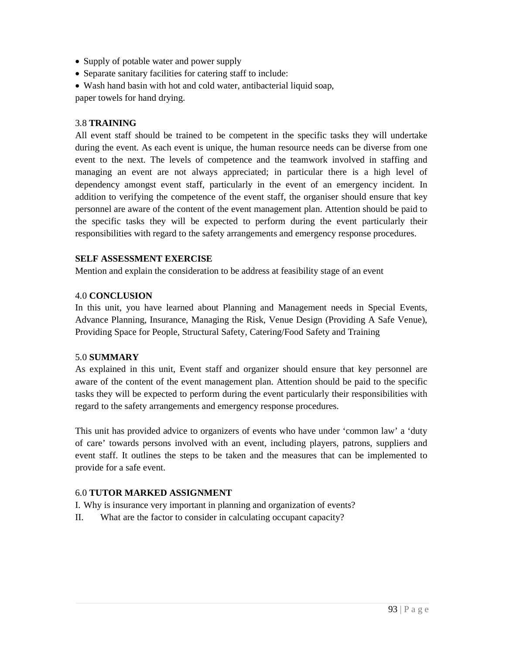- Supply of potable water and power supply
- Separate sanitary facilities for catering staff to include:
- Wash hand basin with hot and cold water, antibacterial liquid soap, paper towels for hand drying.

### 3.8 **TRAINING**

All event staff should be trained to be competent in the specific tasks they will undertake during the event. As each event is unique, the human resource needs can be diverse from one event to the next. The levels of competence and the teamwork involved in staffing and managing an event are not always appreciated; in particular there is a high level of dependency amongst event staff, particularly in the event of an emergency incident. In addition to verifying the competence of the event staff, the organiser should ensure that key personnel are aware of the content of the event management plan. Attention should be paid to the specific tasks they will be expected to perform during the event particularly their responsibilities with regard to the safety arrangements and emergency response procedures.

## **SELF ASSESSMENT EXERCISE**

Mention and explain the consideration to be address at feasibility stage of an event

### 4.0 **CONCLUSION**

In this unit, you have learned about Planning and Management needs in Special Events, Advance Planning, Insurance, Managing the Risk, Venue Design (Providing A Safe Venue), Providing Space for People, Structural Safety, Catering/Food Safety and Training

#### 5.0 **SUMMARY**

As explained in this unit, Event staff and organizer should ensure that key personnel are aware of the content of the event management plan. Attention should be paid to the specific tasks they will be expected to perform during the event particularly their responsibilities with regard to the safety arrangements and emergency response procedures.

This unit has provided advice to organizers of events who have under 'common law' a 'duty of care' towards persons involved with an event, including players, patrons, suppliers and event staff. It outlines the steps to be taken and the measures that can be implemented to provide for a safe event.

### 6.0 **TUTOR MARKED ASSIGNMENT**

I. Why is insurance very important in planning and organization of events?

II. What are the factor to consider in calculating occupant capacity?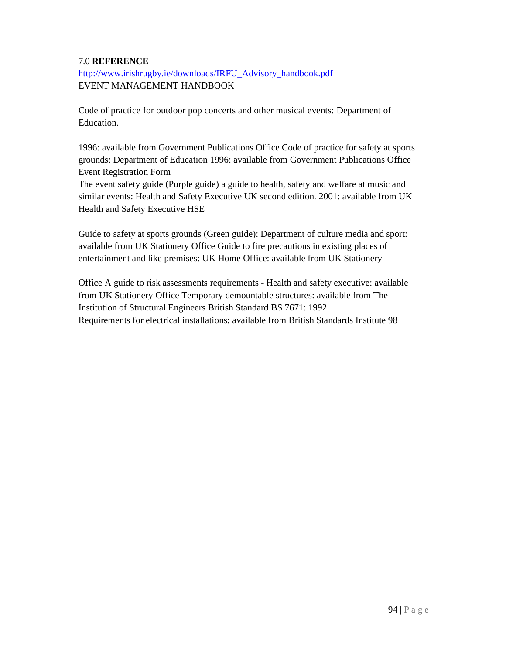## 7.0 **REFERENCE**

## http://www.irishrugby.ie/downloads/IRFU\_Advisory\_handbook.pdf EVENT MANAGEMENT HANDBOOK

Code of practice for outdoor pop concerts and other musical events: Department of Education.

1996: available from Government Publications Office Code of practice for safety at sports grounds: Department of Education 1996: available from Government Publications Office Event Registration Form

The event safety guide (Purple guide) a guide to health, safety and welfare at music and similar events: Health and Safety Executive UK second edition. 2001: available from UK Health and Safety Executive HSE

Guide to safety at sports grounds (Green guide): Department of culture media and sport: available from UK Stationery Office Guide to fire precautions in existing places of entertainment and like premises: UK Home Office: available from UK Stationery

Office A guide to risk assessments requirements - Health and safety executive: available from UK Stationery Office Temporary demountable structures: available from The Institution of Structural Engineers British Standard BS 7671: 1992 Requirements for electrical installations: available from British Standards Institute 98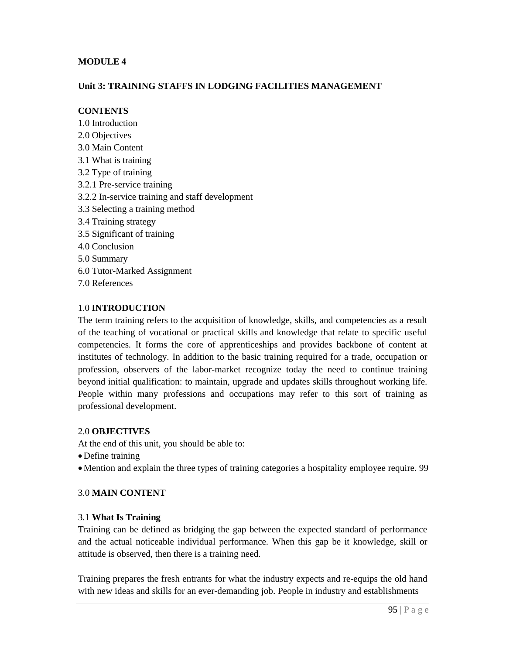# **MODULE 4**

## **Unit 3: TRAINING STAFFS IN LODGING FACILITIES MANAGEMENT**

## **CONTENTS**

- 1.0 Introduction
- 2.0 Objectives
- 3.0 Main Content
- 3.1 What is training
- 3.2 Type of training
- 3.2.1 Pre-service training
- 3.2.2 In-service training and staff development
- 3.3 Selecting a training method
- 3.4 Training strategy
- 3.5 Significant of training
- 4.0 Conclusion
- 5.0 Summary
- 6.0 Tutor-Marked Assignment
- 7.0 References

### 1.0 **INTRODUCTION**

The term training refers to the acquisition of knowledge, skills, and competencies as a result of the teaching of vocational or practical skills and knowledge that relate to specific useful competencies. It forms the core of apprenticeships and provides backbone of content at institutes of technology. In addition to the basic training required for a trade, occupation or profession, observers of the labor-market recognize today the need to continue training beyond initial qualification: to maintain, upgrade and updates skills throughout working life. People within many professions and occupations may refer to this sort of training as professional development.

### 2.0 **OBJECTIVES**

At the end of this unit, you should be able to:

•Define training

•Mention and explain the three types of training categories a hospitality employee require. 99

### 3.0 **MAIN CONTENT**

### 3.1 **What Is Training**

Training can be defined as bridging the gap between the expected standard of performance and the actual noticeable individual performance. When this gap be it knowledge, skill or attitude is observed, then there is a training need.

Training prepares the fresh entrants for what the industry expects and re-equips the old hand with new ideas and skills for an ever-demanding job. People in industry and establishments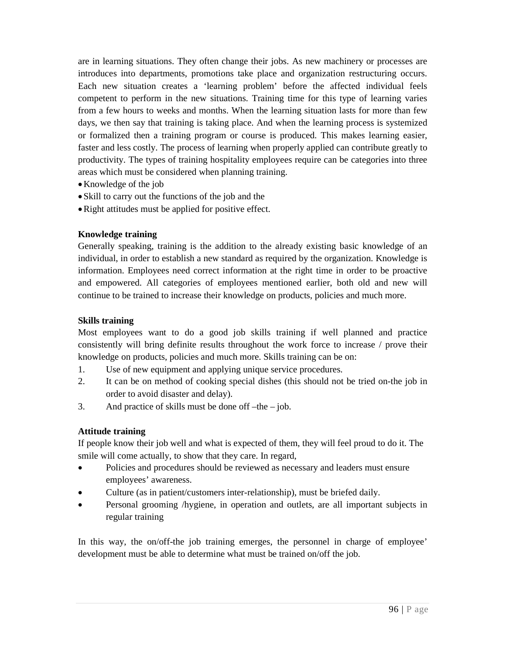are in learning situations. They often change their jobs. As new machinery or processes are introduces into departments, promotions take place and organization restructuring occurs. Each new situation creates a 'learning problem' before the affected individual feels competent to perform in the new situations. Training time for this type of learning varies from a few hours to weeks and months. When the learning situation lasts for more than few days, we then say that training is taking place. And when the learning process is systemized or formalized then a training program or course is produced. This makes learning easier, faster and less costly. The process of learning when properly applied can contribute greatly to productivity. The types of training hospitality employees require can be categories into three areas which must be considered when planning training.

- Knowledge of the job
- Skill to carry out the functions of the job and the
- •Right attitudes must be applied for positive effect.

## **Knowledge training**

Generally speaking, training is the addition to the already existing basic knowledge of an individual, in order to establish a new standard as required by the organization. Knowledge is information. Employees need correct information at the right time in order to be proactive and empowered. All categories of employees mentioned earlier, both old and new will continue to be trained to increase their knowledge on products, policies and much more.

## **Skills training**

Most employees want to do a good job skills training if well planned and practice consistently will bring definite results throughout the work force to increase / prove their knowledge on products, policies and much more. Skills training can be on:

- 1. Use of new equipment and applying unique service procedures.
- 2. It can be on method of cooking special dishes (this should not be tried on-the job in order to avoid disaster and delay).
- 3. And practice of skills must be done off –the job.

# **Attitude training**

If people know their job well and what is expected of them, they will feel proud to do it. The smile will come actually, to show that they care. In regard,

- Policies and procedures should be reviewed as necessary and leaders must ensure employees' awareness.
- Culture (as in patient/customers inter-relationship), must be briefed daily.
- Personal grooming /hygiene, in operation and outlets, are all important subjects in regular training

In this way, the on/off-the job training emerges, the personnel in charge of employee' development must be able to determine what must be trained on/off the job.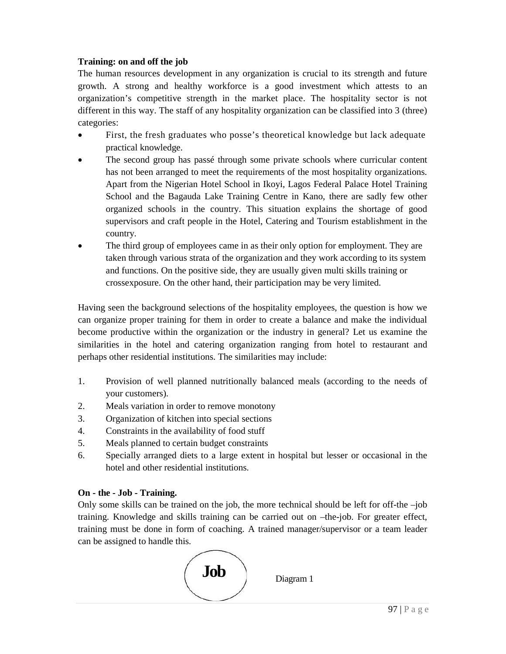# **Training: on and off the job**

The human resources development in any organization is crucial to its strength and future growth. A strong and healthy workforce is a good investment which attests to an organization's competitive strength in the market place. The hospitality sector is not different in this way. The staff of any hospitality organization can be classified into 3 (three) categories:

- First, the fresh graduates who posse's theoretical knowledge but lack adequate practical knowledge.
- The second group has passé through some private schools where curricular content has not been arranged to meet the requirements of the most hospitality organizations. Apart from the Nigerian Hotel School in Ikoyi, Lagos Federal Palace Hotel Training School and the Bagauda Lake Training Centre in Kano, there are sadly few other organized schools in the country. This situation explains the shortage of good supervisors and craft people in the Hotel, Catering and Tourism establishment in the country.
- The third group of employees came in as their only option for employment. They are taken through various strata of the organization and they work according to its system and functions. On the positive side, they are usually given multi skills training or crossexposure. On the other hand, their participation may be very limited.

Having seen the background selections of the hospitality employees, the question is how we can organize proper training for them in order to create a balance and make the individual become productive within the organization or the industry in general? Let us examine the similarities in the hotel and catering organization ranging from hotel to restaurant and perhaps other residential institutions. The similarities may include:

- 1. Provision of well planned nutritionally balanced meals (according to the needs of your customers).
- 2. Meals variation in order to remove monotony
- 3. Organization of kitchen into special sections
- 4. Constraints in the availability of food stuff
- 5. Meals planned to certain budget constraints
- 6. Specially arranged diets to a large extent in hospital but lesser or occasional in the hotel and other residential institutions.

### **On - the - Job - Training.**

Only some skills can be trained on the job, the more technical should be left for off-the –job training. Knowledge and skills training can be carried out on –the-job. For greater effect, training must be done in form of coaching. A trained manager/supervisor or a team leader can be assigned to handle this.

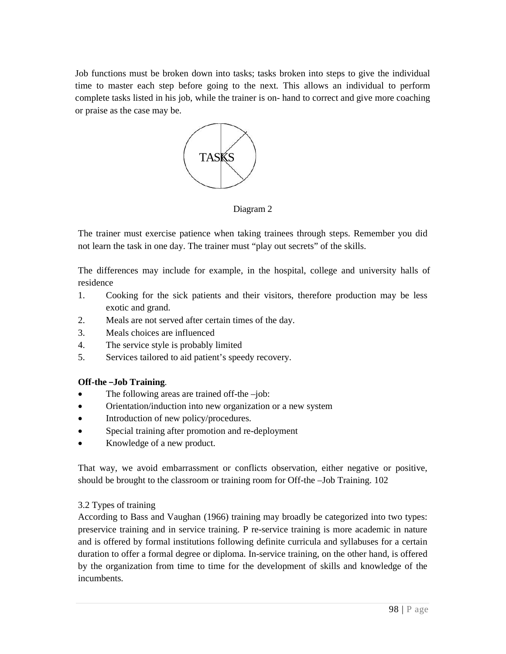Job functions must be broken down into tasks; tasks broken into steps to give the individual time to master each step before going to the next. This allows an individual to perform complete tasks listed in his job, while the trainer is on- hand to correct and give more coaching or praise as the case may be.



Diagram 2

The trainer must exercise patience when taking trainees through steps. Remember you did not learn the task in one day. The trainer must "play out secrets" of the skills.

The differences may include for example, in the hospital, college and university halls of residence

- 1. Cooking for the sick patients and their visitors, therefore production may be less exotic and grand.
- 2. Meals are not served after certain times of the day.
- 3. Meals choices are influenced
- 4. The service style is probably limited
- 5. Services tailored to aid patient's speedy recovery.

# **Off-the –Job Training**.

- The following areas are trained off-the -job:
- Orientation/induction into new organization or a new system
- Introduction of new policy/procedures.
- Special training after promotion and re-deployment
- Knowledge of a new product.

That way, we avoid embarrassment or conflicts observation, either negative or positive, should be brought to the classroom or training room for Off-the –Job Training. 102

# 3.2 Types of training

According to Bass and Vaughan (1966) training may broadly be categorized into two types: preservice training and in service training. P re-service training is more academic in nature and is offered by formal institutions following definite curricula and syllabuses for a certain duration to offer a formal degree or diploma. In-service training, on the other hand, is offered by the organization from time to time for the development of skills and knowledge of the incumbents.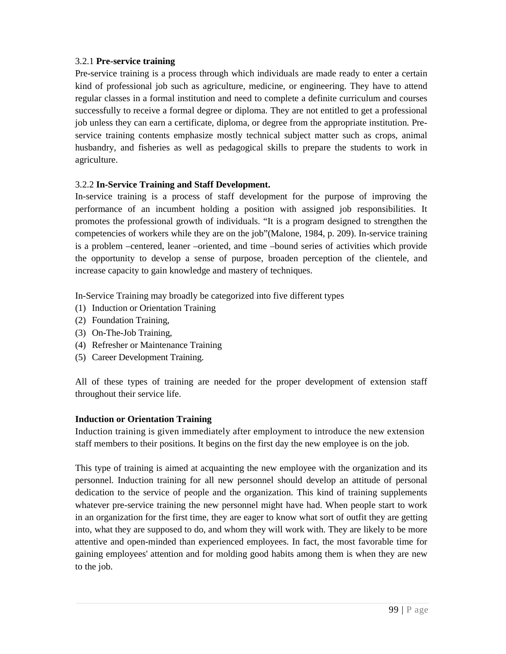### 3.2.1 **Pre-service training**

Pre-service training is a process through which individuals are made ready to enter a certain kind of professional job such as agriculture, medicine, or engineering. They have to attend regular classes in a formal institution and need to complete a definite curriculum and courses successfully to receive a formal degree or diploma. They are not entitled to get a professional job unless they can earn a certificate, diploma, or degree from the appropriate institution. Preservice training contents emphasize mostly technical subject matter such as crops, animal husbandry, and fisheries as well as pedagogical skills to prepare the students to work in agriculture.

## 3.2.2 **In-Service Training and Staff Development.**

In-service training is a process of staff development for the purpose of improving the performance of an incumbent holding a position with assigned job responsibilities. It promotes the professional growth of individuals. "It is a program designed to strengthen the competencies of workers while they are on the job"(Malone, 1984, p. 209). In-service training is a problem –centered, leaner –oriented, and time –bound series of activities which provide the opportunity to develop a sense of purpose, broaden perception of the clientele, and increase capacity to gain knowledge and mastery of techniques.

In-Service Training may broadly be categorized into five different types

- (1) Induction or Orientation Training
- (2) Foundation Training,
- (3) On-The-Job Training,
- (4) Refresher or Maintenance Training
- (5) Career Development Training.

All of these types of training are needed for the proper development of extension staff throughout their service life.

# **Induction or Orientation Training**

Induction training is given immediately after employment to introduce the new extension staff members to their positions. It begins on the first day the new employee is on the job.

This type of training is aimed at acquainting the new employee with the organization and its personnel. Induction training for all new personnel should develop an attitude of personal dedication to the service of people and the organization. This kind of training supplements whatever pre-service training the new personnel might have had. When people start to work in an organization for the first time, they are eager to know what sort of outfit they are getting into, what they are supposed to do, and whom they will work with. They are likely to be more attentive and open-minded than experienced employees. In fact, the most favorable time for gaining employees' attention and for molding good habits among them is when they are new to the job.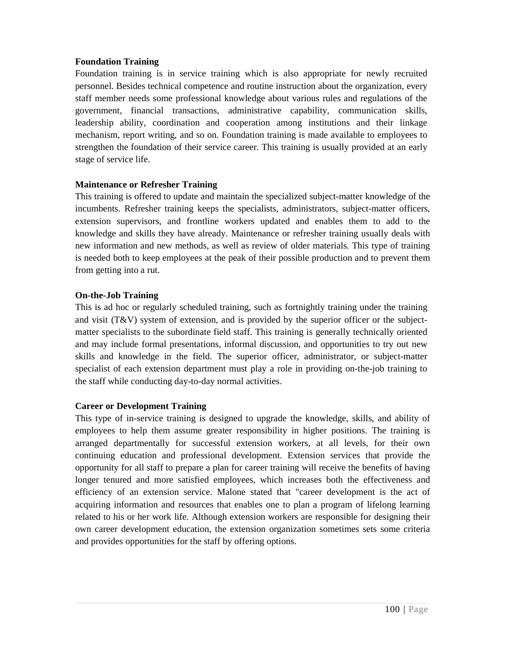### **Foundation Training**

Foundation training is in service training which is also appropriate for newly recruited personnel. Besides technical competence and routine instruction about the organization, every staff member needs some professional knowledge about various rules and regulations of the government, financial transactions, administrative capability, communication skills, leadership ability, coordination and cooperation among institutions and their linkage mechanism, report writing, and so on. Foundation training is made available to employees to strengthen the foundation of their service career. This training is usually provided at an early stage of service life.

## **Maintenance or Refresher Training**

This training is offered to update and maintain the specialized subject-matter knowledge of the incumbents. Refresher training keeps the specialists, administrators, subject-matter officers, extension supervisors, and frontline workers updated and enables them to add to the knowledge and skills they have already. Maintenance or refresher training usually deals with new information and new methods, as well as review of older materials. This type of training is needed both to keep employees at the peak of their possible production and to prevent them from getting into a rut.

## **On-the-Job Training**

This is ad hoc or regularly scheduled training, such as fortnightly training under the training and visit  $(T&V)$  system of extension, and is provided by the superior officer or the subjectmatter specialists to the subordinate field staff. This training is generally technically oriented and may include formal presentations, informal discussion, and opportunities to try out new skills and knowledge in the field. The superior officer, administrator, or subject-matter specialist of each extension department must play a role in providing on-the-job training to the staff while conducting day-to-day normal activities.

# **Career or Development Training**

This type of in-service training is designed to upgrade the knowledge, skills, and ability of employees to help them assume greater responsibility in higher positions. The training is arranged departmentally for successful extension workers, at all levels, for their own continuing education and professional development. Extension services that provide the opportunity for all staff to prepare a plan for career training will receive the benefits of having longer tenured and more satisfied employees, which increases both the effectiveness and efficiency of an extension service. Malone stated that "career development is the act of acquiring information and resources that enables one to plan a program of lifelong learning related to his or her work life. Although extension workers are responsible for designing their own career development education, the extension organization sometimes sets some criteria and provides opportunities for the staff by offering options.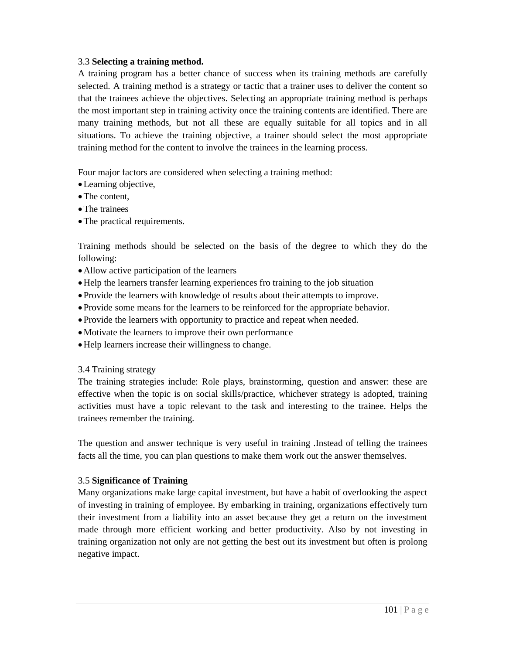### 3.3 **Selecting a training method.**

A training program has a better chance of success when its training methods are carefully selected. A training method is a strategy or tactic that a trainer uses to deliver the content so that the trainees achieve the objectives. Selecting an appropriate training method is perhaps the most important step in training activity once the training contents are identified. There are many training methods, but not all these are equally suitable for all topics and in all situations. To achieve the training objective, a trainer should select the most appropriate training method for the content to involve the trainees in the learning process.

Four major factors are considered when selecting a training method:

- Learning objective,
- The content,
- The trainees
- The practical requirements.

Training methods should be selected on the basis of the degree to which they do the following:

- •Allow active participation of the learners
- •Help the learners transfer learning experiences fro training to the job situation
- •Provide the learners with knowledge of results about their attempts to improve.
- •Provide some means for the learners to be reinforced for the appropriate behavior.
- •Provide the learners with opportunity to practice and repeat when needed.
- Motivate the learners to improve their own performance
- •Help learners increase their willingness to change.

### 3.4 Training strategy

The training strategies include: Role plays, brainstorming, question and answer: these are effective when the topic is on social skills/practice, whichever strategy is adopted, training activities must have a topic relevant to the task and interesting to the trainee. Helps the trainees remember the training.

The question and answer technique is very useful in training .Instead of telling the trainees facts all the time, you can plan questions to make them work out the answer themselves.

### 3.5 **Significance of Training**

Many organizations make large capital investment, but have a habit of overlooking the aspect of investing in training of employee. By embarking in training, organizations effectively turn their investment from a liability into an asset because they get a return on the investment made through more efficient working and better productivity. Also by not investing in training organization not only are not getting the best out its investment but often is prolong negative impact.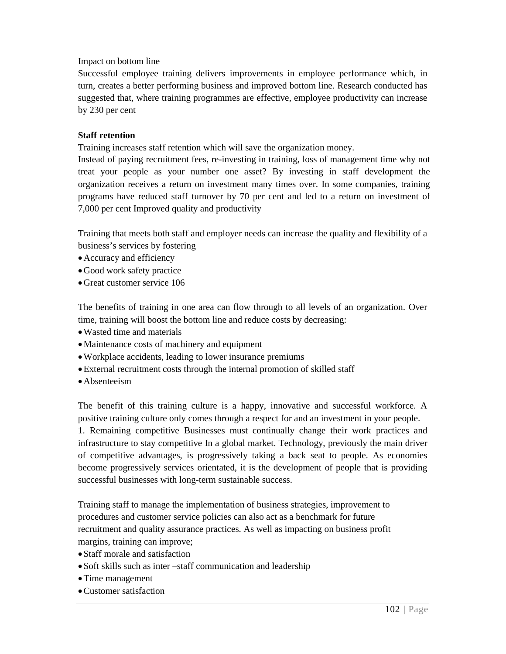### Impact on bottom line

Successful employee training delivers improvements in employee performance which, in turn, creates a better performing business and improved bottom line. Research conducted has suggested that, where training programmes are effective, employee productivity can increase by 230 per cent

#### **Staff retention**

Training increases staff retention which will save the organization money.

Instead of paying recruitment fees, re-investing in training, loss of management time why not treat your people as your number one asset? By investing in staff development the organization receives a return on investment many times over. In some companies, training programs have reduced staff turnover by 70 per cent and led to a return on investment of 7,000 per cent Improved quality and productivity

Training that meets both staff and employer needs can increase the quality and flexibility of a business's services by fostering

- •Accuracy and efficiency
- •Good work safety practice
- •Great customer service 106

The benefits of training in one area can flow through to all levels of an organization. Over time, training will boost the bottom line and reduce costs by decreasing:

- •Wasted time and materials
- •Maintenance costs of machinery and equipment
- •Workplace accidents, leading to lower insurance premiums
- •External recruitment costs through the internal promotion of skilled staff
- •Absenteeism

The benefit of this training culture is a happy, innovative and successful workforce. A positive training culture only comes through a respect for and an investment in your people.

1. Remaining competitive Businesses must continually change their work practices and infrastructure to stay competitive In a global market. Technology, previously the main driver of competitive advantages, is progressively taking a back seat to people. As economies become progressively services orientated, it is the development of people that is providing successful businesses with long-term sustainable success.

Training staff to manage the implementation of business strategies, improvement to procedures and customer service policies can also act as a benchmark for future recruitment and quality assurance practices. As well as impacting on business profit margins, training can improve;

- •Staff morale and satisfaction
- •Soft skills such as inter –staff communication and leadership
- •Time management
- •Customer satisfaction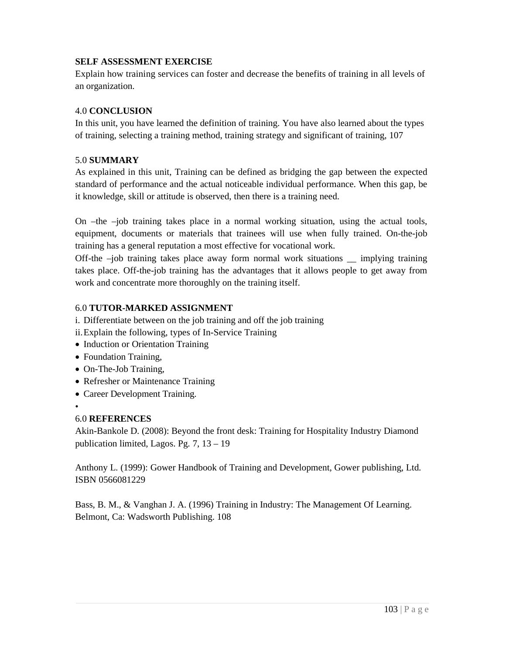## **SELF ASSESSMENT EXERCISE**

Explain how training services can foster and decrease the benefits of training in all levels of an organization.

## 4.0 **CONCLUSION**

In this unit, you have learned the definition of training. You have also learned about the types of training, selecting a training method, training strategy and significant of training, 107

### 5.0 **SUMMARY**

As explained in this unit, Training can be defined as bridging the gap between the expected standard of performance and the actual noticeable individual performance. When this gap, be it knowledge, skill or attitude is observed, then there is a training need.

On –the –job training takes place in a normal working situation, using the actual tools, equipment, documents or materials that trainees will use when fully trained. On-the-job training has a general reputation a most effective for vocational work.

Off-the –job training takes place away form normal work situations \_\_ implying training takes place. Off-the-job training has the advantages that it allows people to get away from work and concentrate more thoroughly on the training itself.

## 6.0 **TUTOR-MARKED ASSIGNMENT**

i. Differentiate between on the job training and off the job training

- ii.Explain the following, types of In-Service Training
- Induction or Orientation Training
- Foundation Training,
- On-The-Job Training,
- Refresher or Maintenance Training
- Career Development Training.
- •

# 6.0 **REFERENCES**

Akin-Bankole D. (2008): Beyond the front desk: Training for Hospitality Industry Diamond publication limited, Lagos. Pg. 7, 13 – 19

Anthony L. (1999): Gower Handbook of Training and Development, Gower publishing, Ltd. ISBN 0566081229

Bass, B. M., & Vanghan J. A. (1996) Training in Industry: The Management Of Learning. Belmont, Ca: Wadsworth Publishing. 108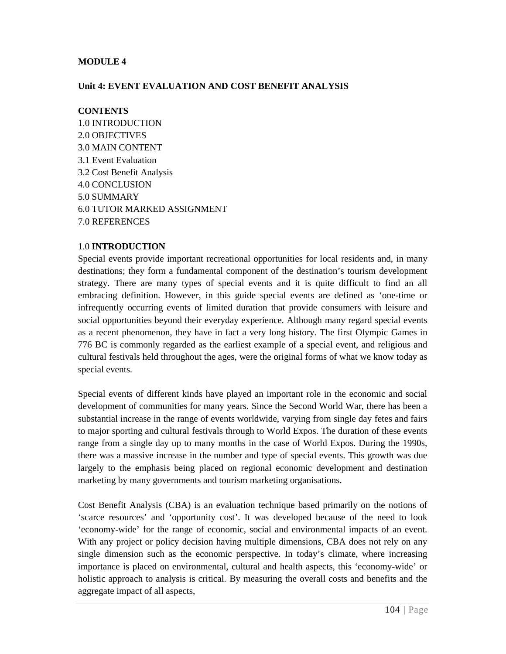# **MODULE 4**

## **Unit 4: EVENT EVALUATION AND COST BENEFIT ANALYSIS**

## **CONTENTS**

1.0 INTRODUCTION 2.0 OBJECTIVES 3.0 MAIN CONTENT 3.1 Event Evaluation 3.2 Cost Benefit Analysis 4.0 CONCLUSION 5.0 SUMMARY 6.0 TUTOR MARKED ASSIGNMENT 7.0 REFERENCES

### 1.0 **INTRODUCTION**

Special events provide important recreational opportunities for local residents and, in many destinations; they form a fundamental component of the destination's tourism development strategy. There are many types of special events and it is quite difficult to find an all embracing definition. However, in this guide special events are defined as 'one-time or infrequently occurring events of limited duration that provide consumers with leisure and social opportunities beyond their everyday experience. Although many regard special events as a recent phenomenon, they have in fact a very long history. The first Olympic Games in 776 BC is commonly regarded as the earliest example of a special event, and religious and cultural festivals held throughout the ages, were the original forms of what we know today as special events.

Special events of different kinds have played an important role in the economic and social development of communities for many years. Since the Second World War, there has been a substantial increase in the range of events worldwide, varying from single day fetes and fairs to major sporting and cultural festivals through to World Expos. The duration of these events range from a single day up to many months in the case of World Expos. During the 1990s, there was a massive increase in the number and type of special events. This growth was due largely to the emphasis being placed on regional economic development and destination marketing by many governments and tourism marketing organisations.

Cost Benefit Analysis (CBA) is an evaluation technique based primarily on the notions of 'scarce resources' and 'opportunity cost'. It was developed because of the need to look 'economy-wide' for the range of economic, social and environmental impacts of an event. With any project or policy decision having multiple dimensions, CBA does not rely on any single dimension such as the economic perspective. In today's climate, where increasing importance is placed on environmental, cultural and health aspects, this 'economy-wide' or holistic approach to analysis is critical. By measuring the overall costs and benefits and the aggregate impact of all aspects,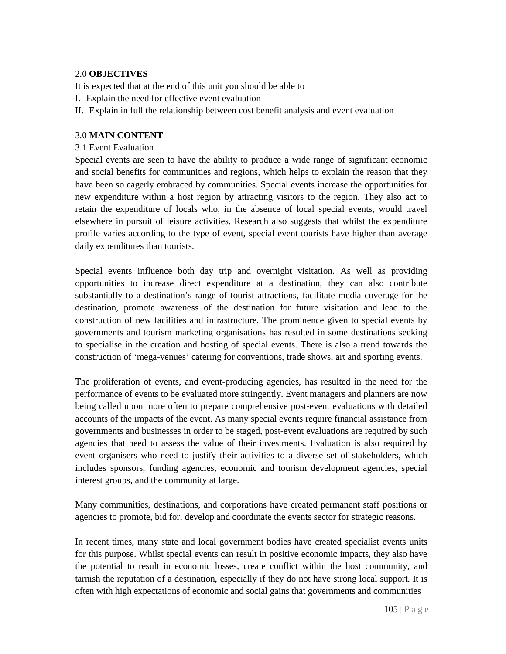#### 2.0 **OBJECTIVES**

It is expected that at the end of this unit you should be able to

- I. Explain the need for effective event evaluation
- II. Explain in full the relationship between cost benefit analysis and event evaluation

#### 3.0 **MAIN CONTENT**

3.1 Event Evaluation

Special events are seen to have the ability to produce a wide range of significant economic and social benefits for communities and regions, which helps to explain the reason that they have been so eagerly embraced by communities. Special events increase the opportunities for new expenditure within a host region by attracting visitors to the region. They also act to retain the expenditure of locals who, in the absence of local special events, would travel elsewhere in pursuit of leisure activities. Research also suggests that whilst the expenditure profile varies according to the type of event, special event tourists have higher than average daily expenditures than tourists.

Special events influence both day trip and overnight visitation. As well as providing opportunities to increase direct expenditure at a destination, they can also contribute substantially to a destination's range of tourist attractions, facilitate media coverage for the destination, promote awareness of the destination for future visitation and lead to the construction of new facilities and infrastructure. The prominence given to special events by governments and tourism marketing organisations has resulted in some destinations seeking to specialise in the creation and hosting of special events. There is also a trend towards the construction of 'mega-venues' catering for conventions, trade shows, art and sporting events.

The proliferation of events, and event-producing agencies, has resulted in the need for the performance of events to be evaluated more stringently. Event managers and planners are now being called upon more often to prepare comprehensive post-event evaluations with detailed accounts of the impacts of the event. As many special events require financial assistance from governments and businesses in order to be staged, post-event evaluations are required by such agencies that need to assess the value of their investments. Evaluation is also required by event organisers who need to justify their activities to a diverse set of stakeholders, which includes sponsors, funding agencies, economic and tourism development agencies, special interest groups, and the community at large.

Many communities, destinations, and corporations have created permanent staff positions or agencies to promote, bid for, develop and coordinate the events sector for strategic reasons.

In recent times, many state and local government bodies have created specialist events units for this purpose. Whilst special events can result in positive economic impacts, they also have the potential to result in economic losses, create conflict within the host community, and tarnish the reputation of a destination, especially if they do not have strong local support. It is often with high expectations of economic and social gains that governments and communities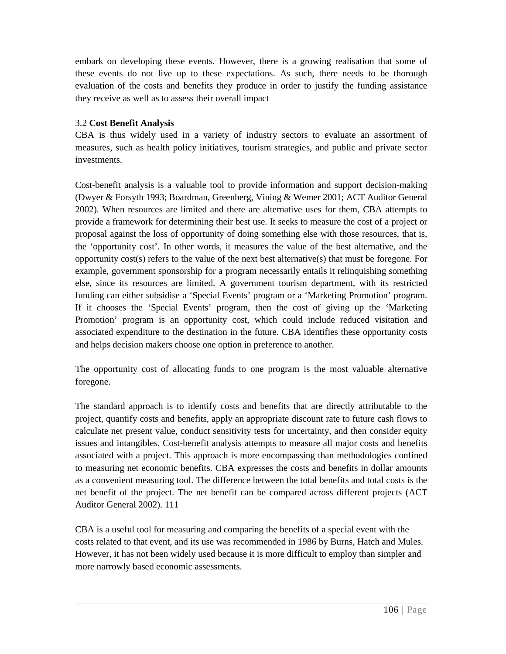embark on developing these events. However, there is a growing realisation that some of these events do not live up to these expectations. As such, there needs to be thorough evaluation of the costs and benefits they produce in order to justify the funding assistance they receive as well as to assess their overall impact

## 3.2 **Cost Benefit Analysis**

CBA is thus widely used in a variety of industry sectors to evaluate an assortment of measures, such as health policy initiatives, tourism strategies, and public and private sector investments.

Cost-benefit analysis is a valuable tool to provide information and support decision-making (Dwyer & Forsyth 1993; Boardman, Greenberg, Vining & Wemer 2001; ACT Auditor General 2002). When resources are limited and there are alternative uses for them, CBA attempts to provide a framework for determining their best use. It seeks to measure the cost of a project or proposal against the loss of opportunity of doing something else with those resources, that is, the 'opportunity cost'. In other words, it measures the value of the best alternative, and the opportunity cost(s) refers to the value of the next best alternative(s) that must be foregone. For example, government sponsorship for a program necessarily entails it relinquishing something else, since its resources are limited. A government tourism department, with its restricted funding can either subsidise a 'Special Events' program or a 'Marketing Promotion' program. If it chooses the 'Special Events' program, then the cost of giving up the 'Marketing Promotion' program is an opportunity cost, which could include reduced visitation and associated expenditure to the destination in the future. CBA identifies these opportunity costs and helps decision makers choose one option in preference to another.

The opportunity cost of allocating funds to one program is the most valuable alternative foregone.

The standard approach is to identify costs and benefits that are directly attributable to the project, quantify costs and benefits, apply an appropriate discount rate to future cash flows to calculate net present value, conduct sensitivity tests for uncertainty, and then consider equity issues and intangibles. Cost-benefit analysis attempts to measure all major costs and benefits associated with a project. This approach is more encompassing than methodologies confined to measuring net economic benefits. CBA expresses the costs and benefits in dollar amounts as a convenient measuring tool. The difference between the total benefits and total costs is the net benefit of the project. The net benefit can be compared across different projects (ACT Auditor General 2002). 111

CBA is a useful tool for measuring and comparing the benefits of a special event with the costs related to that event, and its use was recommended in 1986 by Burns, Hatch and Mules. However, it has not been widely used because it is more difficult to employ than simpler and more narrowly based economic assessments.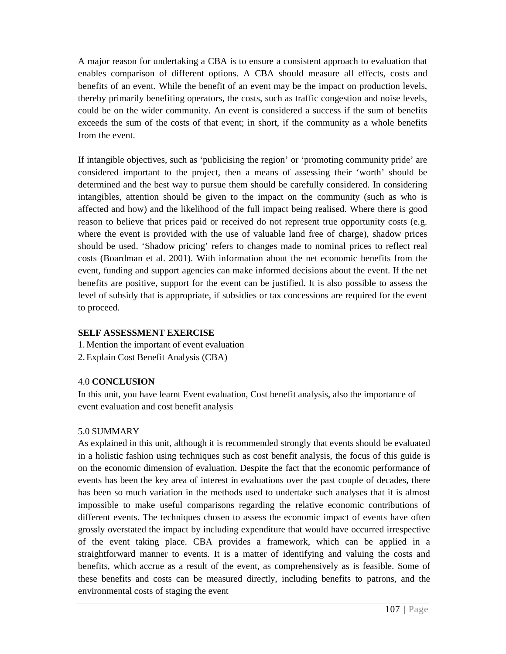A major reason for undertaking a CBA is to ensure a consistent approach to evaluation that enables comparison of different options. A CBA should measure all effects, costs and benefits of an event. While the benefit of an event may be the impact on production levels, thereby primarily benefiting operators, the costs, such as traffic congestion and noise levels, could be on the wider community. An event is considered a success if the sum of benefits exceeds the sum of the costs of that event; in short, if the community as a whole benefits from the event.

If intangible objectives, such as 'publicising the region' or 'promoting community pride' are considered important to the project, then a means of assessing their 'worth' should be determined and the best way to pursue them should be carefully considered. In considering intangibles, attention should be given to the impact on the community (such as who is affected and how) and the likelihood of the full impact being realised. Where there is good reason to believe that prices paid or received do not represent true opportunity costs (e.g. where the event is provided with the use of valuable land free of charge), shadow prices should be used. 'Shadow pricing' refers to changes made to nominal prices to reflect real costs (Boardman et al. 2001). With information about the net economic benefits from the event, funding and support agencies can make informed decisions about the event. If the net benefits are positive, support for the event can be justified. It is also possible to assess the level of subsidy that is appropriate, if subsidies or tax concessions are required for the event to proceed.

# **SELF ASSESSMENT EXERCISE**

1. Mention the important of event evaluation 2. Explain Cost Benefit Analysis (CBA)

# 4.0 **CONCLUSION**

In this unit, you have learnt Event evaluation, Cost benefit analysis, also the importance of event evaluation and cost benefit analysis

# 5.0 SUMMARY

As explained in this unit, although it is recommended strongly that events should be evaluated in a holistic fashion using techniques such as cost benefit analysis, the focus of this guide is on the economic dimension of evaluation. Despite the fact that the economic performance of events has been the key area of interest in evaluations over the past couple of decades, there has been so much variation in the methods used to undertake such analyses that it is almost impossible to make useful comparisons regarding the relative economic contributions of different events. The techniques chosen to assess the economic impact of events have often grossly overstated the impact by including expenditure that would have occurred irrespective of the event taking place. CBA provides a framework, which can be applied in a straightforward manner to events. It is a matter of identifying and valuing the costs and benefits, which accrue as a result of the event, as comprehensively as is feasible. Some of these benefits and costs can be measured directly, including benefits to patrons, and the environmental costs of staging the event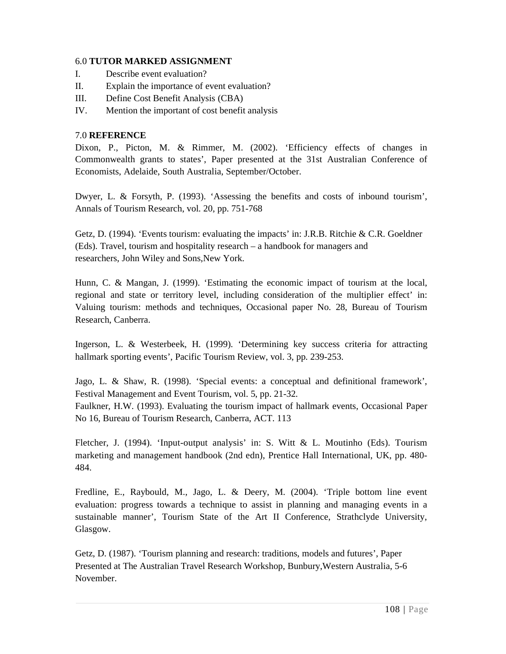## 6.0 **TUTOR MARKED ASSIGNMENT**

- I. Describe event evaluation?
- II. Explain the importance of event evaluation?
- III. Define Cost Benefit Analysis (CBA)
- IV. Mention the important of cost benefit analysis

## 7.0 **REFERENCE**

Dixon, P., Picton, M. & Rimmer, M. (2002). 'Efficiency effects of changes in Commonwealth grants to states', Paper presented at the 31st Australian Conference of Economists, Adelaide, South Australia, September/October.

Dwyer, L. & Forsyth, P. (1993). 'Assessing the benefits and costs of inbound tourism', Annals of Tourism Research, vol. 20, pp. 751-768

Getz, D. (1994). 'Events tourism: evaluating the impacts' in: J.R.B. Ritchie & C.R. Goeldner (Eds). Travel, tourism and hospitality research – a handbook for managers and researchers, John Wiley and Sons,New York.

Hunn, C. & Mangan, J. (1999). 'Estimating the economic impact of tourism at the local, regional and state or territory level, including consideration of the multiplier effect' in: Valuing tourism: methods and techniques, Occasional paper No. 28, Bureau of Tourism Research, Canberra.

Ingerson, L. & Westerbeek, H. (1999). 'Determining key success criteria for attracting hallmark sporting events', Pacific Tourism Review, vol. 3, pp. 239-253.

Jago, L. & Shaw, R. (1998). 'Special events: a conceptual and definitional framework', Festival Management and Event Tourism, vol. 5, pp. 21-32.

Faulkner, H.W. (1993). Evaluating the tourism impact of hallmark events, Occasional Paper No 16, Bureau of Tourism Research, Canberra, ACT. 113

Fletcher, J. (1994). 'Input-output analysis' in: S. Witt & L. Moutinho (Eds). Tourism marketing and management handbook (2nd edn), Prentice Hall International, UK, pp. 480- 484.

Fredline, E., Raybould, M., Jago, L. & Deery, M. (2004). 'Triple bottom line event evaluation: progress towards a technique to assist in planning and managing events in a sustainable manner', Tourism State of the Art II Conference, Strathclyde University, Glasgow.

Getz, D. (1987). 'Tourism planning and research: traditions, models and futures', Paper Presented at The Australian Travel Research Workshop, Bunbury,Western Australia, 5-6 November.